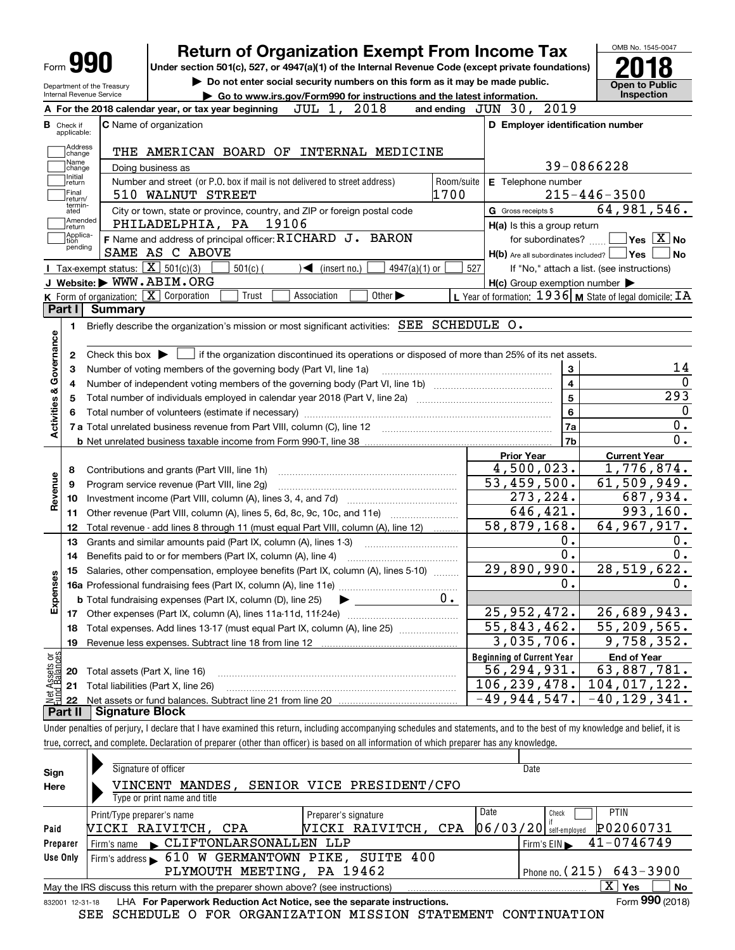|                                                                                             |                | <b>Return of Organization Exempt From Income Tax</b>                                               |                                                                             |                               |                             |                 |            |                                  |                                  |                              |                                                           |                                                                                                                      |
|---------------------------------------------------------------------------------------------|----------------|----------------------------------------------------------------------------------------------------|-----------------------------------------------------------------------------|-------------------------------|-----------------------------|-----------------|------------|----------------------------------|----------------------------------|------------------------------|-----------------------------------------------------------|----------------------------------------------------------------------------------------------------------------------|
| Form yy                                                                                     |                | Under section 501(c), 527, or 4947(a)(1) of the Internal Revenue Code (except private foundations) |                                                                             |                               |                             |                 |            |                                  |                                  |                              |                                                           |                                                                                                                      |
| Department of the Treasury                                                                  |                |                                                                                                    | Do not enter social security numbers on this form as it may be made public. |                               |                             |                 |            |                                  |                                  |                              |                                                           | <b>Open to Public</b>                                                                                                |
| Internal Revenue Service                                                                    |                |                                                                                                    | Go to www.irs.gov/Form990 for instructions and the latest information.      |                               |                             |                 |            |                                  |                                  |                              |                                                           | <b>Inspection</b>                                                                                                    |
|                                                                                             |                | A For the 2018 calendar year, or tax year beginning                                                |                                                                             | JUL 1, 2018                   |                             |                 |            | and ending JUN 30, 2019          |                                  |                              |                                                           |                                                                                                                      |
| <b>B</b> Check if<br>applicable:                                                            |                | <b>C</b> Name of organization                                                                      |                                                                             |                               |                             |                 |            |                                  |                                  |                              | D Employer identification number                          |                                                                                                                      |
| Address<br>change                                                                           |                | THE AMERICAN BOARD OF INTERNAL MEDICINE                                                            |                                                                             |                               |                             |                 |            |                                  |                                  |                              |                                                           |                                                                                                                      |
| Name<br>change                                                                              |                | Doing business as                                                                                  |                                                                             |                               |                             |                 |            |                                  |                                  |                              | 39-0866228                                                |                                                                                                                      |
| Initial<br>return                                                                           |                | Number and street (or P.O. box if mail is not delivered to street address)                         |                                                                             |                               |                             |                 | Room/suite |                                  | E Telephone number               |                              |                                                           |                                                                                                                      |
| Final<br>Ireturn/                                                                           |                | 510 WALNUT STREET                                                                                  |                                                                             |                               |                             |                 | 1700       |                                  |                                  |                              | $215 - 446 - 3500$                                        |                                                                                                                      |
| termin-<br>ated                                                                             |                | City or town, state or province, country, and ZIP or foreign postal code                           |                                                                             |                               |                             |                 |            |                                  | G Gross receipts \$              |                              | 64,981,546.                                               |                                                                                                                      |
| Amended<br>∣return                                                                          |                | PHILADELPHIA, PA 19106                                                                             |                                                                             |                               |                             |                 |            |                                  | H(a) Is this a group return      |                              |                                                           |                                                                                                                      |
| Applica-<br>tion                                                                            |                | F Name and address of principal officer: RICHARD J. BARON                                          |                                                                             |                               |                             |                 |            |                                  | for subordinates?                |                              |                                                           | $\sqrt{}$ Yes $\sqrt{}$ X $\sqrt{}$ No                                                                               |
| pending                                                                                     |                | SAME AS C ABOVE                                                                                    |                                                                             |                               |                             |                 |            |                                  |                                  |                              | H(b) Are all subordinates included?   Yes                 | No                                                                                                                   |
|                                                                                             |                | Tax-exempt status: $\boxed{\mathbf{X}}$ 501(c)(3)                                                  | $501(c)$ (                                                                  | $\sqrt{\bullet}$ (insert no.) |                             | $4947(a)(1)$ or |            | 527                              |                                  |                              | If "No," attach a list. (see instructions)                |                                                                                                                      |
|                                                                                             |                | J Website: WWW.ABIM.ORG                                                                            |                                                                             |                               |                             |                 |            |                                  |                                  |                              | $H(c)$ Group exemption number $\blacktriangleright$       |                                                                                                                      |
|                                                                                             |                | K Form of organization: $X$ Corporation                                                            | Trust                                                                       | Association                   | Other $\blacktriangleright$ |                 |            |                                  |                                  |                              | L Year of formation: 1936   M State of legal domicile: IA |                                                                                                                      |
| Part I                                                                                      | <b>Summary</b> |                                                                                                    |                                                                             |                               |                             |                 |            |                                  |                                  |                              |                                                           |                                                                                                                      |
| 1.                                                                                          |                | Briefly describe the organization's mission or most significant activities: SEE SCHEDULE O.        |                                                                             |                               |                             |                 |            |                                  |                                  |                              |                                                           |                                                                                                                      |
| 2<br>з<br>4                                                                                 |                | Number of voting members of the governing body (Part VI, line 1a)                                  |                                                                             |                               |                             |                 |            |                                  |                                  | 3<br>$\overline{\mathbf{4}}$ |                                                           |                                                                                                                      |
| 5                                                                                           |                |                                                                                                    |                                                                             |                               |                             |                 |            |                                  |                                  | $\overline{\mathbf{5}}$      |                                                           |                                                                                                                      |
|                                                                                             |                |                                                                                                    |                                                                             |                               |                             |                 |            |                                  |                                  | 6                            |                                                           |                                                                                                                      |
|                                                                                             |                |                                                                                                    |                                                                             |                               |                             |                 |            |                                  |                                  | <b>7a</b><br>7b              |                                                           |                                                                                                                      |
|                                                                                             |                |                                                                                                    |                                                                             |                               |                             |                 |            |                                  | <b>Prior Year</b>                |                              |                                                           | <b>Current Year</b>                                                                                                  |
| 8                                                                                           |                | Contributions and grants (Part VIII, line 1h)                                                      |                                                                             |                               |                             |                 |            |                                  | 4,500,023.                       |                              |                                                           |                                                                                                                      |
| 9                                                                                           |                | Program service revenue (Part VIII, line 2g)                                                       |                                                                             |                               |                             |                 |            |                                  | 53,459,500.                      |                              |                                                           |                                                                                                                      |
| 10                                                                                          |                |                                                                                                    |                                                                             |                               |                             |                 |            |                                  | 273,224.                         |                              |                                                           |                                                                                                                      |
| 11                                                                                          |                |                                                                                                    |                                                                             |                               |                             |                 |            |                                  | 646,421.                         |                              |                                                           |                                                                                                                      |
| 12                                                                                          |                | Total revenue - add lines 8 through 11 (must equal Part VIII, column (A), line 12)                 |                                                                             |                               |                             |                 |            |                                  | 58,879,168.                      |                              |                                                           |                                                                                                                      |
| 13                                                                                          |                | Grants and similar amounts paid (Part IX, column (A), lines 1-3)                                   |                                                                             |                               |                             |                 |            |                                  |                                  | 0.                           |                                                           |                                                                                                                      |
| 14                                                                                          |                | Benefits paid to or for members (Part IX, column (A), line 4)                                      |                                                                             |                               |                             |                 |            |                                  |                                  | 0.                           |                                                           |                                                                                                                      |
|                                                                                             |                | 15 Salaries, other compensation, employee benefits (Part IX, column (A), lines 5-10)               |                                                                             |                               |                             |                 |            |                                  | 29,890,990.                      |                              | 28,519,622.                                               |                                                                                                                      |
|                                                                                             |                |                                                                                                    |                                                                             |                               |                             |                 |            |                                  |                                  | 0.                           |                                                           |                                                                                                                      |
|                                                                                             |                | <b>b</b> Total fundraising expenses (Part IX, column (D), line 25)                                 |                                                                             |                               |                             |                 | $0$ .      |                                  |                                  |                              |                                                           |                                                                                                                      |
| 17                                                                                          |                |                                                                                                    |                                                                             |                               |                             |                 |            |                                  | 25,952,472.                      |                              | 26,689,943.                                               |                                                                                                                      |
| 18                                                                                          |                | Total expenses. Add lines 13-17 (must equal Part IX, column (A), line 25) [                        |                                                                             |                               |                             |                 |            |                                  | $\overline{55,843,462}$ .        |                              |                                                           |                                                                                                                      |
| 19                                                                                          |                |                                                                                                    |                                                                             |                               |                             |                 |            |                                  | 3,035,706.                       |                              |                                                           |                                                                                                                      |
|                                                                                             |                |                                                                                                    |                                                                             |                               |                             |                 |            | <b>Beginning of Current Year</b> |                                  |                              |                                                           | <b>End of Year</b>                                                                                                   |
| 20                                                                                          |                | Total assets (Part X, line 16)                                                                     |                                                                             |                               |                             |                 |            |                                  | 56,294,931.                      |                              |                                                           |                                                                                                                      |
| Activities & Governance<br>Revenue<br>w<br>Expense<br>t Assets or<br>d Balances<br>21<br>22 |                | Total liabilities (Part X, line 26)                                                                |                                                                             |                               |                             |                 |            |                                  | 106, 239, 478.<br>$-49,944,547.$ |                              | 104, 017, 122.<br>$\overline{-40}$ , 129, 341.            | 293<br>1,776,874.<br>61,509,949.<br>687,934.<br>993, 160.<br>64,967,917.<br>55,209,565.<br>9,758,352.<br>63,887,781. |

| Sign<br>Here    | Signature of officer<br>MANDES ,<br>VINCENT<br>Type or print name and title       | SENIOR VICE PRESIDENT/CFO                   |      | Date                                |                           |  |  |  |  |  |  |
|-----------------|-----------------------------------------------------------------------------------|---------------------------------------------|------|-------------------------------------|---------------------------|--|--|--|--|--|--|
| Paid            | Print/Type preparer's name<br>VICKI RAIVITCH, CPA                                 | Preparer's signature<br>NICKI RAIVITCH, CPA | Date | Check<br>$ 06/03/20 $ self-employed | <b>PTIN</b><br>P02060731  |  |  |  |  |  |  |
| Preparer        | CLIFTONLARSONALLEN LLP<br>Firm's name                                             |                                             |      | Firm's $EIN$                        | $41 - 0746749$            |  |  |  |  |  |  |
| Use Only        | Firm's address 610 W GERMANTOWN PIKE, SUITE 400                                   |                                             |      |                                     |                           |  |  |  |  |  |  |
|                 | Phone no. $(215)$ 643-3900<br>PLYMOUTH MEETING, PA 19462                          |                                             |      |                                     |                           |  |  |  |  |  |  |
|                 | May the IRS discuss this return with the preparer shown above? (see instructions) |                                             |      |                                     | $\mathbf{X}$<br>Yes<br>No |  |  |  |  |  |  |
| 832001 12-31-18 | LHA For Paperwork Reduction Act Notice, see the separate instructions.            |                                             |      |                                     | Form 990 (2018)           |  |  |  |  |  |  |

SEE SCHEDULE O FOR ORGANIZATION MISSION STATEMENT CONTINUATION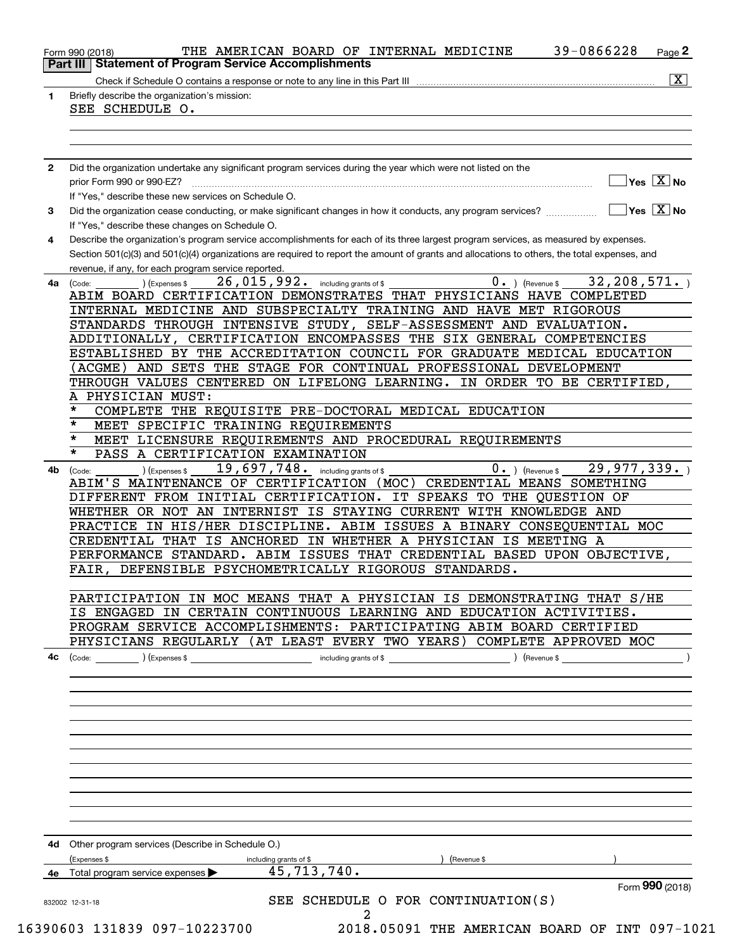|              | <b>Part III Statement of Program Service Accomplishments</b><br>$\overline{\mathbf{x}}$                                                                                                                                                                                                                                                     |
|--------------|---------------------------------------------------------------------------------------------------------------------------------------------------------------------------------------------------------------------------------------------------------------------------------------------------------------------------------------------|
| 1            | Briefly describe the organization's mission:<br>SEE SCHEDULE O.                                                                                                                                                                                                                                                                             |
|              |                                                                                                                                                                                                                                                                                                                                             |
| $\mathbf{2}$ | Did the organization undertake any significant program services during the year which were not listed on the                                                                                                                                                                                                                                |
|              | $\overline{\mathsf{Yes} \mathrel{\hspace{0.5pt}\mathsf{X}}}$ No<br>prior Form 990 or 990-EZ?<br>If "Yes," describe these new services on Schedule O.                                                                                                                                                                                        |
| 3            | $\overline{\mathsf{Yes} \mathrel{\hspace{0.5pt}\mathsf{X}}}$ No<br>Did the organization cease conducting, or make significant changes in how it conducts, any program services?<br>If "Yes," describe these changes on Schedule O.                                                                                                          |
| 4            | Describe the organization's program service accomplishments for each of its three largest program services, as measured by expenses.<br>Section 501(c)(3) and 501(c)(4) organizations are required to report the amount of grants and allocations to others, the total expenses, and<br>revenue, if any, for each program service reported. |
| 4a           | $0.$ ) (Revenue \$<br>32,208,571.<br>26, 015, 992. including grants of \$<br>(Expenses \$<br>(Code:<br>ABIM BOARD CERTIFICATION DEMONSTRATES THAT PHYSICIANS HAVE COMPLETED<br>INTERNAL MEDICINE AND SUBSPECIALTY TRAINING AND HAVE MET RIGOROUS                                                                                            |
|              | STANDARDS THROUGH INTENSIVE STUDY, SELF-ASSESSMENT AND EVALUATION.                                                                                                                                                                                                                                                                          |
|              | ADDITIONALLY, CERTIFICATION ENCOMPASSES THE SIX GENERAL COMPETENCIES<br>ESTABLISHED BY THE ACCREDITATION COUNCIL FOR GRADUATE MEDICAL EDUCATION                                                                                                                                                                                             |
|              | (ACGME) AND SETS THE STAGE FOR CONTINUAL PROFESSIONAL DEVELOPMENT                                                                                                                                                                                                                                                                           |
|              | THROUGH VALUES CENTERED ON LIFELONG LEARNING. IN ORDER TO BE CERTIFIED,                                                                                                                                                                                                                                                                     |
|              | A PHYSICIAN MUST:                                                                                                                                                                                                                                                                                                                           |
|              | *<br>COMPLETE THE REQUISITE PRE-DOCTORAL MEDICAL EDUCATION                                                                                                                                                                                                                                                                                  |
|              | *<br>MEET SPECIFIC TRAINING REQUIREMENTS                                                                                                                                                                                                                                                                                                    |
|              | $\star$<br>MEET LICENSURE REQUIREMENTS AND PROCEDURAL REQUIREMENTS                                                                                                                                                                                                                                                                          |
|              | $\star$<br>PASS A CERTIFICATION EXAMINATION<br>29,977,339.<br>19,697,748. including grants of \$                                                                                                                                                                                                                                            |
| 4b           | $0 \cdot$ ) (Revenue \$<br>(Expenses \$<br>(Code:<br>ABIM'S MAINTENANCE OF CERTIFICATION (MOC) CREDENTIAL MEANS SOMETHING<br>DIFFERENT FROM INITIAL CERTIFICATION.<br>IT SPEAKS TO THE QUESTION OF<br>WHETHER OR NOT AN INTERNIST IS STAYING CURRENT WITH KNOWLEDGE AND                                                                     |
|              | PRACTICE IN HIS/HER DISCIPLINE. ABIM ISSUES A BINARY CONSEQUENTIAL MOC                                                                                                                                                                                                                                                                      |
|              | CREDENTIAL THAT IS ANCHORED IN WHETHER A PHYSICIAN IS MEETING A                                                                                                                                                                                                                                                                             |
|              | PERFORMANCE STANDARD. ABIM ISSUES THAT CREDENTIAL BASED UPON OBJECTIVE,<br>FAIR, DEFENSIBLE PSYCHOMETRICALLY RIGOROUS STANDARDS.                                                                                                                                                                                                            |
|              | PARTICIPATION IN MOC MEANS THAT A PHYSICIAN IS DEMONSTRATING THAT S/HE<br>IS ENGAGED IN CERTAIN CONTINUOUS LEARNING AND EDUCATION ACTIVITIES.                                                                                                                                                                                               |
|              | PROGRAM SERVICE ACCOMPLISHMENTS: PARTICIPATING ABIM BOARD CERTIFIED                                                                                                                                                                                                                                                                         |
|              | PHYSICIANS REGULARLY (AT LEAST EVERY TWO YEARS) COMPLETE APPROVED MOC                                                                                                                                                                                                                                                                       |
|              |                                                                                                                                                                                                                                                                                                                                             |
|              |                                                                                                                                                                                                                                                                                                                                             |
|              |                                                                                                                                                                                                                                                                                                                                             |
|              |                                                                                                                                                                                                                                                                                                                                             |
|              |                                                                                                                                                                                                                                                                                                                                             |
|              | 4d Other program services (Describe in Schedule O.)                                                                                                                                                                                                                                                                                         |
|              | (Expenses \$<br>including grants of \$<br>) (Revenue \$                                                                                                                                                                                                                                                                                     |
|              | 45, 713, 740.<br><b>4e</b> Total program service expenses $\blacktriangleright$                                                                                                                                                                                                                                                             |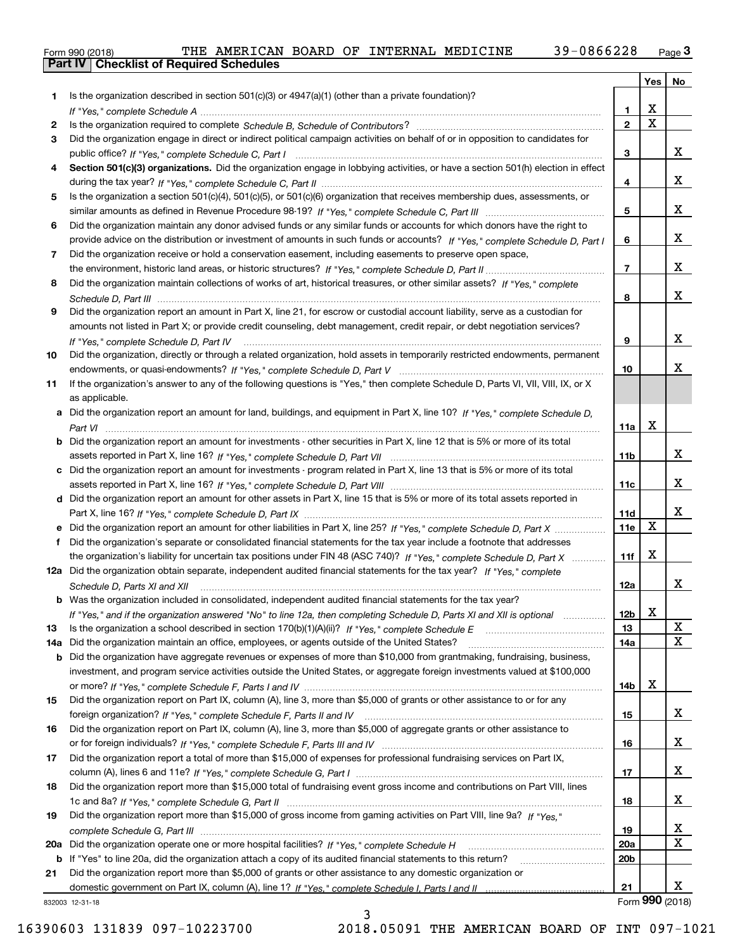|  | Form 990 (2018) |  |
|--|-----------------|--|

|     |                                                                                                                                      |                 | Yes   No                |                 |
|-----|--------------------------------------------------------------------------------------------------------------------------------------|-----------------|-------------------------|-----------------|
| 1   | Is the organization described in section $501(c)(3)$ or $4947(a)(1)$ (other than a private foundation)?                              |                 |                         |                 |
|     |                                                                                                                                      | 1               | X                       |                 |
| 2   |                                                                                                                                      | $\overline{2}$  | $\overline{\mathbf{x}}$ |                 |
| З   | Did the organization engage in direct or indirect political campaign activities on behalf of or in opposition to candidates for      |                 |                         |                 |
|     |                                                                                                                                      | 3               |                         | x               |
| 4   | Section 501(c)(3) organizations. Did the organization engage in lobbying activities, or have a section 501(h) election in effect     |                 |                         |                 |
|     |                                                                                                                                      | 4               |                         | X               |
| 5   | Is the organization a section 501(c)(4), 501(c)(5), or 501(c)(6) organization that receives membership dues, assessments, or         |                 |                         |                 |
|     |                                                                                                                                      | 5               |                         | X               |
| 6   | Did the organization maintain any donor advised funds or any similar funds or accounts for which donors have the right to            |                 |                         |                 |
|     | provide advice on the distribution or investment of amounts in such funds or accounts? If "Yes," complete Schedule D, Part I         | 6               |                         | X               |
| 7   | Did the organization receive or hold a conservation easement, including easements to preserve open space,                            |                 |                         |                 |
|     |                                                                                                                                      | $\overline{7}$  |                         | X               |
| 8   | Did the organization maintain collections of works of art, historical treasures, or other similar assets? If "Yes," complete         |                 |                         |                 |
|     |                                                                                                                                      | 8               |                         | X               |
| 9   | Did the organization report an amount in Part X, line 21, for escrow or custodial account liability, serve as a custodian for        |                 |                         |                 |
|     | amounts not listed in Part X; or provide credit counseling, debt management, credit repair, or debt negotiation services?            |                 |                         |                 |
|     | If "Yes," complete Schedule D, Part IV                                                                                               | 9               |                         | X               |
| 10  | Did the organization, directly or through a related organization, hold assets in temporarily restricted endowments, permanent        |                 |                         |                 |
|     |                                                                                                                                      | 10              |                         | x               |
| 11  | If the organization's answer to any of the following questions is "Yes," then complete Schedule D, Parts VI, VII, VIII, IX, or X     |                 |                         |                 |
|     | as applicable.                                                                                                                       |                 |                         |                 |
|     | a Did the organization report an amount for land, buildings, and equipment in Part X, line 10? If "Yes," complete Schedule D.        |                 |                         |                 |
|     |                                                                                                                                      | 11a             | X                       |                 |
|     | <b>b</b> Did the organization report an amount for investments - other securities in Part X, line 12 that is 5% or more of its total |                 |                         |                 |
|     |                                                                                                                                      | 11b             |                         | X               |
|     | c Did the organization report an amount for investments - program related in Part X, line 13 that is 5% or more of its total         |                 |                         |                 |
|     |                                                                                                                                      | 11c             |                         | x               |
|     | d Did the organization report an amount for other assets in Part X, line 15 that is 5% or more of its total assets reported in       |                 |                         |                 |
|     |                                                                                                                                      | 11d             |                         | X               |
|     | e Did the organization report an amount for other liabilities in Part X, line 25? If "Yes," complete Schedule D, Part X              | 11e             | $\mathbf X$             |                 |
| f   | Did the organization's separate or consolidated financial statements for the tax year include a footnote that addresses              |                 |                         |                 |
|     | the organization's liability for uncertain tax positions under FIN 48 (ASC 740)? If "Yes," complete Schedule D, Part X               | 11f             | X                       |                 |
|     | 12a Did the organization obtain separate, independent audited financial statements for the tax year? If "Yes," complete              |                 |                         |                 |
|     | Schedule D, Parts XI and XII                                                                                                         | 12a             |                         | X               |
|     | <b>b</b> Was the organization included in consolidated, independent audited financial statements for the tax year?                   |                 |                         |                 |
|     | If "Yes," and if the organization answered "No" to line 12a, then completing Schedule D, Parts XI and XII is optional                | 12b             | v<br>▵                  |                 |
| 13  | Is the organization a school described in section $170(b)(1)(A)(ii)?$ If "Yes," complete Schedule E                                  | 13              |                         | X               |
| 14a | Did the organization maintain an office, employees, or agents outside of the United States?                                          | 14a             |                         | X               |
| b   | Did the organization have aggregate revenues or expenses of more than \$10,000 from grantmaking, fundraising, business,              |                 |                         |                 |
|     | investment, and program service activities outside the United States, or aggregate foreign investments valued at \$100,000           |                 |                         |                 |
|     |                                                                                                                                      | 14b             | х                       |                 |
| 15  | Did the organization report on Part IX, column (A), line 3, more than \$5,000 of grants or other assistance to or for any            |                 |                         |                 |
|     |                                                                                                                                      | 15              |                         | X               |
| 16  | Did the organization report on Part IX, column (A), line 3, more than \$5,000 of aggregate grants or other assistance to             |                 |                         |                 |
|     |                                                                                                                                      | 16              |                         | x               |
| 17  | Did the organization report a total of more than \$15,000 of expenses for professional fundraising services on Part IX,              |                 |                         |                 |
|     |                                                                                                                                      | 17              |                         | x               |
| 18  | Did the organization report more than \$15,000 total of fundraising event gross income and contributions on Part VIII, lines         |                 |                         |                 |
|     |                                                                                                                                      | 18              |                         | x               |
| 19  | Did the organization report more than \$15,000 of gross income from gaming activities on Part VIII, line 9a? If "Yes."               |                 |                         |                 |
|     |                                                                                                                                      | 19              |                         | x               |
|     |                                                                                                                                      | <b>20a</b>      |                         | $\mathbf X$     |
| b   | If "Yes" to line 20a, did the organization attach a copy of its audited financial statements to this return?                         | 20 <sub>b</sub> |                         |                 |
| 21  | Did the organization report more than \$5,000 of grants or other assistance to any domestic organization or                          |                 |                         |                 |
|     |                                                                                                                                      | 21              |                         | x               |
|     | 832003 12-31-18                                                                                                                      |                 |                         | Form 990 (2018) |

3

16390603 131839 097-10223700 2018.05091 THE AMERICAN BOARD OF INT 097-1021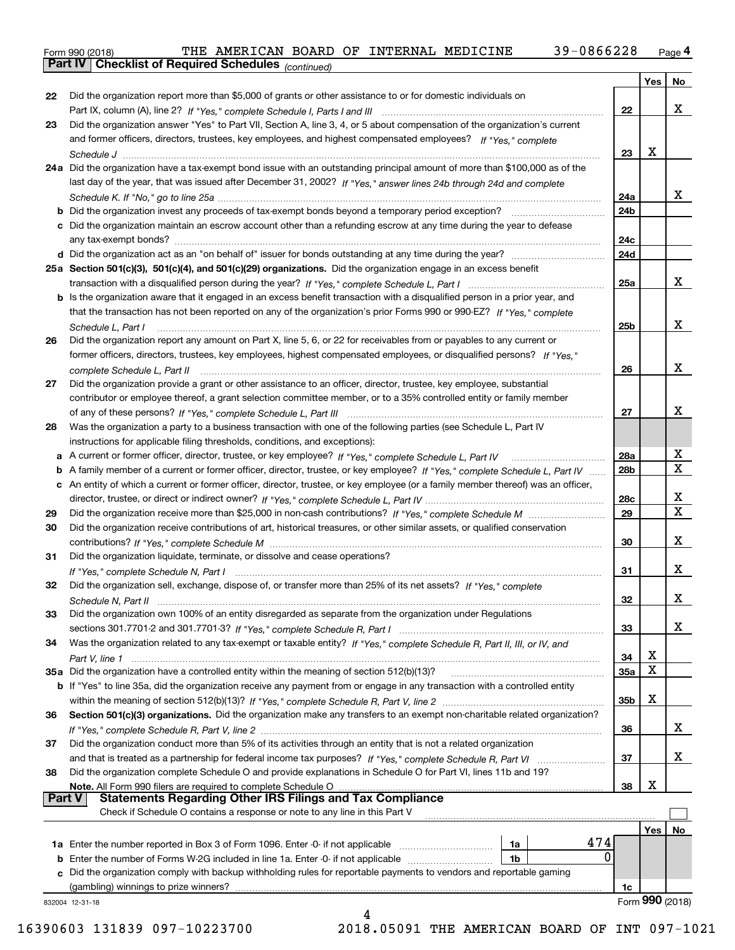Form 990 (2018) THE AMERICAN BOARD OF INTERNAL MEDICINE 39-0866228 <sub>Page</sub> 4<br>**Part IV | Checklist of Required Schedules** <sub>(continued)</sub>

*(continued)*

|               |                                                                                                                                                                                 |                 | Yes | No                      |
|---------------|---------------------------------------------------------------------------------------------------------------------------------------------------------------------------------|-----------------|-----|-------------------------|
| 22            | Did the organization report more than \$5,000 of grants or other assistance to or for domestic individuals on                                                                   |                 |     |                         |
|               |                                                                                                                                                                                 | 22              |     | x                       |
| 23            | Did the organization answer "Yes" to Part VII, Section A, line 3, 4, or 5 about compensation of the organization's current                                                      |                 |     |                         |
|               | and former officers, directors, trustees, key employees, and highest compensated employees? If "Yes." complete                                                                  |                 |     |                         |
|               |                                                                                                                                                                                 | 23              | X   |                         |
|               | 24a Did the organization have a tax-exempt bond issue with an outstanding principal amount of more than \$100,000 as of the                                                     |                 |     |                         |
|               | last day of the year, that was issued after December 31, 2002? If "Yes," answer lines 24b through 24d and complete                                                              |                 |     |                         |
|               |                                                                                                                                                                                 | 24a             |     | x                       |
|               |                                                                                                                                                                                 | 24b             |     |                         |
|               | c Did the organization maintain an escrow account other than a refunding escrow at any time during the year to defease                                                          |                 |     |                         |
|               |                                                                                                                                                                                 | 24c             |     |                         |
|               |                                                                                                                                                                                 | 24d             |     |                         |
|               | 25a Section 501(c)(3), 501(c)(4), and 501(c)(29) organizations. Did the organization engage in an excess benefit                                                                |                 |     |                         |
|               |                                                                                                                                                                                 | 25a             |     | x                       |
|               | b Is the organization aware that it engaged in an excess benefit transaction with a disqualified person in a prior year, and                                                    |                 |     |                         |
|               | that the transaction has not been reported on any of the organization's prior Forms 990 or 990-EZ? If "Yes." complete                                                           |                 |     |                         |
|               | Schedule L, Part I                                                                                                                                                              | 25b             |     | x                       |
| 26            | Did the organization report any amount on Part X, line 5, 6, or 22 for receivables from or payables to any current or                                                           |                 |     |                         |
|               | former officers, directors, trustees, key employees, highest compensated employees, or disqualified persons? If "Yes."                                                          |                 |     | x                       |
|               |                                                                                                                                                                                 | 26              |     |                         |
| 27            | Did the organization provide a grant or other assistance to an officer, director, trustee, key employee, substantial                                                            |                 |     |                         |
|               | contributor or employee thereof, a grant selection committee member, or to a 35% controlled entity or family member                                                             | 27              |     | x                       |
| 28            | Was the organization a party to a business transaction with one of the following parties (see Schedule L, Part IV                                                               |                 |     |                         |
|               | instructions for applicable filing thresholds, conditions, and exceptions):                                                                                                     |                 |     |                         |
| a             |                                                                                                                                                                                 | 28a             |     | X                       |
| b             | A family member of a current or former officer, director, trustee, or key employee? If "Yes," complete Schedule L, Part IV                                                      | 28 <sub>b</sub> |     | $\mathbf X$             |
|               | c An entity of which a current or former officer, director, trustee, or key employee (or a family member thereof) was an officer,                                               |                 |     |                         |
|               |                                                                                                                                                                                 | 28c             |     | x                       |
| 29            |                                                                                                                                                                                 | 29              |     | $\overline{\mathbf{X}}$ |
| 30            | Did the organization receive contributions of art, historical treasures, or other similar assets, or qualified conservation                                                     |                 |     |                         |
|               |                                                                                                                                                                                 | 30              |     | x                       |
| 31            | Did the organization liquidate, terminate, or dissolve and cease operations?                                                                                                    |                 |     |                         |
|               |                                                                                                                                                                                 | 31              |     | x                       |
| 32            | Did the organization sell, exchange, dispose of, or transfer more than 25% of its net assets? If "Yes," complete                                                                |                 |     |                         |
|               |                                                                                                                                                                                 | 32              |     | x                       |
| 33            | Did the organization own 100% of an entity disregarded as separate from the organization under Regulations                                                                      |                 |     |                         |
|               |                                                                                                                                                                                 | 33              |     | х                       |
| 34            | Was the organization related to any tax-exempt or taxable entity? If "Yes," complete Schedule R, Part II, III, or IV, and                                                       |                 |     |                         |
|               |                                                                                                                                                                                 | 34              | х   |                         |
|               | 35a Did the organization have a controlled entity within the meaning of section 512(b)(13)?                                                                                     | 35a             | X   |                         |
|               | b If "Yes" to line 35a, did the organization receive any payment from or engage in any transaction with a controlled entity                                                     |                 |     |                         |
|               |                                                                                                                                                                                 | 35 <sub>b</sub> | х   |                         |
| 36            | Section 501(c)(3) organizations. Did the organization make any transfers to an exempt non-charitable related organization?                                                      |                 |     |                         |
|               | Did the organization conduct more than 5% of its activities through an entity that is not a related organization                                                                | 36              |     | x                       |
| 37            |                                                                                                                                                                                 |                 |     | х                       |
|               |                                                                                                                                                                                 | 37              |     |                         |
| 38            | Did the organization complete Schedule O and provide explanations in Schedule O for Part VI, lines 11b and 19?<br>Note. All Form 990 filers are required to complete Schedule O | 38              | x   |                         |
| <b>Part V</b> | Circletin about theirs are required to complete Schedule On the manufacture and the securities are required to<br>Statements Regarding Other IRS Filings and Tax Compliance     |                 |     |                         |
|               | Check if Schedule O contains a response or note to any line in this Part V                                                                                                      |                 |     |                         |
|               |                                                                                                                                                                                 |                 | Yes | No                      |
|               | 474<br>1a Enter the number reported in Box 3 of Form 1096. Enter -0- if not applicable<br>1a                                                                                    |                 |     |                         |
| b             | 0<br>Enter the number of Forms W-2G included in line 1a. Enter -0- if not applicable<br>1 <sub>b</sub>                                                                          |                 |     |                         |
|               | Did the organization comply with backup withholding rules for reportable payments to vendors and reportable gaming                                                              |                 |     |                         |
|               | (gambling) winnings to prize winners?                                                                                                                                           | 1c              |     |                         |
|               | 832004 12-31-18                                                                                                                                                                 |                 |     | Form 990 (2018)         |
|               | 4                                                                                                                                                                               |                 |     |                         |

16390603 131839 097-10223700 2018.05091 THE AMERICAN BOARD OF INT 097-1021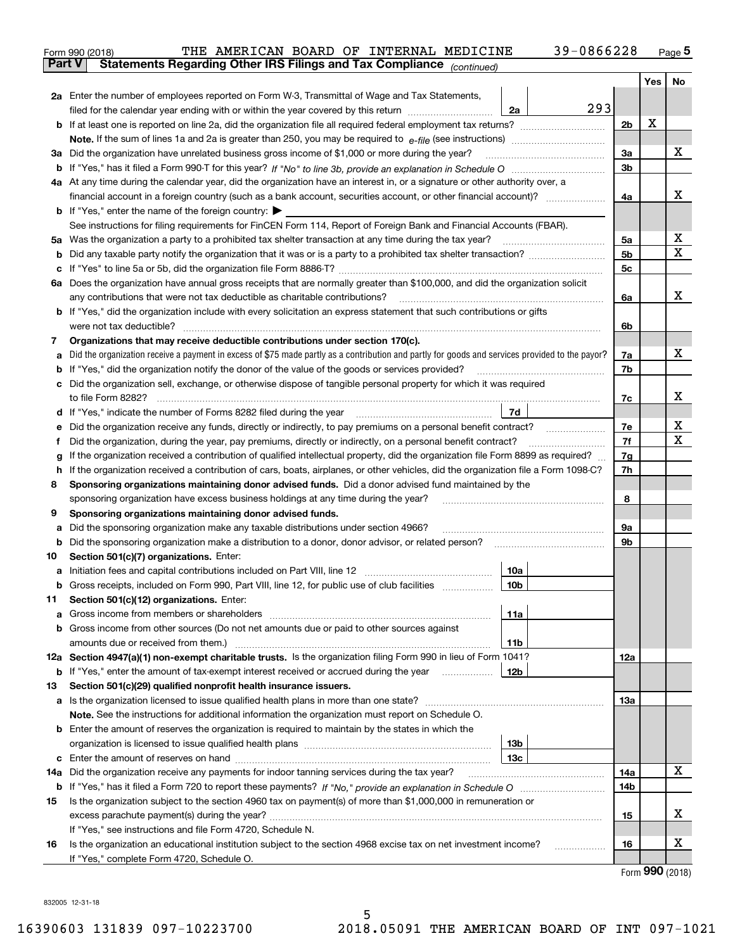|     | THE AMERICAN BOARD OF INTERNAL MEDICINE<br>Form 990 (2018)                                                                                      | 39-0866228     |                 | $_{\text{Page}}$ 5 |  |  |  |  |  |  |
|-----|-------------------------------------------------------------------------------------------------------------------------------------------------|----------------|-----------------|--------------------|--|--|--|--|--|--|
|     | <b>Part V</b><br>Statements Regarding Other IRS Filings and Tax Compliance (continued)                                                          |                |                 |                    |  |  |  |  |  |  |
|     |                                                                                                                                                 |                | Yes             | No                 |  |  |  |  |  |  |
|     | 2a Enter the number of employees reported on Form W-3, Transmittal of Wage and Tax Statements,                                                  |                |                 |                    |  |  |  |  |  |  |
|     | filed for the calendar year ending with or within the year covered by this return<br>2a                                                         | 293            |                 |                    |  |  |  |  |  |  |
|     |                                                                                                                                                 | 2b             | x               |                    |  |  |  |  |  |  |
|     |                                                                                                                                                 |                |                 |                    |  |  |  |  |  |  |
|     | 3a Did the organization have unrelated business gross income of \$1,000 or more during the year?                                                | 3a             |                 | x                  |  |  |  |  |  |  |
|     |                                                                                                                                                 | 3b             |                 |                    |  |  |  |  |  |  |
|     | 4a At any time during the calendar year, did the organization have an interest in, or a signature or other authority over, a                    |                |                 | x                  |  |  |  |  |  |  |
|     |                                                                                                                                                 |                |                 |                    |  |  |  |  |  |  |
|     | <b>b</b> If "Yes," enter the name of the foreign country: $\blacktriangleright$                                                                 |                |                 |                    |  |  |  |  |  |  |
|     | See instructions for filing requirements for FinCEN Form 114, Report of Foreign Bank and Financial Accounts (FBAR).                             |                |                 |                    |  |  |  |  |  |  |
| 5a  | Was the organization a party to a prohibited tax shelter transaction at any time during the tax year?                                           | 5а             |                 | х                  |  |  |  |  |  |  |
| b   |                                                                                                                                                 | 5 <sub>b</sub> |                 | X                  |  |  |  |  |  |  |
| c   |                                                                                                                                                 | 5c             |                 |                    |  |  |  |  |  |  |
|     | 6a Does the organization have annual gross receipts that are normally greater than \$100,000, and did the organization solicit                  |                |                 |                    |  |  |  |  |  |  |
|     | any contributions that were not tax deductible as charitable contributions? [[[[[[[[[[[[[[[[[[[[[[[]]]]]]]]]]]                                  | 6a             |                 | х                  |  |  |  |  |  |  |
|     | <b>b</b> If "Yes," did the organization include with every solicitation an express statement that such contributions or gifts                   |                |                 |                    |  |  |  |  |  |  |
|     |                                                                                                                                                 | 6b             |                 |                    |  |  |  |  |  |  |
| 7   | Organizations that may receive deductible contributions under section 170(c).                                                                   |                |                 |                    |  |  |  |  |  |  |
| а   | Did the organization receive a payment in excess of \$75 made partly as a contribution and partly for goods and services provided to the payor? | 7a             |                 | x                  |  |  |  |  |  |  |
| b   | If "Yes," did the organization notify the donor of the value of the goods or services provided?                                                 | 7b             |                 |                    |  |  |  |  |  |  |
| с   | Did the organization sell, exchange, or otherwise dispose of tangible personal property for which it was required                               |                |                 |                    |  |  |  |  |  |  |
|     |                                                                                                                                                 | 7c             |                 | х                  |  |  |  |  |  |  |
| d   | <b>7d</b>                                                                                                                                       |                |                 |                    |  |  |  |  |  |  |
| е   |                                                                                                                                                 | 7e             |                 | х                  |  |  |  |  |  |  |
| f   | Did the organization, during the year, pay premiums, directly or indirectly, on a personal benefit contract?                                    | 7f             |                 | х                  |  |  |  |  |  |  |
| g   | If the organization received a contribution of qualified intellectual property, did the organization file Form 8899 as required?                | 7g<br>7h       |                 |                    |  |  |  |  |  |  |
|     | If the organization received a contribution of cars, boats, airplanes, or other vehicles, did the organization file a Form 1098-C?<br>h         |                |                 |                    |  |  |  |  |  |  |
| 8   | Sponsoring organizations maintaining donor advised funds. Did a donor advised fund maintained by the                                            |                |                 |                    |  |  |  |  |  |  |
|     | sponsoring organization have excess business holdings at any time during the year?                                                              | 8              |                 |                    |  |  |  |  |  |  |
| 9   | Sponsoring organizations maintaining donor advised funds.                                                                                       |                |                 |                    |  |  |  |  |  |  |
| а   | Did the sponsoring organization make any taxable distributions under section 4966?                                                              | 9а             |                 |                    |  |  |  |  |  |  |
| b   | Did the sponsoring organization make a distribution to a donor, donor advisor, or related person?                                               | 9b             |                 |                    |  |  |  |  |  |  |
| 10  | Section 501(c)(7) organizations. Enter:                                                                                                         |                |                 |                    |  |  |  |  |  |  |
|     | 10a                                                                                                                                             |                |                 |                    |  |  |  |  |  |  |
|     |                                                                                                                                                 |                |                 |                    |  |  |  |  |  |  |
| 11  | Section 501(c)(12) organizations. Enter:                                                                                                        |                |                 |                    |  |  |  |  |  |  |
| а   | 11a<br>Gross income from other sources (Do not net amounts due or paid to other sources against                                                 |                |                 |                    |  |  |  |  |  |  |
| b   | 11b                                                                                                                                             |                |                 |                    |  |  |  |  |  |  |
|     | 12a Section 4947(a)(1) non-exempt charitable trusts. Is the organization filing Form 990 in lieu of Form 1041?                                  | 12a            |                 |                    |  |  |  |  |  |  |
|     | 12b<br><b>b</b> If "Yes," enter the amount of tax-exempt interest received or accrued during the year <i>manument</i>                           |                |                 |                    |  |  |  |  |  |  |
| 13  | Section 501(c)(29) qualified nonprofit health insurance issuers.                                                                                |                |                 |                    |  |  |  |  |  |  |
| а   | Is the organization licensed to issue qualified health plans in more than one state?                                                            | 13a            |                 |                    |  |  |  |  |  |  |
|     | Note. See the instructions for additional information the organization must report on Schedule O.                                               |                |                 |                    |  |  |  |  |  |  |
| b   | Enter the amount of reserves the organization is required to maintain by the states in which the                                                |                |                 |                    |  |  |  |  |  |  |
|     | 13 <sub>b</sub>                                                                                                                                 |                |                 |                    |  |  |  |  |  |  |
| c   | 13с                                                                                                                                             |                |                 |                    |  |  |  |  |  |  |
| 14a | Did the organization receive any payments for indoor tanning services during the tax year?                                                      | 14a            |                 | х                  |  |  |  |  |  |  |
|     |                                                                                                                                                 | 14b            |                 |                    |  |  |  |  |  |  |
| 15  | Is the organization subject to the section 4960 tax on payment(s) of more than \$1,000,000 in remuneration or                                   |                |                 |                    |  |  |  |  |  |  |
|     |                                                                                                                                                 | 15             |                 | х                  |  |  |  |  |  |  |
|     | If "Yes," see instructions and file Form 4720, Schedule N.                                                                                      |                |                 |                    |  |  |  |  |  |  |
| 16  | Is the organization an educational institution subject to the section 4968 excise tax on net investment income?                                 | 16             |                 | х                  |  |  |  |  |  |  |
|     | If "Yes," complete Form 4720, Schedule O.                                                                                                       |                | $\mathbf{on}$ . |                    |  |  |  |  |  |  |
|     |                                                                                                                                                 |                |                 |                    |  |  |  |  |  |  |

Form (2018) **990**

832005 12-31-18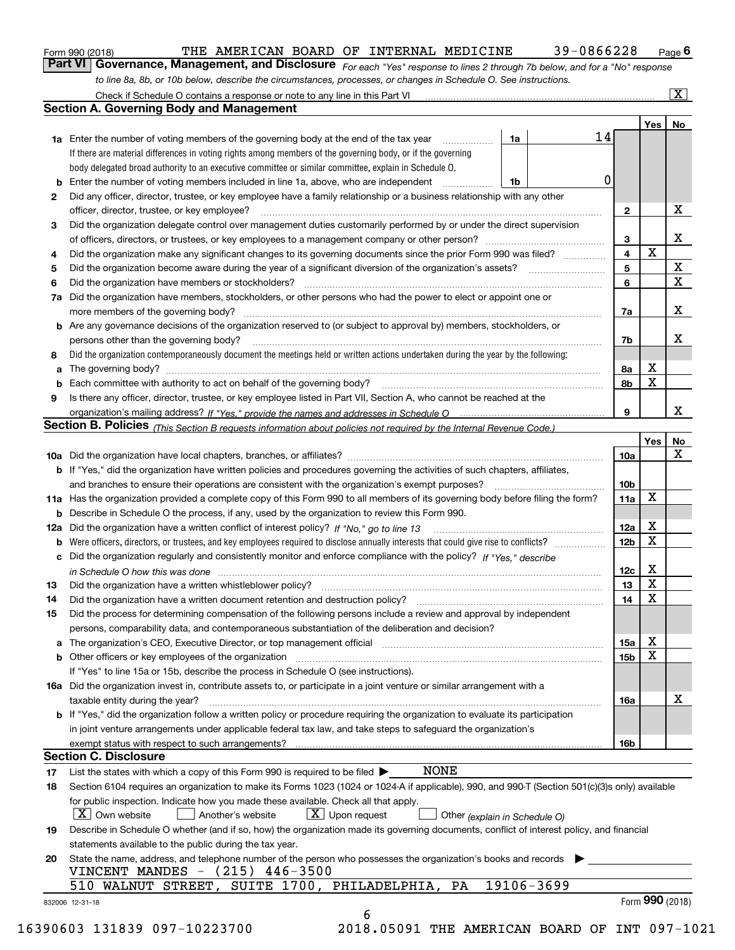| Form 990 (2018) |
|-----------------|
|-----------------|

# THE AMERICAN BOARD OF INTERNAL MEDICINE 39-0866228

*For each "Yes" response to lines 2 through 7b below, and for a "No" response to line 8a, 8b, or 10b below, describe the circumstances, processes, or changes in Schedule O. See instructions.* Form 990 (2018) **CONTAGE TO BE AMERICAN BOARD OF INTERNAL MEDICINE** 39 – 0866228 Page 6<br>**Part VI Governance, Management, and Disclosure** For each "Yes" response to lines 2 through 7b below, and for a "No" response

|    |                                                                                                                                                                                                                                |    |            | 14 |                         | Yes         | No                      |  |  |  |
|----|--------------------------------------------------------------------------------------------------------------------------------------------------------------------------------------------------------------------------------|----|------------|----|-------------------------|-------------|-------------------------|--|--|--|
|    | <b>1a</b> Enter the number of voting members of the governing body at the end of the tax year <i>manumum</i><br>If there are material differences in voting rights among members of the governing body, or if the governing    | 1a |            |    |                         |             |                         |  |  |  |
|    | body delegated broad authority to an executive committee or similar committee, explain in Schedule O.                                                                                                                          |    |            |    |                         |             |                         |  |  |  |
| b  | Enter the number of voting members included in line 1a, above, who are independent                                                                                                                                             | 1b |            | 0  |                         |             |                         |  |  |  |
| 2  |                                                                                                                                                                                                                                |    |            |    |                         |             |                         |  |  |  |
|    | Did any officer, director, trustee, or key employee have a family relationship or a business relationship with any other<br>officer, director, trustee, or key employee?                                                       |    |            |    |                         |             |                         |  |  |  |
| 3  | Did the organization delegate control over management duties customarily performed by or under the direct supervision                                                                                                          |    |            |    | $\mathbf{2}$            |             | X                       |  |  |  |
|    |                                                                                                                                                                                                                                |    |            |    | 3                       |             | X                       |  |  |  |
| 4  | Did the organization make any significant changes to its governing documents since the prior Form 990 was filed?                                                                                                               |    |            |    | $\overline{\mathbf{4}}$ | $\mathbf X$ |                         |  |  |  |
| 5  |                                                                                                                                                                                                                                |    |            |    | 5                       |             | $\mathbf X$             |  |  |  |
| 6  |                                                                                                                                                                                                                                |    |            |    | 6                       |             | $\overline{\mathbf{x}}$ |  |  |  |
| 7a | Did the organization have members, stockholders, or other persons who had the power to elect or appoint one or                                                                                                                 |    |            |    |                         |             |                         |  |  |  |
|    |                                                                                                                                                                                                                                |    |            |    |                         |             | X                       |  |  |  |
|    | <b>b</b> Are any governance decisions of the organization reserved to (or subject to approval by) members, stockholders, or                                                                                                    |    |            |    | 7a                      |             |                         |  |  |  |
|    | persons other than the governing body?                                                                                                                                                                                         |    |            |    | 7b                      |             | X                       |  |  |  |
| 8  | Did the organization contemporaneously document the meetings held or written actions undertaken during the year by the following:                                                                                              |    |            |    |                         |             |                         |  |  |  |
| a  |                                                                                                                                                                                                                                |    |            |    | 8a                      | X           |                         |  |  |  |
| b  |                                                                                                                                                                                                                                |    |            |    | 8b                      | X           |                         |  |  |  |
| 9  | Is there any officer, director, trustee, or key employee listed in Part VII, Section A, who cannot be reached at the                                                                                                           |    |            |    |                         |             |                         |  |  |  |
|    |                                                                                                                                                                                                                                |    |            |    | 9                       |             | х                       |  |  |  |
|    | Section B. Policies <sub>(This Section B requests information about policies not required by the Internal Revenue Code.)</sub>                                                                                                 |    |            |    |                         |             |                         |  |  |  |
|    |                                                                                                                                                                                                                                |    |            |    |                         | Yes         | No                      |  |  |  |
|    |                                                                                                                                                                                                                                |    |            |    | 10a                     |             | X                       |  |  |  |
|    | <b>b</b> If "Yes," did the organization have written policies and procedures governing the activities of such chapters, affiliates,                                                                                            |    |            |    |                         |             |                         |  |  |  |
|    |                                                                                                                                                                                                                                |    |            |    | 10b                     |             |                         |  |  |  |
|    | 11a Has the organization provided a complete copy of this Form 990 to all members of its governing body before filing the form?                                                                                                |    |            |    | 11a                     | X           |                         |  |  |  |
|    | <b>b</b> Describe in Schedule O the process, if any, used by the organization to review this Form 990.                                                                                                                         |    |            |    |                         |             |                         |  |  |  |
|    |                                                                                                                                                                                                                                |    |            |    | 12a                     | X           |                         |  |  |  |
| b  |                                                                                                                                                                                                                                |    |            |    | 12b                     | X           |                         |  |  |  |
| c  | Did the organization regularly and consistently monitor and enforce compliance with the policy? If "Yes," describe                                                                                                             |    |            |    |                         |             |                         |  |  |  |
|    | in Schedule O how this was done manufactured and contact the state of the state of the state of the state of t                                                                                                                 |    |            |    | 12c                     | X           |                         |  |  |  |
| 13 |                                                                                                                                                                                                                                |    |            |    | 13                      | X           |                         |  |  |  |
| 14 | Did the organization have a written document retention and destruction policy? manufactured and the organization have a written document retention and destruction policy?                                                     |    |            |    | 14                      | X           |                         |  |  |  |
| 15 | Did the process for determining compensation of the following persons include a review and approval by independent                                                                                                             |    |            |    |                         |             |                         |  |  |  |
|    | persons, comparability data, and contemporaneous substantiation of the deliberation and decision?                                                                                                                              |    |            |    |                         |             |                         |  |  |  |
| а  | The organization's CEO, Executive Director, or top management official manufactured content content of the organization's CEO, Executive Director, or top management official manufactured content of the original manufacture |    |            |    | 15a                     | X           |                         |  |  |  |
|    | <b>b</b> Other officers or key employees of the organization                                                                                                                                                                   |    |            |    | 15b                     | X           |                         |  |  |  |
|    | If "Yes" to line 15a or 15b, describe the process in Schedule O (see instructions).                                                                                                                                            |    |            |    |                         |             |                         |  |  |  |
|    | 16a Did the organization invest in, contribute assets to, or participate in a joint venture or similar arrangement with a                                                                                                      |    |            |    |                         |             |                         |  |  |  |
|    | taxable entity during the year?                                                                                                                                                                                                |    |            |    | 16a                     |             | X                       |  |  |  |
|    | b If "Yes," did the organization follow a written policy or procedure requiring the organization to evaluate its participation                                                                                                 |    |            |    |                         |             |                         |  |  |  |
|    | in joint venture arrangements under applicable federal tax law, and take steps to safeguard the organization's                                                                                                                 |    |            |    |                         |             |                         |  |  |  |
|    | exempt status with respect to such arrangements?                                                                                                                                                                               |    |            |    | 16b                     |             |                         |  |  |  |
|    | <b>Section C. Disclosure</b>                                                                                                                                                                                                   |    |            |    |                         |             |                         |  |  |  |
| 17 | <b>NONE</b><br>List the states with which a copy of this Form 990 is required to be filed $\blacktriangleright$                                                                                                                |    |            |    |                         |             |                         |  |  |  |
| 18 | Section 6104 requires an organization to make its Forms 1023 (1024 or 1024-A if applicable), 990, and 990-T (Section 501(c)(3)s only) available                                                                                |    |            |    |                         |             |                         |  |  |  |
|    | for public inspection. Indicate how you made these available. Check all that apply.<br>$X$ Upon request<br>  X   Own website<br>Another's website<br>Other (explain in Schedule O)                                             |    |            |    |                         |             |                         |  |  |  |
| 19 | Describe in Schedule O whether (and if so, how) the organization made its governing documents, conflict of interest policy, and financial<br>statements available to the public during the tax year.                           |    |            |    |                         |             |                         |  |  |  |
| 20 | State the name, address, and telephone number of the person who possesses the organization's books and records<br>VINCENT MANDES - (215) 446-3500                                                                              |    |            |    |                         |             |                         |  |  |  |
|    | 510 WALNUT STREET, SUITE 1700, PHILADELPHIA, PA                                                                                                                                                                                |    | 19106-3699 |    |                         |             |                         |  |  |  |
|    |                                                                                                                                                                                                                                |    |            |    |                         |             |                         |  |  |  |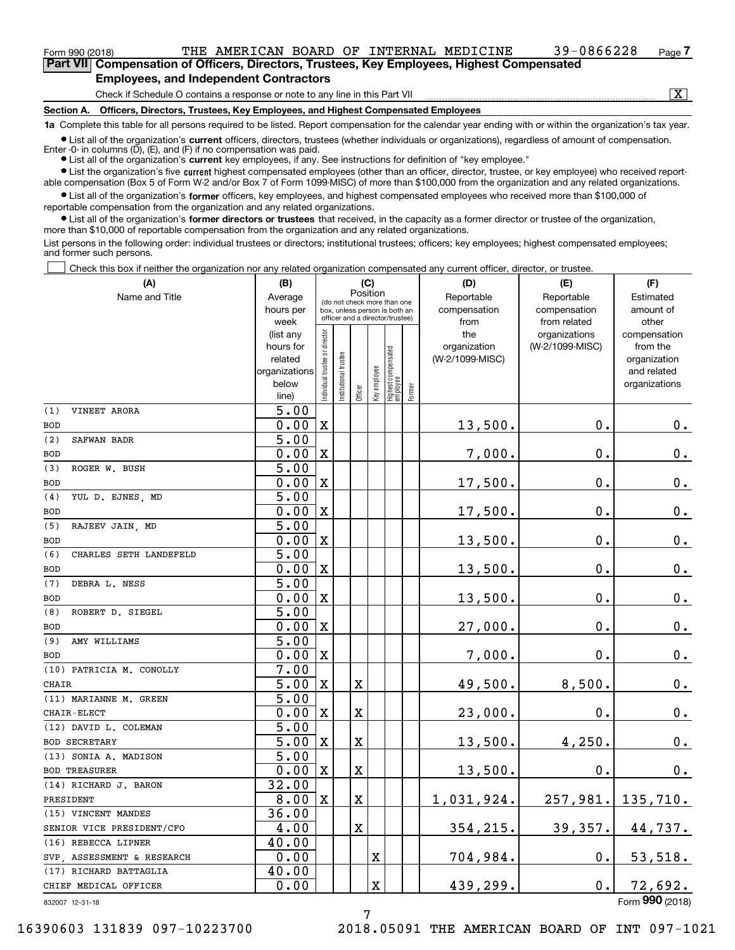# $_{\rm Form\ 990\ (2018)}$  THE AMERICAN BOARD OF INTERNAL MEDICINE 39-0866228 <sub>Page</sub>

**7Part VII Compensation of Officers, Directors, Trustees, Key Employees, Highest Compensated Employees, and Independent Contractors**

Check if Schedule O contains a response or note to any line in this Part VII

 $\boxed{\text{X}}$ 

**Section A. Officers, Directors, Trustees, Key Employees, and Highest Compensated Employees**

**1a**  Complete this table for all persons required to be listed. Report compensation for the calendar year ending with or within the organization's tax year. **•** List all of the organization's current officers, directors, trustees (whether individuals or organizations), regardless of amount of compensation.

Enter -0- in columns  $(D)$ ,  $(E)$ , and  $(F)$  if no compensation was paid.

● List all of the organization's **current** key employees, if any. See instructions for definition of "key employee."

**•** List the organization's five current highest compensated employees (other than an officer, director, trustee, or key employee) who received reportable compensation (Box 5 of Form W-2 and/or Box 7 of Form 1099-MISC) of more than \$100,000 from the organization and any related organizations.

 $\bullet$  List all of the organization's **former** officers, key employees, and highest compensated employees who received more than \$100,000 of reportable compensation from the organization and any related organizations.

**•** List all of the organization's former directors or trustees that received, in the capacity as a former director or trustee of the organization, more than \$10,000 of reportable compensation from the organization and any related organizations.

List persons in the following order: individual trustees or directors; institutional trustees; officers; key employees; highest compensated employees; and former such persons.

Check this box if neither the organization nor any related organization compensated any current officer, director, or trustee.  $\mathcal{L}^{\text{max}}$ 

| (A)                           | (B)                    |                                         |                                                                  | (C)     |              |                                  |        | (D)             | (E)                              | (F)                      |
|-------------------------------|------------------------|-----------------------------------------|------------------------------------------------------------------|---------|--------------|----------------------------------|--------|-----------------|----------------------------------|--------------------------|
| Name and Title                | Average                | Position<br>(do not check more than one |                                                                  |         |              |                                  |        | Reportable      | Reportable                       | Estimated                |
|                               | hours per              |                                         | box, unless person is both an<br>officer and a director/trustee) |         |              |                                  |        | compensation    | compensation                     | amount of                |
|                               | week                   |                                         |                                                                  |         |              |                                  |        | from<br>the     | from related                     | other                    |
|                               | (list any<br>hours for |                                         |                                                                  |         |              |                                  |        | organization    | organizations<br>(W-2/1099-MISC) | compensation<br>from the |
|                               | related                |                                         | trustee                                                          |         |              |                                  |        | (W-2/1099-MISC) |                                  | organization             |
|                               | organizations          |                                         |                                                                  |         |              |                                  |        |                 |                                  | and related              |
|                               | below                  | Individual trustee or director          | Institutional t                                                  |         | Key employee |                                  |        |                 |                                  | organizations            |
|                               | line)                  |                                         |                                                                  | Officer |              | Highest compensated<br> employee | Former |                 |                                  |                          |
| VINEET ARORA<br>(1)           | $\overline{5.00}$      |                                         |                                                                  |         |              |                                  |        |                 |                                  |                          |
| <b>BOD</b>                    | 0.00                   | X                                       |                                                                  |         |              |                                  |        | 13,500.         | 0.                               | 0.                       |
| (2)<br>SAFWAN BADR            | 5.00                   |                                         |                                                                  |         |              |                                  |        |                 |                                  |                          |
| <b>BOD</b>                    | 0.00                   | $\mathbf X$                             |                                                                  |         |              |                                  |        | 7,000.          | 0.                               | 0.                       |
| (3)<br>ROGER W. BUSH          | $\overline{5.00}$      |                                         |                                                                  |         |              |                                  |        |                 |                                  |                          |
| <b>BOD</b>                    | 0.00                   | $\mathbf X$                             |                                                                  |         |              |                                  |        | 17,500.         | 0.                               | $\mathbf 0$ .            |
| YUL D. EJNES, MD<br>(4)       | 5.00                   |                                         |                                                                  |         |              |                                  |        |                 |                                  |                          |
| <b>BOD</b>                    | 0.00                   | $\mathbf X$                             |                                                                  |         |              |                                  |        | 17,500.         | 0.                               | $0_{.}$                  |
| (5)<br>RAJEEV JAIN, MD        | 5.00                   |                                         |                                                                  |         |              |                                  |        |                 |                                  |                          |
| <b>BOD</b>                    | 0.00                   | $\mathbf X$                             |                                                                  |         |              |                                  |        | 13,500.         | 0.                               | $\mathbf 0$ .            |
| (6)<br>CHARLES SETH LANDEFELD | 5.00                   |                                         |                                                                  |         |              |                                  |        |                 |                                  |                          |
| <b>BOD</b>                    | 0.00                   | $\mathbf X$                             |                                                                  |         |              |                                  |        | 13,500.         | 0.                               | $\mathbf 0$ .            |
| (7)<br>DEBRA L. NESS          | 5.00                   |                                         |                                                                  |         |              |                                  |        |                 |                                  |                          |
| <b>BOD</b>                    | 0.00                   | $\mathbf X$                             |                                                                  |         |              |                                  |        | 13,500.         | 0.                               | $\mathbf 0$ .            |
| ROBERT D. SIEGEL<br>(8)       | 5.00                   |                                         |                                                                  |         |              |                                  |        |                 |                                  |                          |
| <b>BOD</b>                    | 0.00                   | $\mathbf X$                             |                                                                  |         |              |                                  |        | 27,000.         | $\mathbf 0$ .                    | $\mathbf 0$ .            |
| AMY WILLIAMS<br>(9)           | 5.00                   |                                         |                                                                  |         |              |                                  |        |                 |                                  |                          |
| <b>BOD</b>                    | 0.00                   | $\mathbf X$                             |                                                                  |         |              |                                  |        | 7,000.          | $\mathbf 0$ .                    | $\mathbf 0$ .            |
| (10) PATRICIA M. CONOLLY      | $\overline{7.00}$      |                                         |                                                                  |         |              |                                  |        |                 |                                  |                          |
| <b>CHAIR</b>                  | 5.00                   | $\mathbf X$                             |                                                                  | X       |              |                                  |        | 49,500.         | 8,500.                           | $\mathbf 0$ .            |
| (11) MARIANNE M. GREEN        | 5.00                   |                                         |                                                                  |         |              |                                  |        |                 |                                  |                          |
| CHAIR-ELECT                   | 0.00                   | $\mathbf X$                             |                                                                  | X       |              |                                  |        | 23,000.         | $\mathbf 0$ .                    | 0.                       |
| (12) DAVID L. COLEMAN         | 5.00                   |                                         |                                                                  |         |              |                                  |        |                 |                                  |                          |
| <b>BOD SECRETARY</b>          | 5.00                   | $\mathbf x$                             |                                                                  | X       |              |                                  |        | 13,500.         | 4,250.                           | $\mathbf 0$ .            |
| (13) SONIA A. MADISON         | 5.00                   |                                         |                                                                  |         |              |                                  |        |                 |                                  |                          |
| <b>BOD TREASURER</b>          | 0.00                   | $\mathbf X$                             |                                                                  | X       |              |                                  |        | 13,500.         | 0.                               | $0_{.}$                  |
| (14) RICHARD J. BARON         | 32.00                  |                                         |                                                                  |         |              |                                  |        |                 |                                  |                          |
| PRESIDENT                     | 8.00                   | X                                       |                                                                  | X       |              |                                  |        | 1,031,924.      | 257,981.                         | 135,710.                 |
| (15) VINCENT MANDES           | 36.00                  |                                         |                                                                  |         |              |                                  |        |                 |                                  |                          |
| SENIOR VICE PRESIDENT/CFO     | 4.00                   |                                         |                                                                  | X       |              |                                  |        | 354,215.        | 39,357.                          | 44,737.                  |
| (16) REBECCA LIPNER           | 40.00                  |                                         |                                                                  |         |              |                                  |        |                 |                                  |                          |
| SVP, ASSESSMENT & RESEARCH    | 0.00                   |                                         |                                                                  |         | X            |                                  |        | 704,984.        | 0.                               | 53,518.                  |
| (17) RICHARD BATTAGLIA        | 40.00                  |                                         |                                                                  |         |              |                                  |        |                 |                                  |                          |
| CHIEF MEDICAL OFFICER         | 0.00                   |                                         |                                                                  |         | X            |                                  |        | 439,299.        | 0.                               | <u>72,692.</u>           |
| 832007 12-31-18               |                        |                                         |                                                                  |         |              |                                  |        |                 |                                  | Form 990 (2018)          |

832007 12-31-18

16390603 131839 097-10223700 2018.05091 THE AMERICAN BOARD OF INT 097-1021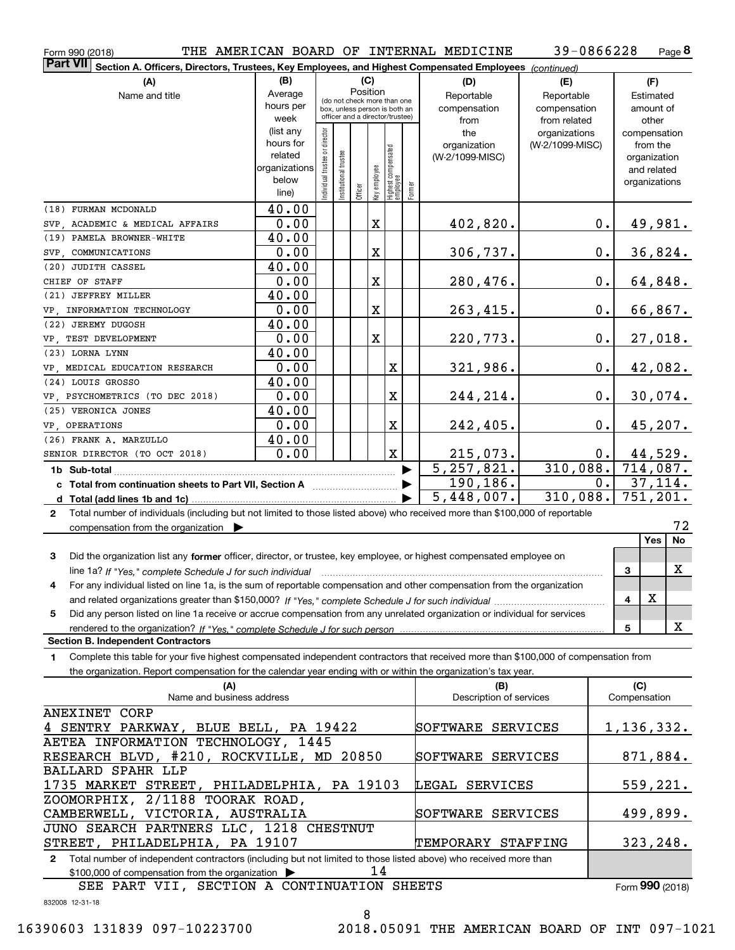**8** 39-0866228

| THE AMERICAN BOARD OF INTERNAL MEDICINE<br>Form 990 (2018)                                                                                   |                                                                   |                                |                       |          |                                                 |                                                              |  |                         | 39-0866228                     |       |               | Page 8          |
|----------------------------------------------------------------------------------------------------------------------------------------------|-------------------------------------------------------------------|--------------------------------|-----------------------|----------|-------------------------------------------------|--------------------------------------------------------------|--|-------------------------|--------------------------------|-------|---------------|-----------------|
| <b>Part VII</b><br>Section A. Officers, Directors, Trustees, Key Employees, and Highest Compensated Employees (continued)                    |                                                                   |                                |                       |          |                                                 |                                                              |  |                         |                                |       |               |                 |
| (A)                                                                                                                                          | (B)                                                               |                                |                       | (C)      |                                                 |                                                              |  | (D)                     | (E)                            |       | (F)           |                 |
| Name and title                                                                                                                               | Average                                                           |                                |                       | Position |                                                 |                                                              |  | Reportable              | Reportable                     |       | Estimated     |                 |
|                                                                                                                                              | hours per                                                         |                                |                       |          |                                                 | (do not check more than one<br>box, unless person is both an |  | compensation            | compensation                   |       | amount of     |                 |
|                                                                                                                                              | week                                                              |                                |                       |          |                                                 | officer and a director/trustee)                              |  | from                    | from related                   |       | other         |                 |
|                                                                                                                                              | (list any                                                         |                                |                       |          |                                                 |                                                              |  | the                     | organizations                  |       | compensation  |                 |
|                                                                                                                                              | hours for                                                         |                                |                       |          |                                                 |                                                              |  | organization            | (W-2/1099-MISC)                |       | from the      |                 |
|                                                                                                                                              | related                                                           |                                |                       |          |                                                 |                                                              |  | (W-2/1099-MISC)         |                                |       | organization  |                 |
|                                                                                                                                              | organizations                                                     |                                |                       |          |                                                 |                                                              |  |                         |                                |       | and related   |                 |
|                                                                                                                                              | below                                                             | Individual trustee or director | Institutional trustee |          |                                                 |                                                              |  |                         |                                |       | organizations |                 |
|                                                                                                                                              | line)                                                             |                                |                       | Officer  | Key employee<br>Highest compensated<br>employee | Former                                                       |  |                         |                                |       |               |                 |
| (18) FURMAN MCDONALD                                                                                                                         | 40.00                                                             |                                |                       |          |                                                 |                                                              |  |                         |                                |       |               |                 |
| SVP, ACADEMIC & MEDICAL AFFAIRS                                                                                                              | 0.00                                                              |                                |                       |          | $\mathbf X$                                     |                                                              |  | 402,820.                |                                | 0.    |               | 49,981.         |
| (19) PAMELA BROWNER-WHITE                                                                                                                    | 40.00                                                             |                                |                       |          |                                                 |                                                              |  |                         |                                |       |               |                 |
| SVP, COMMUNICATIONS                                                                                                                          | 0.00                                                              |                                |                       |          | X                                               |                                                              |  | 306,737.                |                                | $0$ . |               | 36,824.         |
| (20) JUDITH CASSEL                                                                                                                           | 40.00                                                             |                                |                       |          |                                                 |                                                              |  |                         |                                |       |               |                 |
| CHIEF OF STAFF                                                                                                                               | 0.00                                                              |                                |                       |          | X                                               |                                                              |  | 280,476.                |                                | $0$ . |               | 64,848.         |
| (21) JEFFREY MILLER                                                                                                                          | 40.00                                                             |                                |                       |          |                                                 |                                                              |  |                         |                                |       |               |                 |
| VP, INFORMATION TECHNOLOGY                                                                                                                   | 0.00                                                              |                                |                       |          | $\mathbf X$                                     |                                                              |  | 263,415.                |                                | $0$ . |               | 66,867.         |
| (22) JEREMY DUGOSH                                                                                                                           | 40.00                                                             |                                |                       |          |                                                 |                                                              |  |                         |                                |       |               |                 |
|                                                                                                                                              |                                                                   |                                |                       |          |                                                 |                                                              |  |                         |                                |       |               |                 |
| VP, TEST DEVELOPMENT                                                                                                                         | 0.00                                                              |                                |                       |          | $\mathbf x$                                     |                                                              |  | 220,773.                |                                | $0$ . |               | 27,018.         |
| (23) LORNA LYNN                                                                                                                              | 40.00                                                             |                                |                       |          |                                                 |                                                              |  |                         |                                |       |               |                 |
| VP, MEDICAL EDUCATION RESEARCH                                                                                                               | 0.00                                                              |                                |                       |          |                                                 | X                                                            |  | 321,986.                |                                | $0$ . |               | 42,082.         |
| (24) LOUIS GROSSO                                                                                                                            | 40.00                                                             |                                |                       |          |                                                 |                                                              |  |                         |                                |       |               |                 |
| VP, PSYCHOMETRICS (TO DEC 2018)                                                                                                              | 0.00                                                              |                                |                       |          |                                                 | X                                                            |  | 244,214.                |                                | $0$ . |               | 30,074.         |
| (25) VERONICA JONES                                                                                                                          | 40.00                                                             |                                |                       |          |                                                 |                                                              |  |                         |                                |       |               |                 |
| VP, OPERATIONS                                                                                                                               | 0.00                                                              |                                |                       |          |                                                 | X                                                            |  | 242,405.                |                                | $0$ . |               | 45, 207.        |
| (26) FRANK A. MARZULLO                                                                                                                       | 40.00                                                             |                                |                       |          |                                                 |                                                              |  |                         |                                |       |               |                 |
| SENIOR DIRECTOR (TO OCT 2018)                                                                                                                | 0.00                                                              |                                |                       |          |                                                 | $\mathbf X$                                                  |  | 215,073.                |                                | 0.    |               | 44,529.         |
| 1b Sub-total                                                                                                                                 |                                                                   |                                |                       |          |                                                 |                                                              |  | 5, 257, 821.            | $\overline{310,088.}$ 714,087. |       |               |                 |
| c Total from continuation sheets to Part VII, Section A <b>Constanting the Continuum</b>                                                     |                                                                   |                                |                       |          |                                                 |                                                              |  | 190, 186.               |                                | 0.    |               | 37,114.         |
|                                                                                                                                              |                                                                   |                                |                       |          |                                                 |                                                              |  | 5,448,007.              | 310,088.                       |       |               | 751,201.        |
| Total number of individuals (including but not limited to those listed above) who received more than \$100,000 of reportable<br>$\mathbf{2}$ |                                                                   |                                |                       |          |                                                 |                                                              |  |                         |                                |       |               |                 |
|                                                                                                                                              |                                                                   |                                |                       |          |                                                 |                                                              |  |                         |                                |       |               | 72              |
| compensation from the organization $\blacktriangleright$                                                                                     |                                                                   |                                |                       |          |                                                 |                                                              |  |                         |                                |       | Yes           | No              |
|                                                                                                                                              |                                                                   |                                |                       |          |                                                 |                                                              |  |                         |                                |       |               |                 |
| 3<br>Did the organization list any former officer, director, or trustee, key employee, or highest compensated employee on                    |                                                                   |                                |                       |          |                                                 |                                                              |  |                         |                                |       |               |                 |
| line 1a? If "Yes," complete Schedule J for such individual manufactured contained and the Yes," complete Schedule J for such individual      |                                                                   |                                |                       |          |                                                 |                                                              |  |                         |                                |       | 3             | X               |
| For any individual listed on line 1a, is the sum of reportable compensation and other compensation from the organization                     |                                                                   |                                |                       |          |                                                 |                                                              |  |                         |                                |       |               |                 |
|                                                                                                                                              |                                                                   |                                |                       |          |                                                 |                                                              |  |                         |                                |       | X<br>4        |                 |
| Did any person listed on line 1a receive or accrue compensation from any unrelated organization or individual for services<br>5              |                                                                   |                                |                       |          |                                                 |                                                              |  |                         |                                |       |               |                 |
|                                                                                                                                              |                                                                   |                                |                       |          |                                                 |                                                              |  |                         |                                |       | 5             | X               |
| <b>Section B. Independent Contractors</b>                                                                                                    |                                                                   |                                |                       |          |                                                 |                                                              |  |                         |                                |       |               |                 |
| Complete this table for your five highest compensated independent contractors that received more than \$100,000 of compensation from<br>1    |                                                                   |                                |                       |          |                                                 |                                                              |  |                         |                                |       |               |                 |
| the organization. Report compensation for the calendar year ending with or within the organization's tax year.                               |                                                                   |                                |                       |          |                                                 |                                                              |  |                         |                                |       |               |                 |
| (A)                                                                                                                                          |                                                                   |                                |                       |          |                                                 |                                                              |  | (B)                     |                                |       | (C)           |                 |
| Name and business address                                                                                                                    |                                                                   |                                |                       |          |                                                 |                                                              |  | Description of services |                                |       | Compensation  |                 |
| ANEXINET CORP                                                                                                                                |                                                                   |                                |                       |          |                                                 |                                                              |  |                         |                                |       |               |                 |
| 4 SENTRY PARKWAY, BLUE BELL, PA 19422                                                                                                        |                                                                   |                                |                       |          |                                                 |                                                              |  | SOFTWARE SERVICES       |                                |       |               | 1,136,332.      |
| AETEA INFORMATION TECHNOLOGY, 1445                                                                                                           |                                                                   |                                |                       |          |                                                 |                                                              |  |                         |                                |       |               |                 |
| RESEARCH BLVD, #210, ROCKVILLE, MD 20850                                                                                                     |                                                                   |                                |                       |          |                                                 |                                                              |  | SOFTWARE SERVICES       |                                |       |               | 871,884.        |
| <b>BALLARD SPAHR LLP</b>                                                                                                                     |                                                                   |                                |                       |          |                                                 |                                                              |  |                         |                                |       |               |                 |
|                                                                                                                                              |                                                                   |                                |                       |          |                                                 |                                                              |  |                         |                                |       |               |                 |
| 1735 MARKET STREET, PHILADELPHIA, PA 19103<br>LEGAL SERVICES                                                                                 |                                                                   |                                |                       |          |                                                 |                                                              |  |                         |                                |       | 559,221.      |                 |
| ZOOMORPHIX, 2/1188 TOORAK ROAD,                                                                                                              |                                                                   |                                |                       |          |                                                 |                                                              |  |                         |                                |       |               |                 |
| CAMBERWELL, VICTORIA, AUSTRALIA                                                                                                              |                                                                   |                                |                       |          |                                                 |                                                              |  | SOFTWARE SERVICES       |                                |       |               | 499,899.        |
| JUNO SEARCH PARTNERS LLC, 1218 CHESTNUT                                                                                                      |                                                                   |                                |                       |          |                                                 |                                                              |  |                         |                                |       |               |                 |
|                                                                                                                                              | STREET, PHILADELPHIA, PA 19107<br>TEMPORARY STAFFING<br>323, 248. |                                |                       |          |                                                 |                                                              |  |                         |                                |       |               |                 |
| Total number of independent contractors (including but not limited to those listed above) who received more than<br>$\mathbf{2}$             |                                                                   |                                |                       |          |                                                 |                                                              |  |                         |                                |       |               |                 |
| \$100,000 of compensation from the organization                                                                                              |                                                                   |                                |                       |          | 14                                              |                                                              |  |                         |                                |       |               |                 |
| SEE PART VII, SECTION A CONTINUATION SHEETS                                                                                                  |                                                                   |                                |                       |          |                                                 |                                                              |  |                         |                                |       |               | Form 990 (2018) |

832008 12-31-18

16390603 131839 097-10223700 2018.05091 THE AMERICAN BOARD OF INT 097-1021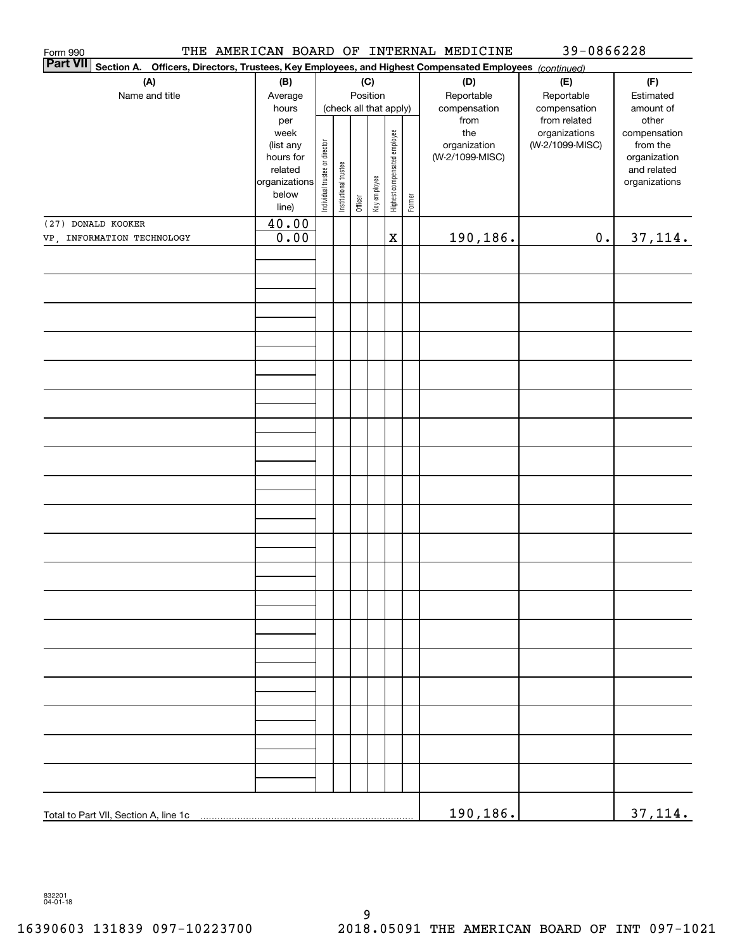| Form 990<br><b>Part VII</b> |                                       |                          |                                |                       |         |              |                              |        | THE AMERICAN BOARD OF INTERNAL MEDICINE                                                     | 39-0866228                                                       |                                    |  |
|-----------------------------|---------------------------------------|--------------------------|--------------------------------|-----------------------|---------|--------------|------------------------------|--------|---------------------------------------------------------------------------------------------|------------------------------------------------------------------|------------------------------------|--|
|                             | Section A.                            |                          |                                |                       |         |              |                              |        | Officers, Directors, Trustees, Key Employees, and Highest Compensated Employees (continued) |                                                                  |                                    |  |
|                             | (A)                                   | (B)                      |                                |                       |         | (C)          |                              |        | (D)                                                                                         | (E)                                                              | (F)                                |  |
|                             | Name and title                        | Average                  |                                |                       |         | Position     |                              |        | Reportable                                                                                  | Reportable                                                       | Estimated                          |  |
|                             |                                       | hours<br>per<br>week     |                                |                       |         |              | (check all that apply)       |        | compensation<br>from<br>the<br>organization                                                 | compensation<br>from related<br>organizations<br>(W-2/1099-MISC) | amount of<br>other<br>compensation |  |
|                             |                                       | (list any                |                                |                       |         |              | Highest compensated employee |        |                                                                                             |                                                                  | from the                           |  |
|                             |                                       | hours for                |                                |                       |         |              |                              |        | (W-2/1099-MISC)                                                                             |                                                                  | organization                       |  |
|                             |                                       | related<br>organizations |                                |                       |         |              |                              |        |                                                                                             |                                                                  | and related<br>organizations       |  |
|                             |                                       | below                    | Individual trustee or director | Institutional trustee |         | Key employee |                              |        |                                                                                             |                                                                  |                                    |  |
|                             |                                       | line)                    |                                |                       | Officer |              |                              | Former |                                                                                             |                                                                  |                                    |  |
|                             | (27) DONALD KOOKER                    | 40.00                    |                                |                       |         |              |                              |        |                                                                                             |                                                                  |                                    |  |
|                             | VP, INFORMATION TECHNOLOGY            | 0.00                     |                                |                       |         |              | $\rm X$                      |        | <u>190,186.</u>                                                                             | $\mathbf 0$ .                                                    | 37, 114.                           |  |
|                             |                                       |                          |                                |                       |         |              |                              |        |                                                                                             |                                                                  |                                    |  |
|                             |                                       |                          |                                |                       |         |              |                              |        |                                                                                             |                                                                  |                                    |  |
|                             |                                       |                          |                                |                       |         |              |                              |        |                                                                                             |                                                                  |                                    |  |
|                             |                                       |                          |                                |                       |         |              |                              |        |                                                                                             |                                                                  |                                    |  |
|                             |                                       |                          |                                |                       |         |              |                              |        |                                                                                             |                                                                  |                                    |  |
|                             |                                       |                          |                                |                       |         |              |                              |        |                                                                                             |                                                                  |                                    |  |
|                             |                                       |                          |                                |                       |         |              |                              |        |                                                                                             |                                                                  |                                    |  |
|                             |                                       |                          |                                |                       |         |              |                              |        |                                                                                             |                                                                  |                                    |  |
|                             |                                       |                          |                                |                       |         |              |                              |        |                                                                                             |                                                                  |                                    |  |
|                             |                                       |                          |                                |                       |         |              |                              |        |                                                                                             |                                                                  |                                    |  |
|                             |                                       |                          |                                |                       |         |              |                              |        |                                                                                             |                                                                  |                                    |  |
|                             |                                       |                          |                                |                       |         |              |                              |        |                                                                                             |                                                                  |                                    |  |
|                             |                                       |                          |                                |                       |         |              |                              |        |                                                                                             |                                                                  |                                    |  |
|                             |                                       |                          |                                |                       |         |              |                              |        |                                                                                             |                                                                  |                                    |  |
|                             |                                       |                          |                                |                       |         |              |                              |        |                                                                                             |                                                                  |                                    |  |
|                             |                                       |                          |                                |                       |         |              |                              |        |                                                                                             |                                                                  |                                    |  |
|                             |                                       |                          |                                |                       |         |              |                              |        |                                                                                             |                                                                  |                                    |  |
|                             |                                       |                          |                                |                       |         |              |                              |        |                                                                                             |                                                                  |                                    |  |
|                             |                                       |                          |                                |                       |         |              |                              |        |                                                                                             |                                                                  |                                    |  |
|                             |                                       |                          |                                |                       |         |              |                              |        |                                                                                             |                                                                  |                                    |  |
|                             |                                       |                          |                                |                       |         |              |                              |        |                                                                                             |                                                                  |                                    |  |
|                             |                                       |                          |                                |                       |         |              |                              |        |                                                                                             |                                                                  |                                    |  |
|                             |                                       |                          |                                |                       |         |              |                              |        |                                                                                             |                                                                  |                                    |  |
|                             |                                       |                          |                                |                       |         |              |                              |        |                                                                                             |                                                                  |                                    |  |
|                             |                                       |                          |                                |                       |         |              |                              |        |                                                                                             |                                                                  |                                    |  |
|                             |                                       |                          |                                |                       |         |              |                              |        |                                                                                             |                                                                  |                                    |  |
|                             |                                       |                          |                                |                       |         |              |                              |        |                                                                                             |                                                                  |                                    |  |
|                             |                                       |                          |                                |                       |         |              |                              |        |                                                                                             |                                                                  |                                    |  |
|                             |                                       |                          |                                |                       |         |              |                              |        |                                                                                             |                                                                  |                                    |  |
|                             |                                       |                          |                                |                       |         |              |                              |        |                                                                                             |                                                                  |                                    |  |
|                             |                                       |                          |                                |                       |         |              |                              |        |                                                                                             |                                                                  |                                    |  |
|                             |                                       |                          |                                |                       |         |              |                              |        |                                                                                             |                                                                  |                                    |  |
|                             |                                       |                          |                                |                       |         |              |                              |        |                                                                                             |                                                                  |                                    |  |
|                             |                                       |                          |                                |                       |         |              |                              |        |                                                                                             |                                                                  |                                    |  |
|                             |                                       |                          |                                |                       |         |              |                              |        |                                                                                             |                                                                  |                                    |  |
|                             |                                       |                          |                                |                       |         |              |                              |        |                                                                                             |                                                                  |                                    |  |
|                             | Total to Part VII, Section A, line 1c |                          |                                |                       |         |              |                              |        | 190,186.                                                                                    |                                                                  | 37,114.                            |  |

832201 04-01-18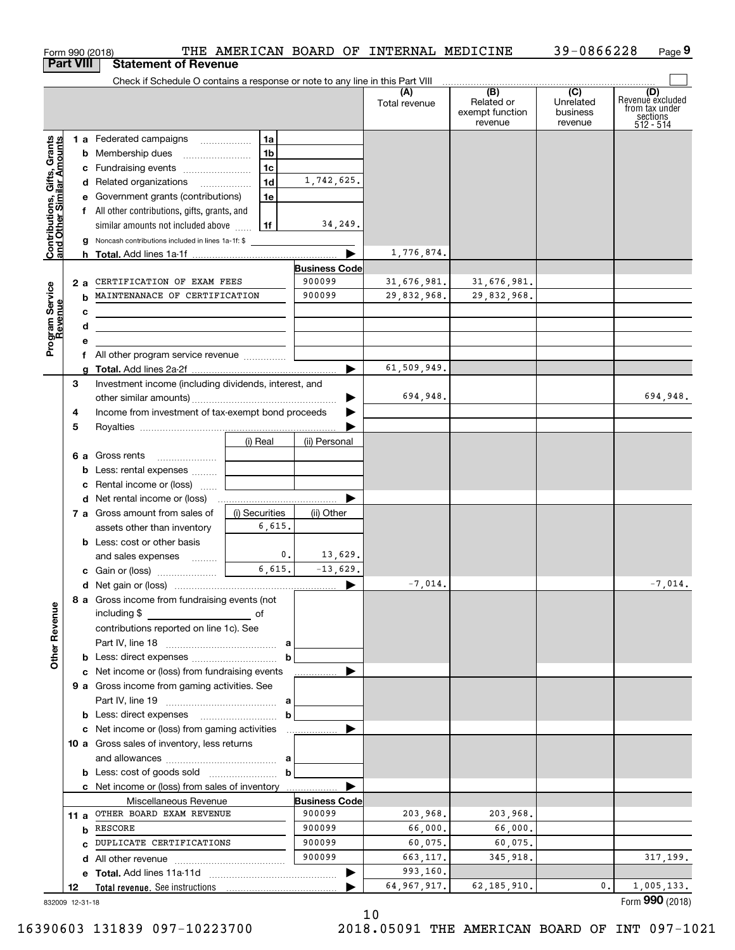| Form 990 (2018)<br><b>Part VIII</b>                       |    | <b>Statement of Revenue</b>                                                                                          |                |                                | THE AMERICAN BOARD OF INTERNAL MEDICINE |                                                 | 39-0866228                                         | Page 9                                                             |
|-----------------------------------------------------------|----|----------------------------------------------------------------------------------------------------------------------|----------------|--------------------------------|-----------------------------------------|-------------------------------------------------|----------------------------------------------------|--------------------------------------------------------------------|
|                                                           |    | Check if Schedule O contains a response or note to any line in this Part VIII                                        |                |                                |                                         |                                                 |                                                    |                                                                    |
|                                                           |    |                                                                                                                      |                |                                | (A)<br>Total revenue                    | (B)<br>Related or<br>exempt function<br>revenue | $\overline{C}$<br>Unrelated<br>business<br>revenue | (D)<br>Revenuè excluded<br>from tax under<br>sections<br>512 - 514 |
|                                                           |    | 1 a Federated campaigns                                                                                              | 1a             |                                |                                         |                                                 |                                                    |                                                                    |
|                                                           |    |                                                                                                                      | 1 <sub>b</sub> |                                |                                         |                                                 |                                                    |                                                                    |
|                                                           |    | c Fundraising events                                                                                                 | 1c             |                                |                                         |                                                 |                                                    |                                                                    |
|                                                           |    | d Related organizations                                                                                              | 1d             | 1,742,625.                     |                                         |                                                 |                                                    |                                                                    |
|                                                           |    | e Government grants (contributions)                                                                                  | 1e             |                                |                                         |                                                 |                                                    |                                                                    |
|                                                           |    | f All other contributions, gifts, grants, and                                                                        |                |                                |                                         |                                                 |                                                    |                                                                    |
|                                                           |    | similar amounts not included above                                                                                   | 1f             | 34,249.                        |                                         |                                                 |                                                    |                                                                    |
| Contributions, Gifts, Grants<br>and Other Similar Amounts |    | g Noncash contributions included in lines 1a-1f: \$                                                                  |                |                                |                                         |                                                 |                                                    |                                                                    |
|                                                           |    |                                                                                                                      |                |                                | 1,776,874.                              |                                                 |                                                    |                                                                    |
|                                                           |    |                                                                                                                      |                | <b>Business Code</b><br>900099 |                                         |                                                 |                                                    |                                                                    |
|                                                           | 2a | CERTIFICATION OF EXAM FEES                                                                                           |                | 900099                         | 31,676,981.<br>29,832,968.              | 31,676,981.                                     |                                                    |                                                                    |
|                                                           | b  | MAINTENANACE OF CERTIFICATION                                                                                        |                |                                |                                         | 29,832,968.                                     |                                                    |                                                                    |
|                                                           | с  | the control of the control of the control of the control of the control of the control of                            |                |                                |                                         |                                                 |                                                    |                                                                    |
|                                                           | d  | <u> 1989 - Johann Barbara, martin amerikan basar dan berasal dalam basa dalam basar dalam basar dalam basa dalam</u> |                |                                |                                         |                                                 |                                                    |                                                                    |
| Program Service<br>Revenue                                | е  | f All other program service revenue                                                                                  |                |                                |                                         |                                                 |                                                    |                                                                    |
|                                                           |    |                                                                                                                      |                |                                | 61,509,949.                             |                                                 |                                                    |                                                                    |
|                                                           | 3  | Investment income (including dividends, interest, and                                                                |                |                                |                                         |                                                 |                                                    |                                                                    |
|                                                           |    |                                                                                                                      |                |                                | 694,948.                                |                                                 |                                                    | 694,948.                                                           |
|                                                           | 4  | Income from investment of tax-exempt bond proceeds                                                                   |                |                                |                                         |                                                 |                                                    |                                                                    |
|                                                           | 5  |                                                                                                                      |                |                                |                                         |                                                 |                                                    |                                                                    |
|                                                           |    |                                                                                                                      | (i) Real       | (ii) Personal                  |                                         |                                                 |                                                    |                                                                    |
|                                                           |    | 6 a Gross rents                                                                                                      |                |                                |                                         |                                                 |                                                    |                                                                    |
|                                                           |    | <b>b</b> Less: rental expenses                                                                                       |                |                                |                                         |                                                 |                                                    |                                                                    |
|                                                           |    | c Rental income or (loss)                                                                                            |                |                                |                                         |                                                 |                                                    |                                                                    |
|                                                           |    |                                                                                                                      |                |                                |                                         |                                                 |                                                    |                                                                    |
|                                                           |    | 7 a Gross amount from sales of                                                                                       | (i) Securities | (ii) Other                     |                                         |                                                 |                                                    |                                                                    |
|                                                           |    | assets other than inventory                                                                                          | 6,615.         |                                |                                         |                                                 |                                                    |                                                                    |
|                                                           |    | <b>b</b> Less: cost or other basis                                                                                   |                |                                |                                         |                                                 |                                                    |                                                                    |
|                                                           |    | and sales expenses                                                                                                   | 0.             | 13,629.                        |                                         |                                                 |                                                    |                                                                    |
|                                                           |    |                                                                                                                      | 6,615.         | $-13,629.$                     |                                         |                                                 |                                                    |                                                                    |
|                                                           |    |                                                                                                                      |                |                                | $-7,014.$                               |                                                 |                                                    | $-7,014.$                                                          |
| <b>Other Revenue</b>                                      |    | 8 a Gross income from fundraising events (not<br>including \$                                                        |                |                                |                                         |                                                 |                                                    |                                                                    |
|                                                           |    | contributions reported on line 1c). See                                                                              |                |                                |                                         |                                                 |                                                    |                                                                    |
|                                                           |    |                                                                                                                      |                |                                |                                         |                                                 |                                                    |                                                                    |
|                                                           |    |                                                                                                                      | $\mathbf b$    |                                |                                         |                                                 |                                                    |                                                                    |
|                                                           |    | c Net income or (loss) from fundraising events                                                                       |                |                                |                                         |                                                 |                                                    |                                                                    |
|                                                           |    | 9 a Gross income from gaming activities. See                                                                         |                |                                |                                         |                                                 |                                                    |                                                                    |
|                                                           |    |                                                                                                                      |                |                                |                                         |                                                 |                                                    |                                                                    |
|                                                           |    |                                                                                                                      | b              |                                |                                         |                                                 |                                                    |                                                                    |
|                                                           |    |                                                                                                                      |                |                                |                                         |                                                 |                                                    |                                                                    |
|                                                           |    | 10 a Gross sales of inventory, less returns                                                                          |                |                                |                                         |                                                 |                                                    |                                                                    |
|                                                           |    |                                                                                                                      |                |                                |                                         |                                                 |                                                    |                                                                    |
|                                                           |    |                                                                                                                      | $\mathbf b$    |                                |                                         |                                                 |                                                    |                                                                    |
|                                                           |    | <b>c</b> Net income or (loss) from sales of inventory                                                                |                |                                |                                         |                                                 |                                                    |                                                                    |
|                                                           |    | Miscellaneous Revenue<br>11 a OTHER BOARD EXAM REVENUE                                                               |                | <b>Business Code</b><br>900099 |                                         |                                                 |                                                    |                                                                    |
|                                                           |    | <b>b</b> RESCORE                                                                                                     |                | 900099                         | 203,968.<br>66,000.                     | 203,968.<br>66,000.                             |                                                    |                                                                    |
|                                                           |    | C DUPLICATE CERTIFICATIONS                                                                                           |                | 900099                         | 60,075.                                 | 60,075.                                         |                                                    |                                                                    |
|                                                           |    |                                                                                                                      |                | 900099                         | 663,117.                                | 345,918.                                        |                                                    | 317, 199.                                                          |
|                                                           |    |                                                                                                                      |                |                                | 993,160.                                |                                                 |                                                    |                                                                    |
| 12                                                        |    |                                                                                                                      |                |                                | 64, 967, 917.                           | 62, 185, 910.                                   | 0.                                                 | 1,005,133.                                                         |
| 832009 12-31-18                                           |    |                                                                                                                      |                |                                |                                         |                                                 |                                                    | Form 990 (2018)                                                    |

832009 12-31-18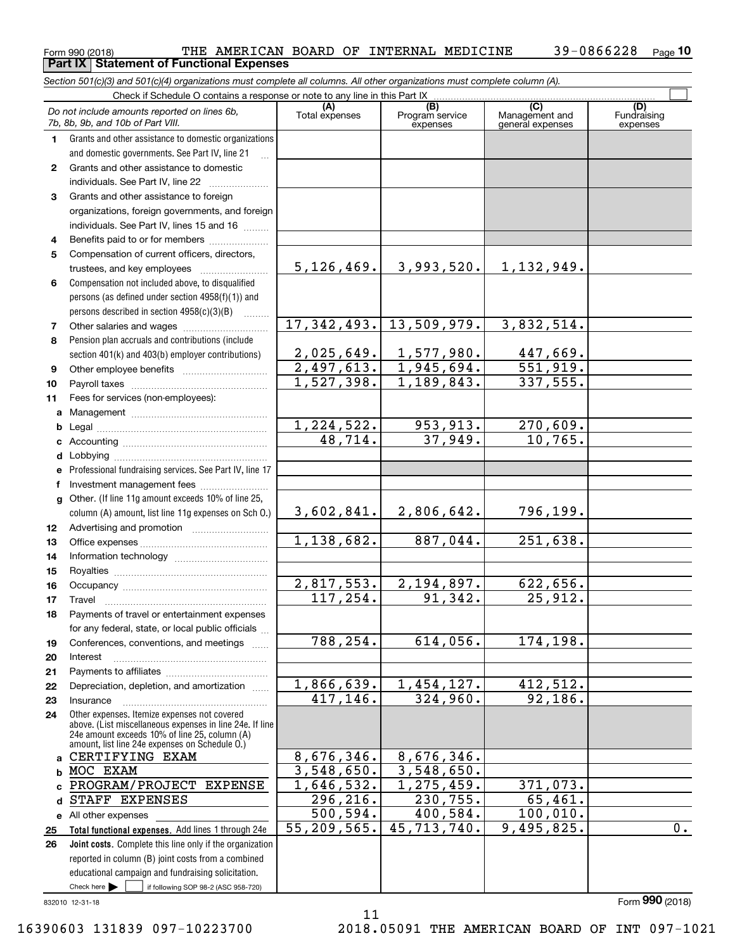|    | Do not include amounts reported on lines 6b,<br>7b, 8b, 9b, and 10b of Part VIII.                                                                         | (A)<br>Total expenses | (B)<br>Program service<br>expenses | (C)<br>Management and<br>general expenses | (D)<br>Fundraising<br>expenses |
|----|-----------------------------------------------------------------------------------------------------------------------------------------------------------|-----------------------|------------------------------------|-------------------------------------------|--------------------------------|
| 1  | Grants and other assistance to domestic organizations                                                                                                     |                       |                                    |                                           |                                |
|    | and domestic governments. See Part IV, line 21                                                                                                            |                       |                                    |                                           |                                |
| 2  | Grants and other assistance to domestic                                                                                                                   |                       |                                    |                                           |                                |
|    | individuals. See Part IV, line 22                                                                                                                         |                       |                                    |                                           |                                |
| 3  | Grants and other assistance to foreign                                                                                                                    |                       |                                    |                                           |                                |
|    | organizations, foreign governments, and foreign                                                                                                           |                       |                                    |                                           |                                |
|    | individuals. See Part IV, lines 15 and 16                                                                                                                 |                       |                                    |                                           |                                |
| 4  | Benefits paid to or for members                                                                                                                           |                       |                                    |                                           |                                |
| 5  | Compensation of current officers, directors,                                                                                                              |                       |                                    |                                           |                                |
|    |                                                                                                                                                           | 5,126,469.            | 3,993,520.                         | <u>1,132,949.</u>                         |                                |
| 6  | Compensation not included above, to disqualified                                                                                                          |                       |                                    |                                           |                                |
|    | persons (as defined under section 4958(f)(1)) and                                                                                                         |                       |                                    |                                           |                                |
|    | persons described in section 4958(c)(3)(B)                                                                                                                |                       |                                    |                                           |                                |
| 7  |                                                                                                                                                           | 17, 342, 493.         | 13,509,979.                        | 3,832,514.                                |                                |
| 8  | Pension plan accruals and contributions (include                                                                                                          |                       |                                    |                                           |                                |
|    | section 401(k) and 403(b) employer contributions)                                                                                                         |                       | $2,025,649.$ $1,577,980.$          | 447,669.                                  |                                |
| 9  |                                                                                                                                                           |                       | $2,497,613.$ 1,945,694.            | $\overline{551,919}$ .                    |                                |
| 10 |                                                                                                                                                           | 1,527,398.            | 1,189,843.                         | 337,555.                                  |                                |
| 11 | Fees for services (non-employees):                                                                                                                        |                       |                                    |                                           |                                |
| a  |                                                                                                                                                           |                       |                                    |                                           |                                |
|    |                                                                                                                                                           | 1,224,522.            | 953, 913.                          | 270,609.                                  |                                |
|    |                                                                                                                                                           | 48,714.               | 37,949.                            | 10,765.                                   |                                |
|    |                                                                                                                                                           |                       |                                    |                                           |                                |
|    | e Professional fundraising services. See Part IV, line 17                                                                                                 |                       |                                    |                                           |                                |
| f  | Investment management fees                                                                                                                                |                       |                                    |                                           |                                |
|    | g Other. (If line 11g amount exceeds 10% of line 25,                                                                                                      |                       |                                    |                                           |                                |
|    | column (A) amount, list line 11g expenses on Sch O.)                                                                                                      | 3,602,841.            | 2,806,642.                         | 796,199.                                  |                                |
| 12 |                                                                                                                                                           |                       |                                    |                                           |                                |
| 13 |                                                                                                                                                           | 1,138,682.            | 887,044.                           | 251,638.                                  |                                |
| 14 |                                                                                                                                                           |                       |                                    |                                           |                                |
| 15 |                                                                                                                                                           |                       |                                    |                                           |                                |
| 16 |                                                                                                                                                           | 2,817,553.            | 2,194,897.                         | 622,656.                                  |                                |
| 17 | Travel                                                                                                                                                    | 117, 254.             | 91, 342.                           | 25,912.                                   |                                |
| 18 | Payments of travel or entertainment expenses                                                                                                              |                       |                                    |                                           |                                |
|    | for any federal, state, or local public officials                                                                                                         |                       |                                    |                                           |                                |
| 19 | Conferences, conventions, and meetings                                                                                                                    | 788,254.              | 614,056.                           | 174,198.                                  |                                |
| 20 | Interest                                                                                                                                                  |                       |                                    |                                           |                                |
| 21 |                                                                                                                                                           |                       |                                    |                                           |                                |
| 22 | Depreciation, depletion, and amortization                                                                                                                 | 1,866,639.            | 1,454,127.                         | 412,512.                                  |                                |
| 23 | Insurance                                                                                                                                                 | 417,146.              | 324,960.                           | 92,186.                                   |                                |
| 24 | Other expenses. Itemize expenses not covered<br>above. (List miscellaneous expenses in line 24e. If line<br>24e amount exceeds 10% of line 25, column (A) |                       |                                    |                                           |                                |
|    | amount, list line 24e expenses on Schedule O.)                                                                                                            |                       |                                    |                                           |                                |
| a  | CERTIFYING EXAM                                                                                                                                           | 8,676,346.            | 8,676,346.                         |                                           |                                |
| b  | MOC EXAM                                                                                                                                                  | 3,548,650.            | 3,548,650.                         |                                           |                                |
| c  | PROGRAM/PROJECT<br><b>EXPENSE</b>                                                                                                                         | 1,646,532.            | 1,275,459.                         | 371,073.                                  |                                |
| d  | STAFF EXPENSES                                                                                                                                            | 296,216.              | 230,755.                           | 65,461.                                   |                                |
|    | e All other expenses                                                                                                                                      | 500, 594.             | 400,584.                           | 100,010.                                  |                                |
| 25 | Total functional expenses. Add lines 1 through 24e                                                                                                        | 55,209,565.           | 45, 713, 740.                      | 9,495,825.                                | $0$ .                          |
| 26 | Joint costs. Complete this line only if the organization                                                                                                  |                       |                                    |                                           |                                |
|    | reported in column (B) joint costs from a combined                                                                                                        |                       |                                    |                                           |                                |
|    | educational campaign and fundraising solicitation.                                                                                                        |                       |                                    |                                           |                                |
|    | Check here $\blacktriangleright$<br>if following SOP 98-2 (ASC 958-720)                                                                                   |                       |                                    |                                           |                                |

#### 832010 12-31-18

Form (2018) **990**

11 16390603 131839 097-10223700 2018.05091 THE AMERICAN BOARD OF INT 097-1021

#### $_{\rm Form}$  990 (2018) THE AMERICAN BOARD OF INTERNAL MEDICINE  $_{\rm 39-0866228$   $_{\rm Page}$ **10 Part IX Statement of Functional Expenses**

*Section 501(c)(3) and 501(c)(4) organizations must complete all columns. All other organizations must complete column (A).*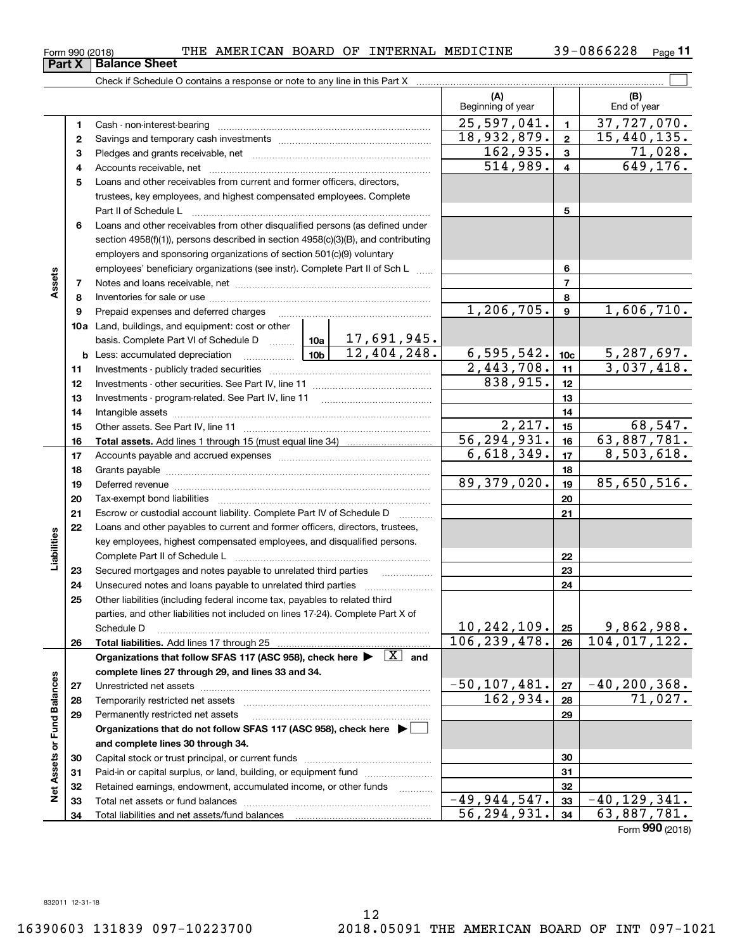$-49,944,547.$   $33 \mid -40,129,341.$  $56, 294, 931. |34 | 63, 887, 781.$ 

**5**Loans and other receivables from current and former officers, directors, **6**Loans and other receivables from other disqualified persons (as defined under **78910a**Land, buildings, and equipment: cost or other **11121322232425295678910c11121314151617181920212223242526b** Less: accumulated depreciation  $\ldots$  **10b** basis. Complete Part VI of Schedule D will aller **Total assets.**  Add lines 1 through 15 (must equal line 34) **Total liabilities.**  Add lines 17 through 25 Organizations that follow SFAS 117 (ASC 958), check here  $\blacktriangleright$   $\boxed{\text{X}}$  and **complete lines 27 through 29, and lines 33 and 34. 272829Organizations that do not follow SFAS 117 (ASC 958), check here** | trustees, key employees, and highest compensated employees. Complete Part II of Schedule L ~~~~~~~~~~~~~~~~~~~~~~~~~~~~ section 4958(f)(1)), persons described in section 4958(c)(3)(B), and contributing employers and sponsoring organizations of section 501(c)(9) voluntary employees' beneficiary organizations (see instr). Complete Part II of Sch L Notes and loans receivable, net ~~~~~~~~~~~~~~~~~~~~~~~ Inventories for sale or use ~~~~~~~~~~~~~~~~~~~~~~~~~~ Prepaid expenses and deferred charges lnvestments - publicly traded securities ……………………………………………… Investments - other securities. See Part IV, line 11 ~~~~~~~~~~~~~~Investments - program-related. See Part IV, line 11 Intangible assets …………………………………………………………………………………… Other assets. See Part IV, line 11 ~~~~~~~~~~~~~~~~~~~~~~ Accounts payable and accrued expenses ~~~~~~~~~~~~~~~~~~Grants payable ~~~~~~~~~~~~~~~~~~~~~~~~~~~~~~~ Deferred revenue et al. and the state of the state of the state of the state of the state of the state of the state of the state of the state of the state of the state of the state of the state of the state of the state of Tax-exempt bond liabilities …………………………………………………………… Escrow or custodial account liability. Complete Part IV of Schedule D Loans and other payables to current and former officers, directors, trustees, key employees, highest compensated employees, and disqualified persons. Complete Part II of Schedule L ~~~~~~~~~~~~~~~~~~~~~~~Secured mortgages and notes payable to unrelated third parties Unsecured notes and loans payable to unrelated third parties ~~~~~~~~~~~~~~~~~~~~ Other liabilities (including federal income tax, payables to related third parties, and other liabilities not included on lines 17-24). Complete Part X of Schedule D ~~~~~~~~~~~~~~~~~~~~~~~~~~~~~~~~ Unrestricted net assets ~~~~~~~~~~~~~~~~~~~~~~~~~~~ Temporarily restricted net assets ~~~~~~~~~~~~~~~~~~~~~~ Permanently restricted net assets  $1,206,705.$  9 1,606,710.  $2,443,708.$  11 3,037,418. 17,691,945.  $12,404,248.$  6,595,542.  $10c$  5,287,697.  $2,217.$   $15$  68,547. 56,294,931. 63,887,781.  $6,618,349.$   $|17|$  8,503,618.  $\overline{89,379,020.}$  19 85,650,516.  $10, 242, 109$ .  $|25|$  9,862,988. 106,239,478. 104,017,122.  $-50,107,481.$   $27$   $-40,200,368.$ 162,934. 71,027. 838,915.

 $_{\rm Form}$  990 (2018) THE AMERICAN BOARD OF INTERNAL MEDICINE  $_{\rm 39-0866228$   $_{\rm Page}$ 

Form (2018) **990**

39-0866228 <sub>Page</sub> 11

 $\mathcal{L}^{\text{max}}$ 

**(B)**

25,597,041. 37,727,070.

 $18,932,879. | z | 15,440,135.$ 

 $514,989. | 4 | 649,176.$  $162,935.$  3 71,028.

Beginning of year | Find of year

**(A)**

|  | <b>Fail A</b> Dalance Sheet                                                |
|--|----------------------------------------------------------------------------|
|  | Check if Schedule O contains a response or note to any line in this Part X |
|  |                                                                            |
|  |                                                                            |
|  | Cash - non-interest-bearing                                                |
|  | Savings and temporary cash investments                                     |
|  | Pledges and grants receivable, net                                         |

**4**Accounts receivable, net ~~~~~~~~~~~~~~~~~~~~~~~~~~

**Part X Balance** 

**Assets**

**26**

**Liabilities**

Liabilities

**2728**

**Net Assets or Fund Balances**

**Net Assets or Fund Balances** 

**and complete lines 30 through 34.**

Total liabilities and net assets/fund balances

Capital stock or trust principal, or current funds ~~~~~~~~~~~~~~~ Paid-in or capital surplus, or land, building, or equipment fund will concurred. Retained earnings, endowment, accumulated income, or other funds www.com Total net assets or fund balances ~~~~~~~~~~~~~~~~~~~~~~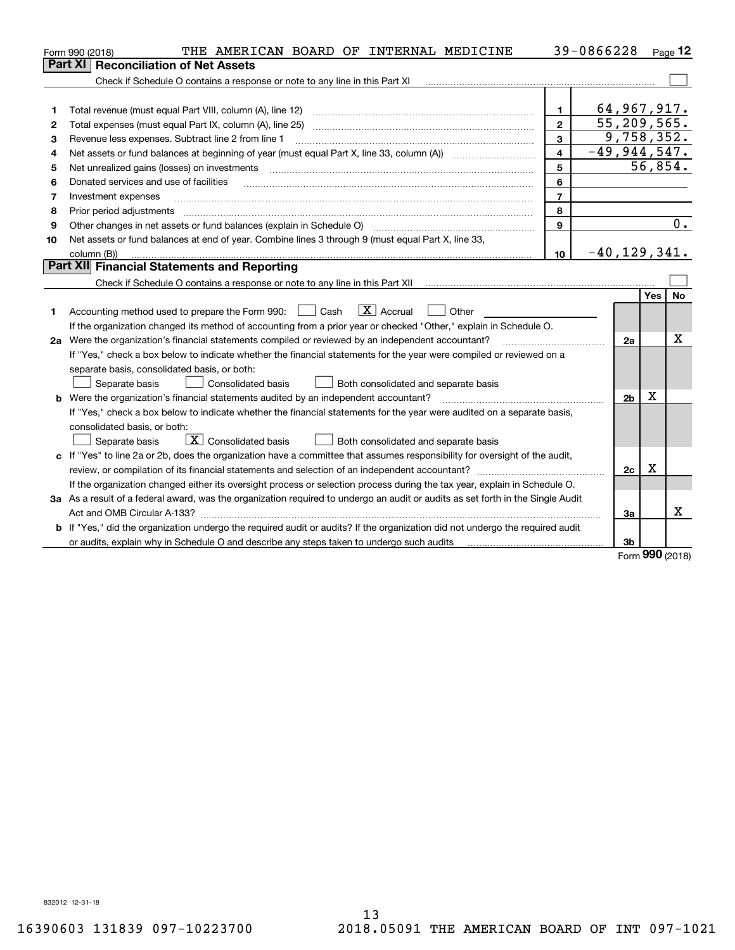|    | THE AMERICAN BOARD OF INTERNAL MEDICINE<br>Form 990 (2018)                                                                      |                         | 39-0866228                  |            | Page 12   |
|----|---------------------------------------------------------------------------------------------------------------------------------|-------------------------|-----------------------------|------------|-----------|
|    | <b>Reconciliation of Net Assets</b><br>Part XI                                                                                  |                         |                             |            |           |
|    |                                                                                                                                 |                         |                             |            |           |
|    |                                                                                                                                 |                         |                             |            |           |
| 1  | Total revenue (must equal Part VIII, column (A), line 12)                                                                       | $\blacksquare$          | 64,967,917.                 |            |           |
| 2  | Total expenses (must equal Part IX, column (A), line 25)                                                                        | $\overline{2}$          | $\overline{55, 209, 565}$ . |            |           |
| 3  | Revenue less expenses. Subtract line 2 from line 1                                                                              | $\overline{\mathbf{3}}$ |                             | 9,758,352. |           |
| 4  |                                                                                                                                 | 4                       | $-49,944,547.$              |            |           |
| 5  | Net unrealized gains (losses) on investments                                                                                    | 5                       |                             | 56,854.    |           |
| 6  | Donated services and use of facilities                                                                                          | 6                       |                             |            |           |
| 7  | Investment expenses                                                                                                             | $\overline{7}$          |                             |            |           |
| 8  | Prior period adjustments                                                                                                        | 8                       |                             |            |           |
| 9  |                                                                                                                                 | 9                       |                             |            | 0.        |
| 10 | Net assets or fund balances at end of year. Combine lines 3 through 9 (must equal Part X, line 33,                              |                         |                             |            |           |
|    | column (B))                                                                                                                     | 10                      | $-40, 129, 341.$            |            |           |
|    | Part XII Financial Statements and Reporting                                                                                     |                         |                             |            |           |
|    |                                                                                                                                 |                         |                             |            |           |
|    |                                                                                                                                 |                         |                             | Yes        | <b>No</b> |
| 1  | $\boxed{\text{X}}$ Accrual<br>Accounting method used to prepare the Form 990: <u>II</u> Cash<br>Other                           |                         |                             |            |           |
|    | If the organization changed its method of accounting from a prior year or checked "Other," explain in Schedule O.               |                         |                             |            |           |
|    | 2a Were the organization's financial statements compiled or reviewed by an independent accountant?                              |                         | 2a                          |            | x         |
|    | If "Yes," check a box below to indicate whether the financial statements for the year were compiled or reviewed on a            |                         |                             |            |           |
|    | separate basis, consolidated basis, or both:                                                                                    |                         |                             |            |           |
|    | Consolidated basis<br>Separate basis<br>Both consolidated and separate basis                                                    |                         |                             |            |           |
|    | <b>b</b> Were the organization's financial statements audited by an independent accountant?                                     |                         | 2 <sub>b</sub>              | Χ          |           |
|    | If "Yes," check a box below to indicate whether the financial statements for the year were audited on a separate basis,         |                         |                             |            |           |
|    | consolidated basis, or both:                                                                                                    |                         |                             |            |           |
|    | $\boxed{\textbf{X}}$ Consolidated basis<br>Both consolidated and separate basis<br>Separate basis                               |                         |                             |            |           |
|    | c If "Yes" to line 2a or 2b, does the organization have a committee that assumes responsibility for oversight of the audit,     |                         |                             |            |           |
|    | review, or compilation of its financial statements and selection of an independent accountant?                                  |                         | 2c                          | Χ          |           |
|    | If the organization changed either its oversight process or selection process during the tax year, explain in Schedule O.       |                         |                             |            |           |
|    | 3a As a result of a federal award, was the organization required to undergo an audit or audits as set forth in the Single Audit |                         |                             |            |           |
|    |                                                                                                                                 |                         | 3a                          |            | x         |
|    | b If "Yes," did the organization undergo the required audit or audits? If the organization did not undergo the required audit   |                         |                             |            |           |
|    | or audits, explain why in Schedule O and describe any steps taken to undergo such audits                                        |                         | 3b                          | nnn        |           |

Form (2018) **990**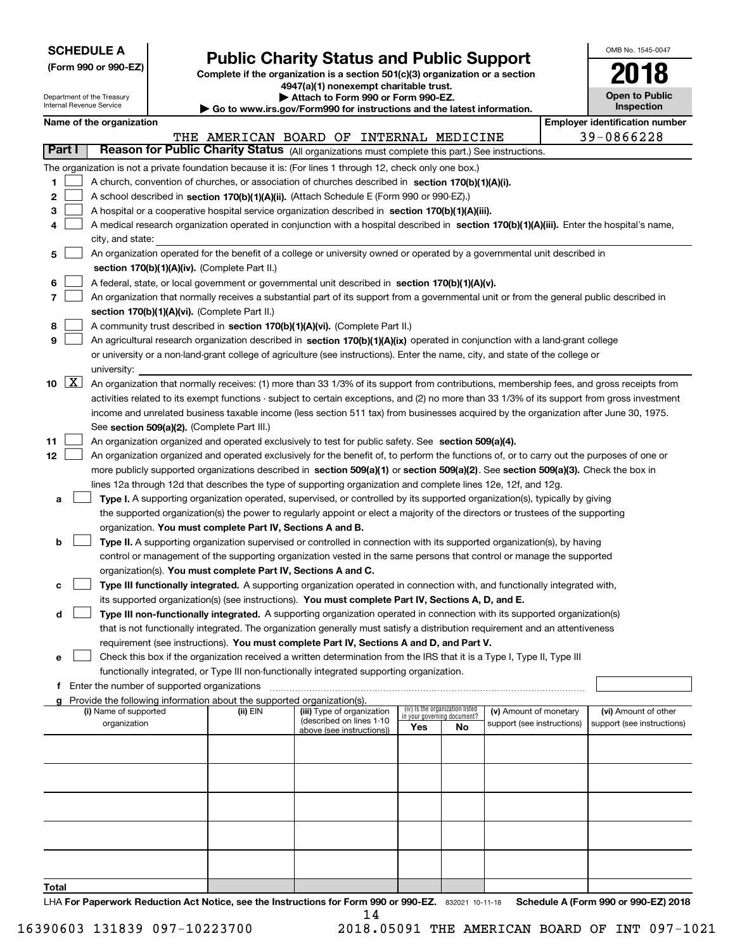| <b>SCHEDULE A</b> |  |  |  |  |  |  |
|-------------------|--|--|--|--|--|--|
|-------------------|--|--|--|--|--|--|

Department of the Treasury

**(Form 990 or 990-EZ)**

# **Public Charity Status and Public Support**

**Complete if the organization is a section 501(c)(3) organization or a section 4947(a)(1) nonexempt charitable trust. | Attach to Form 990 or Form 990-EZ.** 

| OMB No. 1545-0047            |
|------------------------------|
| 2018                         |
| Open to Public<br>Inspection |

|       | Internal Revenue Service<br>Inspection<br>Go to www.irs.gov/Form990 for instructions and the latest information. |                                                      |  |                                                                          |                                                                                                                                               |     |                                                                |                            |            |                                       |
|-------|------------------------------------------------------------------------------------------------------------------|------------------------------------------------------|--|--------------------------------------------------------------------------|-----------------------------------------------------------------------------------------------------------------------------------------------|-----|----------------------------------------------------------------|----------------------------|------------|---------------------------------------|
|       |                                                                                                                  | Name of the organization                             |  |                                                                          |                                                                                                                                               |     |                                                                |                            |            | <b>Employer identification number</b> |
|       |                                                                                                                  |                                                      |  |                                                                          | THE AMERICAN BOARD OF INTERNAL MEDICINE                                                                                                       |     |                                                                |                            | 39-0866228 |                                       |
|       | Part I                                                                                                           |                                                      |  |                                                                          | Reason for Public Charity Status (All organizations must complete this part.) See instructions.                                               |     |                                                                |                            |            |                                       |
|       |                                                                                                                  |                                                      |  |                                                                          | The organization is not a private foundation because it is: (For lines 1 through 12, check only one box.)                                     |     |                                                                |                            |            |                                       |
| 1.    |                                                                                                                  |                                                      |  |                                                                          | A church, convention of churches, or association of churches described in section 170(b)(1)(A)(i).                                            |     |                                                                |                            |            |                                       |
| 2     |                                                                                                                  |                                                      |  |                                                                          | A school described in section 170(b)(1)(A)(ii). (Attach Schedule E (Form 990 or 990-EZ).)                                                     |     |                                                                |                            |            |                                       |
| з     |                                                                                                                  |                                                      |  |                                                                          | A hospital or a cooperative hospital service organization described in section 170(b)(1)(A)(iii).                                             |     |                                                                |                            |            |                                       |
|       |                                                                                                                  |                                                      |  |                                                                          | A medical research organization operated in conjunction with a hospital described in section 170(b)(1)(A)(iii). Enter the hospital's name,    |     |                                                                |                            |            |                                       |
|       |                                                                                                                  | city, and state:                                     |  |                                                                          |                                                                                                                                               |     |                                                                |                            |            |                                       |
| 5     |                                                                                                                  |                                                      |  |                                                                          | An organization operated for the benefit of a college or university owned or operated by a governmental unit described in                     |     |                                                                |                            |            |                                       |
|       |                                                                                                                  |                                                      |  | section 170(b)(1)(A)(iv). (Complete Part II.)                            |                                                                                                                                               |     |                                                                |                            |            |                                       |
|       |                                                                                                                  |                                                      |  |                                                                          | A federal, state, or local government or governmental unit described in section 170(b)(1)(A)(v).                                              |     |                                                                |                            |            |                                       |
| 7     |                                                                                                                  |                                                      |  |                                                                          | An organization that normally receives a substantial part of its support from a governmental unit or from the general public described in     |     |                                                                |                            |            |                                       |
|       |                                                                                                                  |                                                      |  | section 170(b)(1)(A)(vi). (Complete Part II.)                            |                                                                                                                                               |     |                                                                |                            |            |                                       |
| 8     |                                                                                                                  |                                                      |  |                                                                          | A community trust described in section 170(b)(1)(A)(vi). (Complete Part II.)                                                                  |     |                                                                |                            |            |                                       |
| 9     |                                                                                                                  |                                                      |  |                                                                          | An agricultural research organization described in section 170(b)(1)(A)(ix) operated in conjunction with a land-grant college                 |     |                                                                |                            |            |                                       |
|       |                                                                                                                  |                                                      |  |                                                                          | or university or a non-land-grant college of agriculture (see instructions). Enter the name, city, and state of the college or                |     |                                                                |                            |            |                                       |
|       |                                                                                                                  | university:                                          |  |                                                                          |                                                                                                                                               |     |                                                                |                            |            |                                       |
|       | 10 $X$                                                                                                           |                                                      |  |                                                                          | An organization that normally receives: (1) more than 33 1/3% of its support from contributions, membership fees, and gross receipts from     |     |                                                                |                            |            |                                       |
|       |                                                                                                                  |                                                      |  |                                                                          | activities related to its exempt functions - subject to certain exceptions, and (2) no more than 33 1/3% of its support from gross investment |     |                                                                |                            |            |                                       |
|       |                                                                                                                  |                                                      |  |                                                                          | income and unrelated business taxable income (less section 511 tax) from businesses acquired by the organization after June 30, 1975.         |     |                                                                |                            |            |                                       |
|       |                                                                                                                  |                                                      |  | See section 509(a)(2). (Complete Part III.)                              |                                                                                                                                               |     |                                                                |                            |            |                                       |
| 11    |                                                                                                                  |                                                      |  |                                                                          | An organization organized and operated exclusively to test for public safety. See section 509(a)(4).                                          |     |                                                                |                            |            |                                       |
| 12    |                                                                                                                  |                                                      |  |                                                                          | An organization organized and operated exclusively for the benefit of, to perform the functions of, or to carry out the purposes of one or    |     |                                                                |                            |            |                                       |
|       |                                                                                                                  |                                                      |  |                                                                          | more publicly supported organizations described in section 509(a)(1) or section 509(a)(2). See section 509(a)(3). Check the box in            |     |                                                                |                            |            |                                       |
|       |                                                                                                                  |                                                      |  |                                                                          | lines 12a through 12d that describes the type of supporting organization and complete lines 12e, 12f, and 12g.                                |     |                                                                |                            |            |                                       |
| а     |                                                                                                                  |                                                      |  |                                                                          | Type I. A supporting organization operated, supervised, or controlled by its supported organization(s), typically by giving                   |     |                                                                |                            |            |                                       |
|       |                                                                                                                  |                                                      |  |                                                                          | the supported organization(s) the power to regularly appoint or elect a majority of the directors or trustees of the supporting               |     |                                                                |                            |            |                                       |
|       |                                                                                                                  |                                                      |  | organization. You must complete Part IV, Sections A and B.               |                                                                                                                                               |     |                                                                |                            |            |                                       |
| b     |                                                                                                                  |                                                      |  |                                                                          | Type II. A supporting organization supervised or controlled in connection with its supported organization(s), by having                       |     |                                                                |                            |            |                                       |
|       |                                                                                                                  |                                                      |  |                                                                          | control or management of the supporting organization vested in the same persons that control or manage the supported                          |     |                                                                |                            |            |                                       |
|       |                                                                                                                  |                                                      |  |                                                                          | organization(s). You must complete Part IV, Sections A and C.                                                                                 |     |                                                                |                            |            |                                       |
| с     |                                                                                                                  |                                                      |  |                                                                          | Type III functionally integrated. A supporting organization operated in connection with, and functionally integrated with,                    |     |                                                                |                            |            |                                       |
|       |                                                                                                                  |                                                      |  |                                                                          | its supported organization(s) (see instructions). You must complete Part IV, Sections A, D, and E.                                            |     |                                                                |                            |            |                                       |
| d     |                                                                                                                  |                                                      |  |                                                                          | Type III non-functionally integrated. A supporting organization operated in connection with its supported organization(s)                     |     |                                                                |                            |            |                                       |
|       |                                                                                                                  |                                                      |  |                                                                          | that is not functionally integrated. The organization generally must satisfy a distribution requirement and an attentiveness                  |     |                                                                |                            |            |                                       |
|       |                                                                                                                  |                                                      |  |                                                                          | requirement (see instructions). You must complete Part IV, Sections A and D, and Part V.                                                      |     |                                                                |                            |            |                                       |
| е     |                                                                                                                  |                                                      |  |                                                                          | Check this box if the organization received a written determination from the IRS that it is a Type I, Type II, Type III                       |     |                                                                |                            |            |                                       |
|       |                                                                                                                  |                                                      |  |                                                                          | functionally integrated, or Type III non-functionally integrated supporting organization.                                                     |     |                                                                |                            |            |                                       |
|       |                                                                                                                  | <b>f</b> Enter the number of supported organizations |  | g Provide the following information about the supported organization(s). |                                                                                                                                               |     |                                                                |                            |            |                                       |
|       |                                                                                                                  | (i) Name of supported                                |  | (ii) EIN                                                                 | (iii) Type of organization                                                                                                                    |     | (iv) Is the organization listed<br>in your governing document? | (v) Amount of monetary     |            | (vi) Amount of other                  |
|       |                                                                                                                  | organization                                         |  |                                                                          | (described on lines 1-10<br>above (see instructions))                                                                                         | Yes | <b>No</b>                                                      | support (see instructions) |            | support (see instructions)            |
|       |                                                                                                                  |                                                      |  |                                                                          |                                                                                                                                               |     |                                                                |                            |            |                                       |
|       |                                                                                                                  |                                                      |  |                                                                          |                                                                                                                                               |     |                                                                |                            |            |                                       |
|       |                                                                                                                  |                                                      |  |                                                                          |                                                                                                                                               |     |                                                                |                            |            |                                       |
|       |                                                                                                                  |                                                      |  |                                                                          |                                                                                                                                               |     |                                                                |                            |            |                                       |
|       |                                                                                                                  |                                                      |  |                                                                          |                                                                                                                                               |     |                                                                |                            |            |                                       |
|       |                                                                                                                  |                                                      |  |                                                                          |                                                                                                                                               |     |                                                                |                            |            |                                       |
|       |                                                                                                                  |                                                      |  |                                                                          |                                                                                                                                               |     |                                                                |                            |            |                                       |
|       |                                                                                                                  |                                                      |  |                                                                          |                                                                                                                                               |     |                                                                |                            |            |                                       |
|       |                                                                                                                  |                                                      |  |                                                                          |                                                                                                                                               |     |                                                                |                            |            |                                       |
|       |                                                                                                                  |                                                      |  |                                                                          |                                                                                                                                               |     |                                                                |                            |            |                                       |
| Total |                                                                                                                  |                                                      |  |                                                                          |                                                                                                                                               |     |                                                                |                            |            |                                       |

LHA For Paperwork Reduction Act Notice, see the Instructions for Form 990 or 990-EZ. 832021 10-11-18 Schedule A (Form 990 or 990-EZ) 2018 14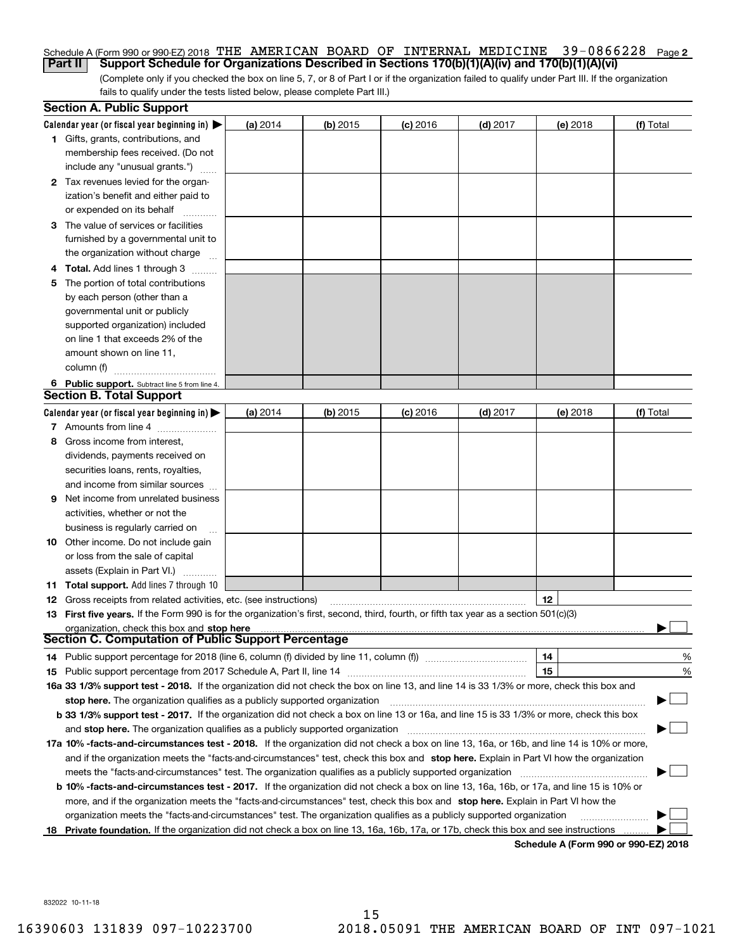## Schedule A (Form 990 or 990-EZ) 2018 THE AMERICAN BOARD OF INTERNAL MEDICINE 39-0866228 <sub>Page</sub> 2 **Part II Support Schedule for Organizations Described in Sections 170(b)(1)(A)(iv) and 170(b)(1)(A)(vi)**

(Complete only if you checked the box on line 5, 7, or 8 of Part I or if the organization failed to qualify under Part III. If the organization fails to qualify under the tests listed below, please complete Part III.)

|    | <b>Section A. Public Support</b>                                                                                                               |          |            |            |            |          |                                      |
|----|------------------------------------------------------------------------------------------------------------------------------------------------|----------|------------|------------|------------|----------|--------------------------------------|
|    | Calendar year (or fiscal year beginning in) $\blacktriangleright$                                                                              | (a) 2014 | $(b)$ 2015 | $(c)$ 2016 | $(d)$ 2017 | (e) 2018 | (f) Total                            |
|    | <b>1</b> Gifts, grants, contributions, and                                                                                                     |          |            |            |            |          |                                      |
|    | membership fees received. (Do not                                                                                                              |          |            |            |            |          |                                      |
|    | include any "unusual grants.")                                                                                                                 |          |            |            |            |          |                                      |
|    | 2 Tax revenues levied for the organ-                                                                                                           |          |            |            |            |          |                                      |
|    | ization's benefit and either paid to                                                                                                           |          |            |            |            |          |                                      |
|    | or expended on its behalf                                                                                                                      |          |            |            |            |          |                                      |
|    | 3 The value of services or facilities                                                                                                          |          |            |            |            |          |                                      |
|    | furnished by a governmental unit to                                                                                                            |          |            |            |            |          |                                      |
|    | the organization without charge                                                                                                                |          |            |            |            |          |                                      |
|    | <b>4 Total.</b> Add lines 1 through 3                                                                                                          |          |            |            |            |          |                                      |
| 5. | The portion of total contributions                                                                                                             |          |            |            |            |          |                                      |
|    | by each person (other than a                                                                                                                   |          |            |            |            |          |                                      |
|    | governmental unit or publicly                                                                                                                  |          |            |            |            |          |                                      |
|    | supported organization) included                                                                                                               |          |            |            |            |          |                                      |
|    | on line 1 that exceeds 2% of the                                                                                                               |          |            |            |            |          |                                      |
|    | amount shown on line 11,                                                                                                                       |          |            |            |            |          |                                      |
|    | column (f)                                                                                                                                     |          |            |            |            |          |                                      |
|    | 6 Public support. Subtract line 5 from line 4.                                                                                                 |          |            |            |            |          |                                      |
|    | <b>Section B. Total Support</b>                                                                                                                |          |            |            |            |          |                                      |
|    | Calendar year (or fiscal year beginning in) $\blacktriangleright$                                                                              | (a) 2014 | $(b)$ 2015 | $(c)$ 2016 | $(d)$ 2017 | (e) 2018 | (f) Total                            |
|    | 7 Amounts from line 4                                                                                                                          |          |            |            |            |          |                                      |
| 8  | Gross income from interest,                                                                                                                    |          |            |            |            |          |                                      |
|    | dividends, payments received on                                                                                                                |          |            |            |            |          |                                      |
|    | securities loans, rents, royalties,                                                                                                            |          |            |            |            |          |                                      |
|    | and income from similar sources                                                                                                                |          |            |            |            |          |                                      |
| 9  | Net income from unrelated business                                                                                                             |          |            |            |            |          |                                      |
|    | activities, whether or not the                                                                                                                 |          |            |            |            |          |                                      |
|    | business is regularly carried on                                                                                                               |          |            |            |            |          |                                      |
|    | <b>10</b> Other income. Do not include gain                                                                                                    |          |            |            |            |          |                                      |
|    | or loss from the sale of capital                                                                                                               |          |            |            |            |          |                                      |
|    | assets (Explain in Part VI.)                                                                                                                   |          |            |            |            |          |                                      |
|    | 11 Total support. Add lines 7 through 10                                                                                                       |          |            |            |            |          |                                      |
|    | <b>12</b> Gross receipts from related activities, etc. (see instructions)                                                                      |          |            |            |            | 12       |                                      |
|    | 13 First five years. If the Form 990 is for the organization's first, second, third, fourth, or fifth tax year as a section 501(c)(3)          |          |            |            |            |          |                                      |
|    | organization, check this box and stop here                                                                                                     |          |            |            |            |          |                                      |
|    | Section C. Computation of Public Support Percentage                                                                                            |          |            |            |            |          |                                      |
|    | 14 Public support percentage for 2018 (line 6, column (f) divided by line 11, column (f) <i>mummumumumum</i>                                   |          |            |            |            | 14       | %                                    |
|    |                                                                                                                                                |          |            |            |            | 15       | %                                    |
|    | 16a 33 1/3% support test - 2018. If the organization did not check the box on line 13, and line 14 is 33 1/3% or more, check this box and      |          |            |            |            |          |                                      |
|    | stop here. The organization qualifies as a publicly supported organization                                                                     |          |            |            |            |          |                                      |
|    | b 33 1/3% support test - 2017. If the organization did not check a box on line 13 or 16a, and line 15 is 33 1/3% or more, check this box       |          |            |            |            |          |                                      |
|    | and stop here. The organization qualifies as a publicly supported organization                                                                 |          |            |            |            |          |                                      |
|    | 17a 10% -facts-and-circumstances test - 2018. If the organization did not check a box on line 13, 16a, or 16b, and line 14 is 10% or more,     |          |            |            |            |          |                                      |
|    | and if the organization meets the "facts-and-circumstances" test, check this box and stop here. Explain in Part VI how the organization        |          |            |            |            |          |                                      |
|    | meets the "facts-and-circumstances" test. The organization qualifies as a publicly supported organization                                      |          |            |            |            |          |                                      |
|    | <b>b 10% -facts-and-circumstances test - 2017.</b> If the organization did not check a box on line 13, 16a, 16b, or 17a, and line 15 is 10% or |          |            |            |            |          |                                      |
|    | more, and if the organization meets the "facts-and-circumstances" test, check this box and stop here. Explain in Part VI how the               |          |            |            |            |          |                                      |
|    | organization meets the "facts-and-circumstances" test. The organization qualifies as a publicly supported organization                         |          |            |            |            |          |                                      |
|    | 18 Private foundation. If the organization did not check a box on line 13, 16a, 16b, 17a, or 17b, check this box and see instructions          |          |            |            |            |          |                                      |
|    |                                                                                                                                                |          |            |            |            |          | Schedule A (Form 990 or 990-F7) 2018 |

**Schedule A (Form 990 or 990-EZ) 2018**

832022 10-11-18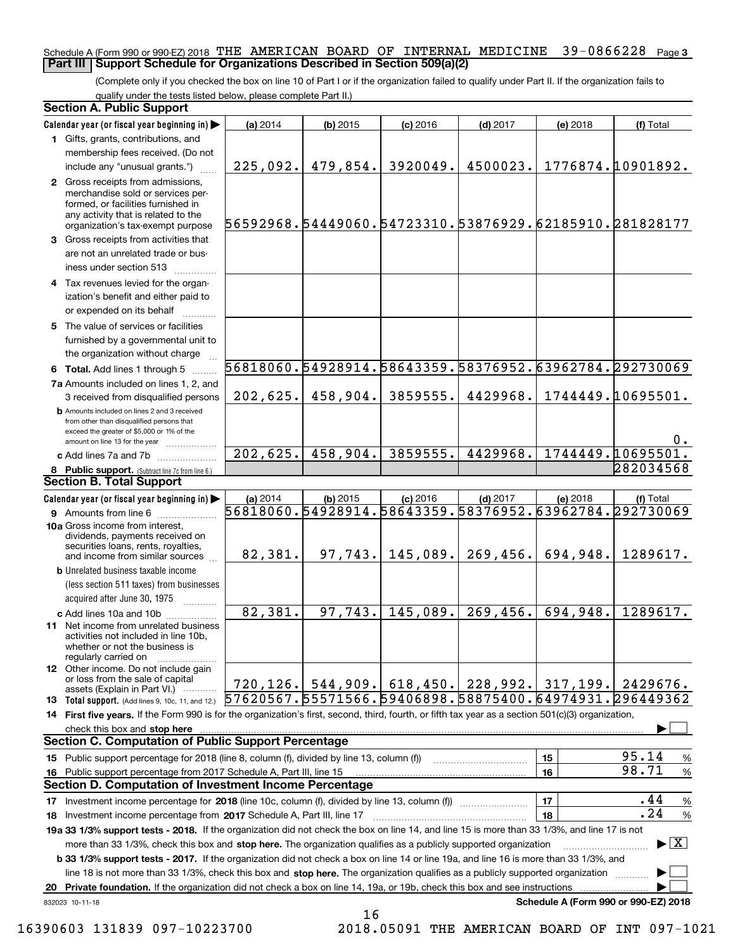## Schedule A (Form 990 or 990-EZ) 2018 THE AMERICAN BOARD OF INTERNAL MEDICINE 39-0866228 <sub>Page 3</sub> **Part III Support Schedule for Organizations Described in Section 509(a)(2)**

(Complete only if you checked the box on line 10 of Part I or if the organization failed to qualify under Part II. If the organization fails to qualify under the tests listed below, please complete Part II.)

| Section A. Public Support                                                                                                                                                                |                                                                    |            |                                |            |          |                                                        |
|------------------------------------------------------------------------------------------------------------------------------------------------------------------------------------------|--------------------------------------------------------------------|------------|--------------------------------|------------|----------|--------------------------------------------------------|
| Calendar year (or fiscal year beginning in) $\blacktriangleright$                                                                                                                        | (a) 2014                                                           | $(b)$ 2015 | $(c)$ 2016                     | $(d)$ 2017 | (e) 2018 | (f) Total                                              |
| 1 Gifts, grants, contributions, and                                                                                                                                                      |                                                                    |            |                                |            |          |                                                        |
| membership fees received. (Do not                                                                                                                                                        |                                                                    |            |                                |            |          |                                                        |
| include any "unusual grants.")                                                                                                                                                           | 225,092.                                                           | 479,854.   | 3920049.                       | 4500023.   |          | 1776874.10901892.                                      |
| 2 Gross receipts from admissions,<br>merchandise sold or services per-<br>formed, or facilities furnished in<br>any activity that is related to the<br>organization's tax-exempt purpose | 56592968.54449060.54723310.53876929.62185910.281828177             |            |                                |            |          |                                                        |
| 3 Gross receipts from activities that<br>are not an unrelated trade or bus-<br>iness under section 513                                                                                   |                                                                    |            |                                |            |          |                                                        |
| 4 Tax revenues levied for the organ-                                                                                                                                                     |                                                                    |            |                                |            |          |                                                        |
| ization's benefit and either paid to<br>or expended on its behalf                                                                                                                        |                                                                    |            |                                |            |          |                                                        |
| 5 The value of services or facilities<br>furnished by a governmental unit to<br>the organization without charge                                                                          |                                                                    |            |                                |            |          |                                                        |
| 6 Total. Add lines 1 through 5                                                                                                                                                           |                                                                    |            |                                |            |          | 56818060.54928914.58643359.58376952.63962784.292730069 |
| 7a Amounts included on lines 1, 2, and                                                                                                                                                   |                                                                    |            |                                |            |          |                                                        |
| 3 received from disqualified persons                                                                                                                                                     | 202,625.                                                           | 458,904.   | 3859555.                       | 4429968.   |          | 1744449.10695501.                                      |
| <b>b</b> Amounts included on lines 2 and 3 received<br>from other than disqualified persons that<br>exceed the greater of \$5,000 or 1% of the<br>amount on line 13 for the year         |                                                                    |            |                                |            |          | $0$ .                                                  |
| c Add lines 7a and 7b                                                                                                                                                                    | 202,625.                                                           | 458,904.   | 3859555.                       | 4429968.   |          | 1744449.10695501.                                      |
| 8 Public support. (Subtract line 7c from line 6.)<br><b>Section B. Total Support</b>                                                                                                     |                                                                    |            |                                |            |          | 282034568                                              |
|                                                                                                                                                                                          |                                                                    |            |                                |            |          |                                                        |
| Calendar year (or fiscal year beginning in) $\blacktriangleright$<br><b>9</b> Amounts from line 6                                                                                        | (a) 2014<br>56818060.54928914.58643359.58376952.63962784.292730069 | $(b)$ 2015 | $(c)$ 2016                     | $(d)$ 2017 | (e) 2018 | (f) Total                                              |
| 10a Gross income from interest,<br>dividends, payments received on<br>securities loans, rents, royalties,<br>and income from similar sources                                             | 82,381.                                                            | 97, 743.   | 145,089.                       | 269, 456.  | 694,948. | 1289617.                                               |
| <b>b</b> Unrelated business taxable income<br>(less section 511 taxes) from businesses                                                                                                   |                                                                    |            |                                |            |          |                                                        |
| acquired after June 30, 1975                                                                                                                                                             |                                                                    | 97,743.    |                                |            |          | 1289617.                                               |
| c Add lines 10a and 10b<br>11 Net income from unrelated business<br>activities not included in line 10b,<br>whether or not the business is<br>regularly carried on                       | 82,381.                                                            |            | 145,089.                       | 269, 456.  | 694,948. |                                                        |
| 12 Other income. Do not include gain<br>or loss from the sale of capital<br>assets (Explain in Part VI.)                                                                                 | 720, 126.                                                          |            | $544,909.$ 618, 450. 228, 992. |            | 317,199. | 2429676.                                               |
| <b>13 Total support.</b> (Add lines 9, 10c, 11, and 12.)                                                                                                                                 | 57620567.55571566.59406898.58875400.64974931.296449362             |            |                                |            |          |                                                        |
| 14 First five years. If the Form 990 is for the organization's first, second, third, fourth, or fifth tax year as a section 501(c)(3) organization,                                      |                                                                    |            |                                |            |          |                                                        |
| check this box and stop here                                                                                                                                                             |                                                                    |            |                                |            |          |                                                        |
| <b>Section C. Computation of Public Support Percentage</b>                                                                                                                               |                                                                    |            |                                |            |          |                                                        |
| 15 Public support percentage for 2018 (line 8, column (f), divided by line 13, column (f))                                                                                               |                                                                    |            |                                |            | 15       | 95.14<br>%                                             |
| 16 Public support percentage from 2017 Schedule A, Part III, line 15                                                                                                                     |                                                                    |            |                                |            | 16       | 98.71<br>$\%$                                          |
| Section D. Computation of Investment Income Percentage                                                                                                                                   |                                                                    |            |                                |            |          |                                                        |
| 17 Investment income percentage for 2018 (line 10c, column (f), divided by line 13, column (f))                                                                                          |                                                                    |            |                                |            | 17       | .44<br>%                                               |
| 18 Investment income percentage from 2017 Schedule A, Part III, line 17                                                                                                                  |                                                                    |            |                                |            | 18       | .24<br>%                                               |
| 19a 33 1/3% support tests - 2018. If the organization did not check the box on line 14, and line 15 is more than 33 1/3%, and line 17 is not                                             |                                                                    |            |                                |            |          |                                                        |
| more than 33 1/3%, check this box and stop here. The organization qualifies as a publicly supported organization                                                                         |                                                                    |            |                                |            |          | $\blacktriangleright$ $\lfloor$ $\mathbf{X}$ $\rfloor$ |
| <b>b 33 1/3% support tests - 2017.</b> If the organization did not check a box on line 14 or line 19a, and line 16 is more than 33 1/3%, and                                             |                                                                    |            |                                |            |          |                                                        |
| line 18 is not more than 33 1/3%, check this box and stop here. The organization qualifies as a publicly supported organization                                                          |                                                                    |            |                                |            |          |                                                        |
| 20 Private foundation. If the organization did not check a box on line 14, 19a, or 19b, check this box and see instructions                                                              |                                                                    |            |                                |            |          |                                                        |
| 832023 10-11-18                                                                                                                                                                          |                                                                    | 16         |                                |            |          | Schedule A (Form 990 or 990-EZ) 2018                   |

16390603 131839 097-10223700 2018.05091 THE AMERICAN BOARD OF INT 097-1021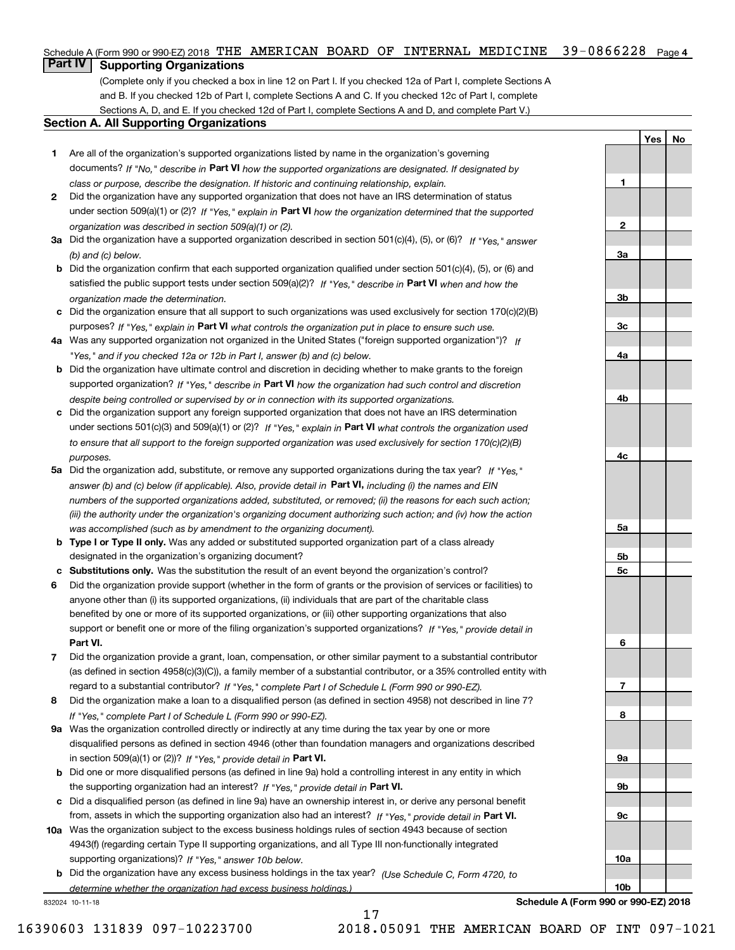# Schedule A (Form 990 or 990-EZ) 2018 THE AMERICAN BOARD OF INTERNAL MEDICINE 39-0866228 <sub>Page 4</sub>

# **Part IV Supporting Organizations**

(Complete only if you checked a box in line 12 on Part I. If you checked 12a of Part I, complete Sections A and B. If you checked 12b of Part I, complete Sections A and C. If you checked 12c of Part I, complete Sections A, D, and E. If you checked 12d of Part I, complete Sections A and D, and complete Part V.)

# **Section A. All Supporting Organizations**

- **1** Are all of the organization's supported organizations listed by name in the organization's governing documents? If "No," describe in **Part VI** how the supported organizations are designated. If designated by *class or purpose, describe the designation. If historic and continuing relationship, explain.*
- **2** Did the organization have any supported organization that does not have an IRS determination of status under section 509(a)(1) or (2)? If "Yes," explain in Part VI how the organization determined that the supported *organization was described in section 509(a)(1) or (2).*
- **3a** Did the organization have a supported organization described in section 501(c)(4), (5), or (6)? If "Yes," answer *(b) and (c) below.*
- **b** Did the organization confirm that each supported organization qualified under section 501(c)(4), (5), or (6) and satisfied the public support tests under section 509(a)(2)? If "Yes," describe in **Part VI** when and how the *organization made the determination.*
- **c**Did the organization ensure that all support to such organizations was used exclusively for section 170(c)(2)(B) purposes? If "Yes," explain in **Part VI** what controls the organization put in place to ensure such use.
- **4a***If* Was any supported organization not organized in the United States ("foreign supported organization")? *"Yes," and if you checked 12a or 12b in Part I, answer (b) and (c) below.*
- **b** Did the organization have ultimate control and discretion in deciding whether to make grants to the foreign supported organization? If "Yes," describe in **Part VI** how the organization had such control and discretion *despite being controlled or supervised by or in connection with its supported organizations.*
- **c** Did the organization support any foreign supported organization that does not have an IRS determination under sections 501(c)(3) and 509(a)(1) or (2)? If "Yes," explain in **Part VI** what controls the organization used *to ensure that all support to the foreign supported organization was used exclusively for section 170(c)(2)(B) purposes.*
- **5a** Did the organization add, substitute, or remove any supported organizations during the tax year? If "Yes," answer (b) and (c) below (if applicable). Also, provide detail in **Part VI,** including (i) the names and EIN *numbers of the supported organizations added, substituted, or removed; (ii) the reasons for each such action; (iii) the authority under the organization's organizing document authorizing such action; and (iv) how the action was accomplished (such as by amendment to the organizing document).*
- **b** Type I or Type II only. Was any added or substituted supported organization part of a class already designated in the organization's organizing document?
- **cSubstitutions only.**  Was the substitution the result of an event beyond the organization's control?
- **6** Did the organization provide support (whether in the form of grants or the provision of services or facilities) to **Part VI.** *If "Yes," provide detail in* support or benefit one or more of the filing organization's supported organizations? anyone other than (i) its supported organizations, (ii) individuals that are part of the charitable class benefited by one or more of its supported organizations, or (iii) other supporting organizations that also
- **7**Did the organization provide a grant, loan, compensation, or other similar payment to a substantial contributor *If "Yes," complete Part I of Schedule L (Form 990 or 990-EZ).* regard to a substantial contributor? (as defined in section 4958(c)(3)(C)), a family member of a substantial contributor, or a 35% controlled entity with
- **8** Did the organization make a loan to a disqualified person (as defined in section 4958) not described in line 7? *If "Yes," complete Part I of Schedule L (Form 990 or 990-EZ).*
- **9a** Was the organization controlled directly or indirectly at any time during the tax year by one or more in section 509(a)(1) or (2))? If "Yes," *provide detail in* <code>Part VI.</code> disqualified persons as defined in section 4946 (other than foundation managers and organizations described
- **b** Did one or more disqualified persons (as defined in line 9a) hold a controlling interest in any entity in which the supporting organization had an interest? If "Yes," provide detail in P**art VI**.
- **c**Did a disqualified person (as defined in line 9a) have an ownership interest in, or derive any personal benefit from, assets in which the supporting organization also had an interest? If "Yes," provide detail in P**art VI.**
- **10a** Was the organization subject to the excess business holdings rules of section 4943 because of section supporting organizations)? If "Yes," answer 10b below. 4943(f) (regarding certain Type II supporting organizations, and all Type III non-functionally integrated
- **b** Did the organization have any excess business holdings in the tax year? (Use Schedule C, Form 4720, to *determine whether the organization had excess business holdings.)*

17

832024 10-11-18

**Schedule A (Form 990 or 990-EZ) 2018**

**YesNo**

**1**

**2**

**3a**

**3b**

**3c**

**4a**

**4b**

**4c**

**5a**

**5b5c**

**6**

**7**

**8**

**9a**

**9b**

**9c**

**10a**

**10b**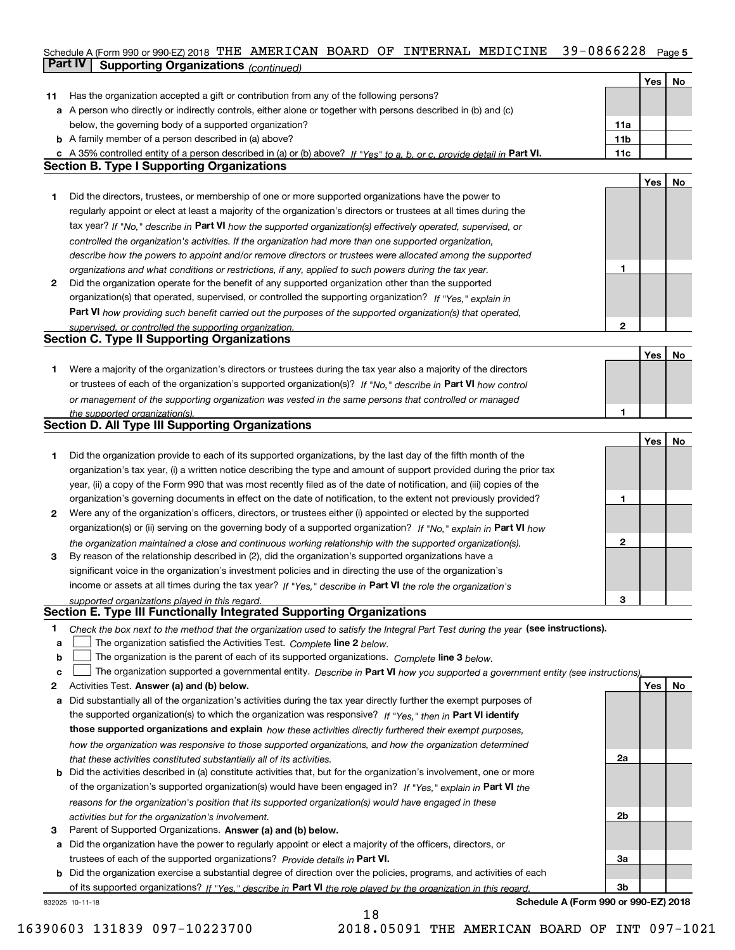# Schedule A (Form 990 or 990-EZ) 2018 THE AMERICAN BOARD OF INTERNAL MEDICINE 39-0866228 Page 5 **Part IV Supporting Organizations** *(continued)*

|              |                                                                                                                                   |     | Yes | No |
|--------------|-----------------------------------------------------------------------------------------------------------------------------------|-----|-----|----|
| 11           | Has the organization accepted a gift or contribution from any of the following persons?                                           |     |     |    |
|              | a A person who directly or indirectly controls, either alone or together with persons described in (b) and (c)                    |     |     |    |
|              | below, the governing body of a supported organization?                                                                            | 11a |     |    |
|              | <b>b</b> A family member of a person described in (a) above?                                                                      | 11b |     |    |
|              | c A 35% controlled entity of a person described in (a) or (b) above? If "Yes" to a, b, or c, provide detail in Part VI.           | 11c |     |    |
|              | <b>Section B. Type I Supporting Organizations</b>                                                                                 |     |     |    |
|              |                                                                                                                                   |     | Yes | No |
| 1.           | Did the directors, trustees, or membership of one or more supported organizations have the power to                               |     |     |    |
|              | regularly appoint or elect at least a majority of the organization's directors or trustees at all times during the                |     |     |    |
|              | tax year? If "No," describe in Part VI how the supported organization(s) effectively operated, supervised, or                     |     |     |    |
|              | controlled the organization's activities. If the organization had more than one supported organization,                           |     |     |    |
|              | describe how the powers to appoint and/or remove directors or trustees were allocated among the supported                         |     |     |    |
|              | organizations and what conditions or restrictions, if any, applied to such powers during the tax year.                            | 1   |     |    |
| 2            | Did the organization operate for the benefit of any supported organization other than the supported                               |     |     |    |
|              | organization(s) that operated, supervised, or controlled the supporting organization? If "Yes," explain in                        |     |     |    |
|              | Part VI how providing such benefit carried out the purposes of the supported organization(s) that operated,                       |     |     |    |
|              | supervised, or controlled the supporting organization.                                                                            | 2   |     |    |
|              | <b>Section C. Type II Supporting Organizations</b>                                                                                |     |     |    |
|              |                                                                                                                                   |     | Yes | No |
| 1.           | Were a majority of the organization's directors or trustees during the tax year also a majority of the directors                  |     |     |    |
|              | or trustees of each of the organization's supported organization(s)? If "No," describe in Part VI how control                     |     |     |    |
|              | or management of the supporting organization was vested in the same persons that controlled or managed                            |     |     |    |
|              | the supported organization(s).                                                                                                    | 1   |     |    |
|              | <b>Section D. All Type III Supporting Organizations</b>                                                                           |     |     |    |
|              |                                                                                                                                   |     | Yes | No |
| 1            | Did the organization provide to each of its supported organizations, by the last day of the fifth month of the                    |     |     |    |
|              | organization's tax year, (i) a written notice describing the type and amount of support provided during the prior tax             |     |     |    |
|              | year, (ii) a copy of the Form 990 that was most recently filed as of the date of notification, and (iii) copies of the            |     |     |    |
|              | organization's governing documents in effect on the date of notification, to the extent not previously provided?                  | 1   |     |    |
| $\mathbf{2}$ | Were any of the organization's officers, directors, or trustees either (i) appointed or elected by the supported                  |     |     |    |
|              | organization(s) or (ii) serving on the governing body of a supported organization? If "No," explain in Part VI how                |     |     |    |
|              | the organization maintained a close and continuous working relationship with the supported organization(s).                       | 2   |     |    |
| 3            | By reason of the relationship described in (2), did the organization's supported organizations have a                             |     |     |    |
|              | significant voice in the organization's investment policies and in directing the use of the organization's                        |     |     |    |
|              | income or assets at all times during the tax year? If "Yes," describe in Part VI the role the organization's                      |     |     |    |
|              |                                                                                                                                   | З   |     |    |
|              | supported organizations played in this regard.<br>Section E. Type III Functionally Integrated Supporting Organizations            |     |     |    |
| 1            | Check the box next to the method that the organization used to satisfy the Integral Part Test during the year (see instructions). |     |     |    |
| a            | The organization satisfied the Activities Test. Complete line 2 below.                                                            |     |     |    |
| b            | The organization is the parent of each of its supported organizations. Complete line 3 below.                                     |     |     |    |
| c            | The organization supported a governmental entity. Describe in Part VI how you supported a government entity (see instructions),   |     |     |    |
| 2            | Activities Test. Answer (a) and (b) below.                                                                                        |     | Yes | No |
| а            | Did substantially all of the organization's activities during the tax year directly further the exempt purposes of                |     |     |    |
|              | the supported organization(s) to which the organization was responsive? If "Yes," then in Part VI identify                        |     |     |    |
|              | those supported organizations and explain how these activities directly furthered their exempt purposes,                          |     |     |    |
|              |                                                                                                                                   |     |     |    |
|              | how the organization was responsive to those supported organizations, and how the organization determined                         | 2a  |     |    |
|              | that these activities constituted substantially all of its activities.                                                            |     |     |    |
| b            | Did the activities described in (a) constitute activities that, but for the organization's involvement, one or more               |     |     |    |
|              | of the organization's supported organization(s) would have been engaged in? If "Yes," explain in Part VI the                      |     |     |    |
|              | reasons for the organization's position that its supported organization(s) would have engaged in these                            |     |     |    |
|              | activities but for the organization's involvement.                                                                                | 2b  |     |    |
| з            | Parent of Supported Organizations. Answer (a) and (b) below.                                                                      |     |     |    |
| а            | Did the organization have the power to regularly appoint or elect a majority of the officers, directors, or                       |     |     |    |
|              | trustees of each of the supported organizations? Provide details in Part VI.                                                      | За  |     |    |
| b            | Did the organization exercise a substantial degree of direction over the policies, programs, and activities of each               |     |     |    |
|              | of its supported organizations? If "Yes." describe in Part VI the role played by the organization in this regard                  | Зb  |     |    |
|              | Schedule A (Form 990 or 990-EZ) 2018<br>832025 10-11-18                                                                           |     |     |    |

18

16390603 131839 097-10223700 2018.05091 THE AMERICAN BOARD OF INT 097-1021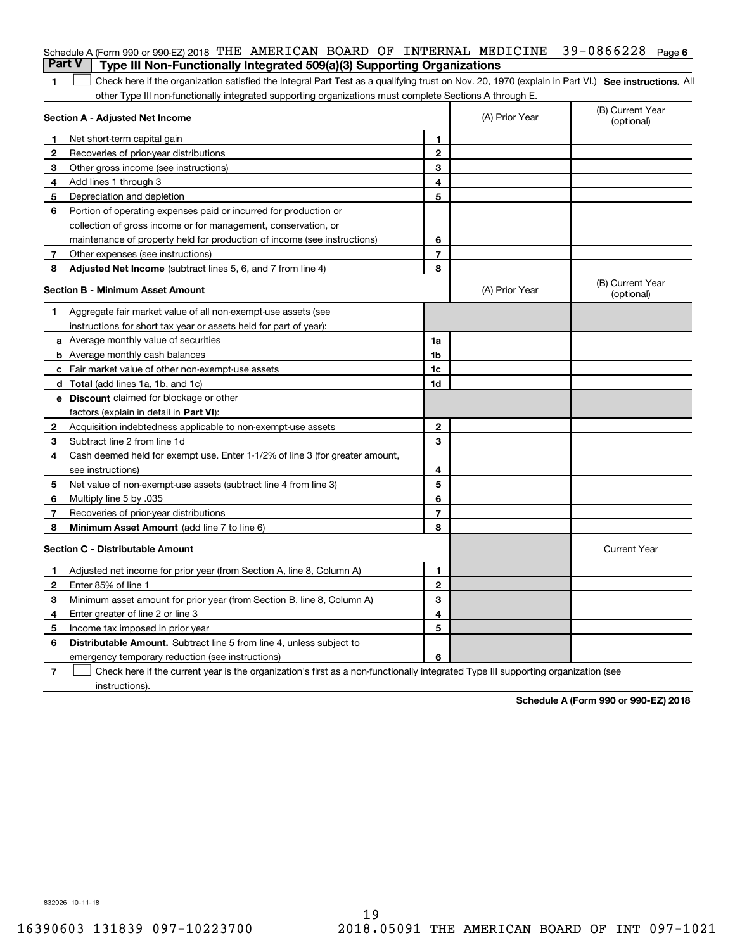|                | Schedule A (Form 990 or 990-EZ) 2018 THE AMERICAN BOARD OF INTERNAL MEDICINE<br><b>Part V</b><br>Type III Non-Functionally Integrated 509(a)(3) Supporting Organizations |                |                | $39 - 0866228$ Page 6          |
|----------------|--------------------------------------------------------------------------------------------------------------------------------------------------------------------------|----------------|----------------|--------------------------------|
| 1              | Check here if the organization satisfied the Integral Part Test as a qualifying trust on Nov. 20, 1970 (explain in Part VI.) See instructions. Al                        |                |                |                                |
|                | other Type III non-functionally integrated supporting organizations must complete Sections A through E.                                                                  |                |                |                                |
|                | Section A - Adjusted Net Income                                                                                                                                          |                | (A) Prior Year | (B) Current Year<br>(optional) |
| 1              | Net short-term capital gain                                                                                                                                              | 1.             |                |                                |
| $\overline{2}$ | Recoveries of prior-year distributions                                                                                                                                   | $\mathbf{2}$   |                |                                |
| З              | Other gross income (see instructions)                                                                                                                                    | 3              |                |                                |
| 4              | Add lines 1 through 3                                                                                                                                                    | 4              |                |                                |
| 5              | Depreciation and depletion                                                                                                                                               | 5              |                |                                |
| 6              | Portion of operating expenses paid or incurred for production or                                                                                                         |                |                |                                |
|                | collection of gross income or for management, conservation, or                                                                                                           |                |                |                                |
|                | maintenance of property held for production of income (see instructions)                                                                                                 | 6              |                |                                |
| 7              | Other expenses (see instructions)                                                                                                                                        | $\overline{7}$ |                |                                |
| 8              | Adjusted Net Income (subtract lines 5, 6, and 7 from line 4)                                                                                                             | 8              |                |                                |
|                | <b>Section B - Minimum Asset Amount</b>                                                                                                                                  |                | (A) Prior Year | (B) Current Year<br>(optional) |
| 1              | Aggregate fair market value of all non-exempt-use assets (see                                                                                                            |                |                |                                |
|                | instructions for short tax year or assets held for part of year):                                                                                                        |                |                |                                |
|                | <b>a</b> Average monthly value of securities                                                                                                                             | 1a             |                |                                |
|                | <b>b</b> Average monthly cash balances                                                                                                                                   | 1b             |                |                                |
|                | c Fair market value of other non-exempt-use assets                                                                                                                       | 1c             |                |                                |
|                | d Total (add lines 1a, 1b, and 1c)                                                                                                                                       | 1d             |                |                                |
|                | <b>e</b> Discount claimed for blockage or other                                                                                                                          |                |                |                                |
|                | factors (explain in detail in Part VI):                                                                                                                                  |                |                |                                |
| 2              | Acquisition indebtedness applicable to non-exempt-use assets                                                                                                             | $\mathbf{2}$   |                |                                |
| 3              | Subtract line 2 from line 1d                                                                                                                                             | 3              |                |                                |
| 4              | Cash deemed held for exempt use. Enter 1-1/2% of line 3 (for greater amount,                                                                                             |                |                |                                |
|                | see instructions)                                                                                                                                                        | 4              |                |                                |
| 5              | Net value of non-exempt-use assets (subtract line 4 from line 3)                                                                                                         | 5              |                |                                |
| 6              | Multiply line 5 by .035                                                                                                                                                  | 6              |                |                                |
| 7              | Recoveries of prior-year distributions                                                                                                                                   | $\overline{7}$ |                |                                |
| 8              | Minimum Asset Amount (add line 7 to line 6)                                                                                                                              | 8              |                |                                |
|                | <b>Section C - Distributable Amount</b>                                                                                                                                  |                |                | <b>Current Year</b>            |
|                | Adjusted net income for prior year (from Section A, line 8, Column A)                                                                                                    | 1              |                |                                |
|                | Enter 85% of line 1                                                                                                                                                      | 2              |                |                                |
| З              | Minimum asset amount for prior year (from Section B, line 8, Column A)                                                                                                   | 3              |                |                                |
| 4              | Enter greater of line 2 or line 3                                                                                                                                        | 4              |                |                                |
| 5              | Income tax imposed in prior year                                                                                                                                         | 5              |                |                                |
| 6              | <b>Distributable Amount.</b> Subtract line 5 from line 4, unless subject to                                                                                              |                |                |                                |
|                | emergency temporary reduction (see instructions)                                                                                                                         | 6              |                |                                |
| 7              | Check here if the current year is the organization's first as a non-functionally integrated Type III supporting organization (see                                        |                |                |                                |

instructions).

**Schedule A (Form 990 or 990-EZ) 2018**

832026 10-11-18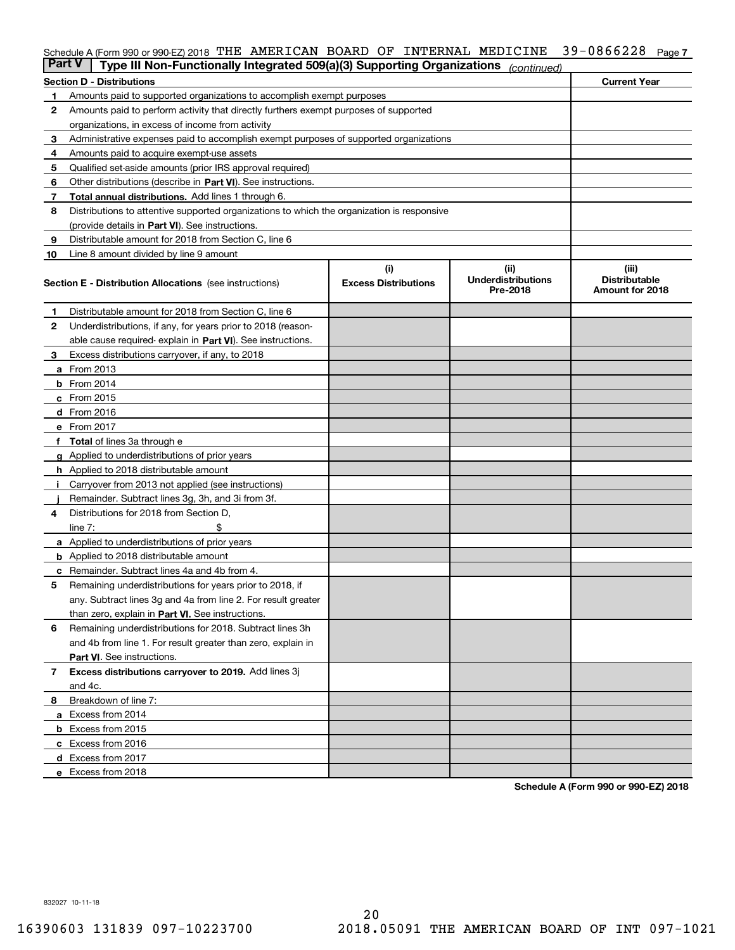# Schedule A (Form 990 or 990-EZ) 2018 THE AMERICAN BOARD OF INTERNAL MEDICINE 39-0866228 Page 7

| <b>Part V</b> | Type III Non-Functionally Integrated 509(a)(3) Supporting Organizations                    |                             | (continued)                           |                                         |  |  |  |  |
|---------------|--------------------------------------------------------------------------------------------|-----------------------------|---------------------------------------|-----------------------------------------|--|--|--|--|
|               | <b>Section D - Distributions</b>                                                           |                             |                                       | <b>Current Year</b>                     |  |  |  |  |
| 1             | Amounts paid to supported organizations to accomplish exempt purposes                      |                             |                                       |                                         |  |  |  |  |
| 2             | Amounts paid to perform activity that directly furthers exempt purposes of supported       |                             |                                       |                                         |  |  |  |  |
|               | organizations, in excess of income from activity                                           |                             |                                       |                                         |  |  |  |  |
| 3             | Administrative expenses paid to accomplish exempt purposes of supported organizations      |                             |                                       |                                         |  |  |  |  |
| 4             | Amounts paid to acquire exempt-use assets                                                  |                             |                                       |                                         |  |  |  |  |
| 5             | Qualified set-aside amounts (prior IRS approval required)                                  |                             |                                       |                                         |  |  |  |  |
| 6             | Other distributions (describe in Part VI). See instructions.                               |                             |                                       |                                         |  |  |  |  |
| 7             | <b>Total annual distributions.</b> Add lines 1 through 6.                                  |                             |                                       |                                         |  |  |  |  |
| 8             | Distributions to attentive supported organizations to which the organization is responsive |                             |                                       |                                         |  |  |  |  |
|               | (provide details in Part VI). See instructions.                                            |                             |                                       |                                         |  |  |  |  |
| 9             | Distributable amount for 2018 from Section C, line 6                                       |                             |                                       |                                         |  |  |  |  |
| 10            | Line 8 amount divided by line 9 amount                                                     |                             |                                       |                                         |  |  |  |  |
|               |                                                                                            | (i)                         | (ii)                                  | (iii)                                   |  |  |  |  |
|               | <b>Section E - Distribution Allocations</b> (see instructions)                             | <b>Excess Distributions</b> | <b>Underdistributions</b><br>Pre-2018 | <b>Distributable</b><br>Amount for 2018 |  |  |  |  |
| 1             | Distributable amount for 2018 from Section C, line 6                                       |                             |                                       |                                         |  |  |  |  |
| 2             | Underdistributions, if any, for years prior to 2018 (reason-                               |                             |                                       |                                         |  |  |  |  |
|               | able cause required- explain in Part VI). See instructions.                                |                             |                                       |                                         |  |  |  |  |
| З             | Excess distributions carryover, if any, to 2018                                            |                             |                                       |                                         |  |  |  |  |
|               | <b>a</b> From 2013                                                                         |                             |                                       |                                         |  |  |  |  |
|               | <b>b</b> From $2014$                                                                       |                             |                                       |                                         |  |  |  |  |
|               | c From 2015                                                                                |                             |                                       |                                         |  |  |  |  |
|               | <b>d</b> From 2016                                                                         |                             |                                       |                                         |  |  |  |  |
|               | e From 2017                                                                                |                             |                                       |                                         |  |  |  |  |
|               | Total of lines 3a through e                                                                |                             |                                       |                                         |  |  |  |  |
| g             | Applied to underdistributions of prior years                                               |                             |                                       |                                         |  |  |  |  |
|               | h Applied to 2018 distributable amount                                                     |                             |                                       |                                         |  |  |  |  |
|               | Carryover from 2013 not applied (see instructions)                                         |                             |                                       |                                         |  |  |  |  |
|               | Remainder. Subtract lines 3g, 3h, and 3i from 3f.                                          |                             |                                       |                                         |  |  |  |  |
| 4             | Distributions for 2018 from Section D,                                                     |                             |                                       |                                         |  |  |  |  |
|               | line $7:$                                                                                  |                             |                                       |                                         |  |  |  |  |
|               | <b>a</b> Applied to underdistributions of prior years                                      |                             |                                       |                                         |  |  |  |  |
|               | <b>b</b> Applied to 2018 distributable amount                                              |                             |                                       |                                         |  |  |  |  |
|               | c Remainder. Subtract lines 4a and 4b from 4.                                              |                             |                                       |                                         |  |  |  |  |
| 5             | Remaining underdistributions for years prior to 2018, if                                   |                             |                                       |                                         |  |  |  |  |
|               | any. Subtract lines 3g and 4a from line 2. For result greater                              |                             |                                       |                                         |  |  |  |  |
|               | than zero, explain in Part VI. See instructions.                                           |                             |                                       |                                         |  |  |  |  |
| 6             | Remaining underdistributions for 2018. Subtract lines 3h                                   |                             |                                       |                                         |  |  |  |  |
|               | and 4b from line 1. For result greater than zero, explain in                               |                             |                                       |                                         |  |  |  |  |
|               | Part VI. See instructions.                                                                 |                             |                                       |                                         |  |  |  |  |
| 7             | Excess distributions carryover to 2019. Add lines 3j                                       |                             |                                       |                                         |  |  |  |  |
|               | and 4c.                                                                                    |                             |                                       |                                         |  |  |  |  |
| 8             | Breakdown of line 7:                                                                       |                             |                                       |                                         |  |  |  |  |
|               | a Excess from 2014                                                                         |                             |                                       |                                         |  |  |  |  |
|               | <b>b</b> Excess from 2015                                                                  |                             |                                       |                                         |  |  |  |  |
|               | c Excess from 2016                                                                         |                             |                                       |                                         |  |  |  |  |
|               | d Excess from 2017                                                                         |                             |                                       |                                         |  |  |  |  |
|               |                                                                                            |                             |                                       |                                         |  |  |  |  |
|               | e Excess from 2018                                                                         |                             |                                       |                                         |  |  |  |  |

**Schedule A (Form 990 or 990-EZ) 2018**

832027 10-11-18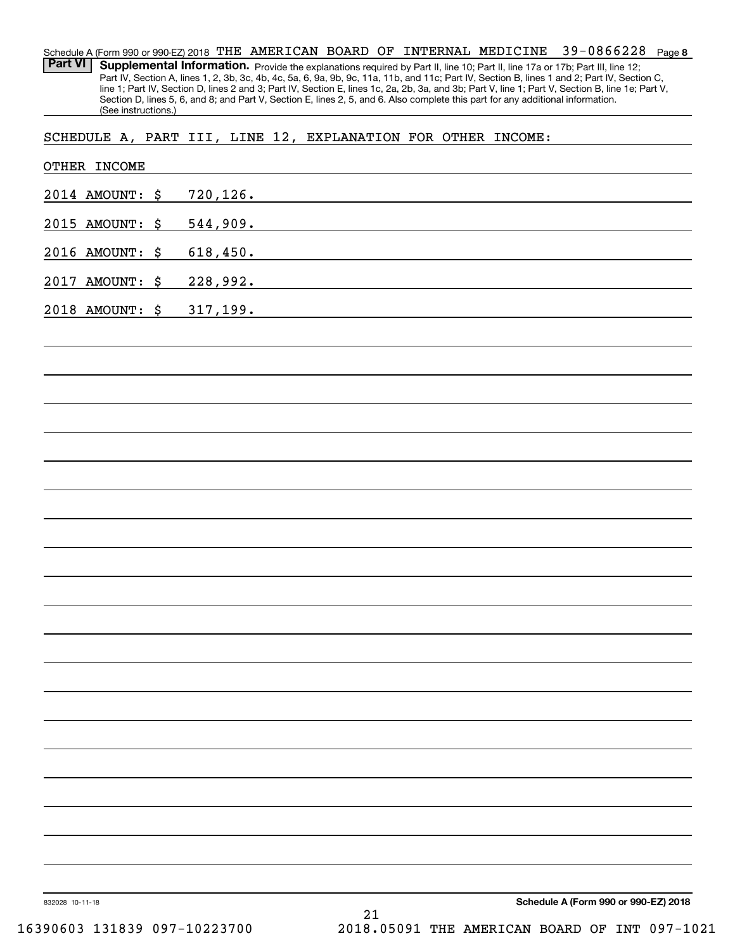**8** 39-0866228 Schedule A (Form 990 or 990-EZ) 2018  $\:$  THE  $\:$  AMERICAN <code>BOARD OF INTERNAL</code> <code>MEDICINE <code>39–0866228</code> <code>Page</code></code> Part VI | Supplemental Information. Provide the explanations required by Part II, line 10; Part II, line 17a or 17b; Part III, line 12; Part IV, Section A, lines 1, 2, 3b, 3c, 4b, 4c, 5a, 6, 9a, 9b, 9c, 11a, 11b, and 11c; Part IV, Section B, lines 1 and 2; Part IV, Section C, line 1; Part IV, Section D, lines 2 and 3; Part IV, Section E, lines 1c, 2a, 2b, 3a, and 3b; Part V, line 1; Part V, Section B, line 1e; Part V, Section D, lines 5, 6, and 8; and Part V, Section E, lines 2, 5, and 6. Also complete this part for any additional information. (See instructions.)

SCHEDULE A, PART III, LINE 12, EXPLANATION FOR OTHER INCOME:

| 2014 AMOUNT: \$ | 720,126.                                                                                                                                                                                                                                  |  |
|-----------------|-------------------------------------------------------------------------------------------------------------------------------------------------------------------------------------------------------------------------------------------|--|
|                 |                                                                                                                                                                                                                                           |  |
| 2015 AMOUNT: \$ | 544,909.                                                                                                                                                                                                                                  |  |
| 2016 AMOUNT: \$ | 618,450.<br>the control of the control of the control of the control of the control of the control of the control of the control of the control of the control of the control of the control of the control of the control of the control |  |
| 2017 AMOUNT: \$ | 228,992.                                                                                                                                                                                                                                  |  |
| 2018 AMOUNT: \$ | 317, 199.<br>and the control of the control of the control of the control of the control of the control of the control of the                                                                                                             |  |
|                 |                                                                                                                                                                                                                                           |  |
|                 |                                                                                                                                                                                                                                           |  |
|                 |                                                                                                                                                                                                                                           |  |
|                 |                                                                                                                                                                                                                                           |  |
|                 |                                                                                                                                                                                                                                           |  |
|                 |                                                                                                                                                                                                                                           |  |
|                 |                                                                                                                                                                                                                                           |  |
|                 |                                                                                                                                                                                                                                           |  |
|                 |                                                                                                                                                                                                                                           |  |
|                 |                                                                                                                                                                                                                                           |  |
|                 |                                                                                                                                                                                                                                           |  |
|                 |                                                                                                                                                                                                                                           |  |
|                 |                                                                                                                                                                                                                                           |  |
|                 |                                                                                                                                                                                                                                           |  |
|                 |                                                                                                                                                                                                                                           |  |
|                 |                                                                                                                                                                                                                                           |  |
|                 |                                                                                                                                                                                                                                           |  |
|                 |                                                                                                                                                                                                                                           |  |
|                 |                                                                                                                                                                                                                                           |  |
|                 |                                                                                                                                                                                                                                           |  |
|                 |                                                                                                                                                                                                                                           |  |
|                 |                                                                                                                                                                                                                                           |  |
| 832028 10-11-18 | Schedule A (Form 990 or 990-EZ) 2018<br>21                                                                                                                                                                                                |  |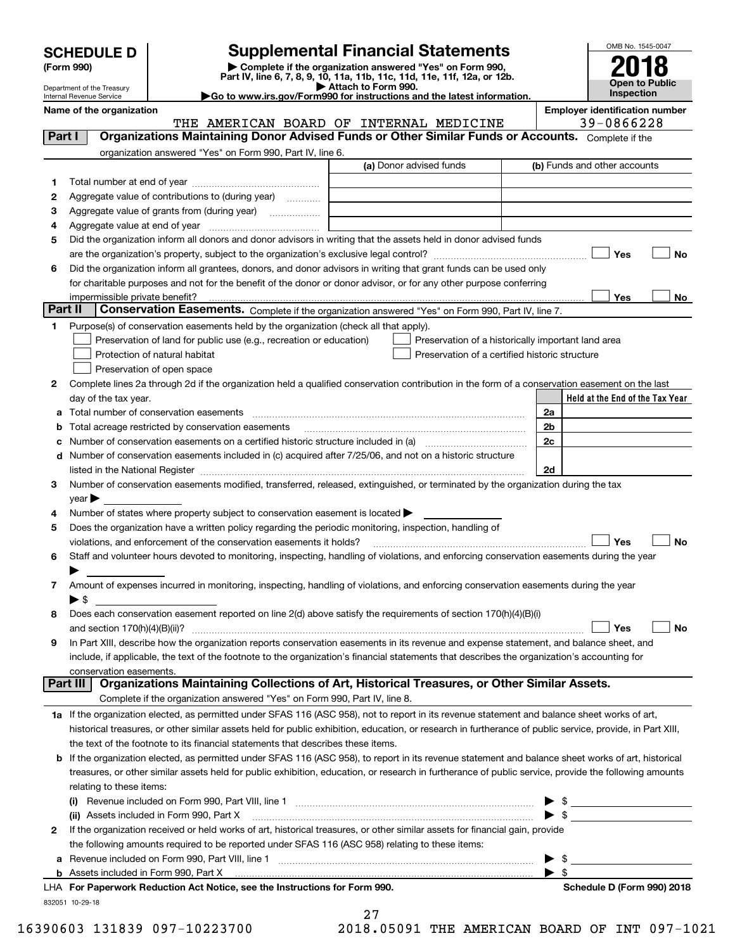| <b>SCHEDULE D</b> |  |
|-------------------|--|
|-------------------|--|

| (Form 990) |  |
|------------|--|
|------------|--|

# **Supplemental Financial Statements**

(Form 990)<br>
Pepartment of the Treasury<br>
Department of the Treasury<br>
Department of the Treasury<br>
Department of the Treasury<br> **Co to www.irs.gov/Form990 for instructions and the latest information.**<br> **Co to www.irs.gov/Form9** 



Department of the Treasury Internal Revenue Service

**Name of the organization Employer identification number** THE AMERICAN BOARD OF INTERNAL MEDICINE 39-0866228

| Part I   | Organizations Maintaining Donor Advised Funds or Other Similar Funds or Accounts. Complete if the                                                                                                                                                                                                            |                         |                                                    |
|----------|--------------------------------------------------------------------------------------------------------------------------------------------------------------------------------------------------------------------------------------------------------------------------------------------------------------|-------------------------|----------------------------------------------------|
|          | organization answered "Yes" on Form 990, Part IV, line 6.                                                                                                                                                                                                                                                    |                         |                                                    |
|          |                                                                                                                                                                                                                                                                                                              | (a) Donor advised funds | (b) Funds and other accounts                       |
| 1.       |                                                                                                                                                                                                                                                                                                              |                         |                                                    |
| 2        | Aggregate value of contributions to (during year)                                                                                                                                                                                                                                                            |                         |                                                    |
| з        | Aggregate value of grants from (during year)                                                                                                                                                                                                                                                                 |                         |                                                    |
| 4        |                                                                                                                                                                                                                                                                                                              |                         |                                                    |
| 5        | Did the organization inform all donors and donor advisors in writing that the assets held in donor advised funds                                                                                                                                                                                             |                         |                                                    |
|          |                                                                                                                                                                                                                                                                                                              |                         | Yes<br>No                                          |
| 6        | Did the organization inform all grantees, donors, and donor advisors in writing that grant funds can be used only                                                                                                                                                                                            |                         |                                                    |
|          | for charitable purposes and not for the benefit of the donor or donor advisor, or for any other purpose conferring                                                                                                                                                                                           |                         |                                                    |
|          | impermissible private benefit?                                                                                                                                                                                                                                                                               |                         | Yes<br>No                                          |
| Part II  | Conservation Easements. Complete if the organization answered "Yes" on Form 990, Part IV, line 7.                                                                                                                                                                                                            |                         |                                                    |
| 1.       | Purpose(s) of conservation easements held by the organization (check all that apply).                                                                                                                                                                                                                        |                         |                                                    |
|          | Preservation of land for public use (e.g., recreation or education)                                                                                                                                                                                                                                          |                         | Preservation of a historically important land area |
|          | Protection of natural habitat                                                                                                                                                                                                                                                                                |                         | Preservation of a certified historic structure     |
|          | Preservation of open space                                                                                                                                                                                                                                                                                   |                         |                                                    |
| 2        | Complete lines 2a through 2d if the organization held a qualified conservation contribution in the form of a conservation easement on the last                                                                                                                                                               |                         |                                                    |
|          | day of the tax year.                                                                                                                                                                                                                                                                                         |                         | Held at the End of the Tax Year                    |
| а        | Total number of conservation easements                                                                                                                                                                                                                                                                       |                         | 2a                                                 |
| b        | Total acreage restricted by conservation easements                                                                                                                                                                                                                                                           |                         | 2b                                                 |
| с        | Number of conservation easements on a certified historic structure included in (a) manufacture included in (a)                                                                                                                                                                                               |                         | 2c                                                 |
|          | d Number of conservation easements included in (c) acquired after 7/25/06, and not on a historic structure                                                                                                                                                                                                   |                         |                                                    |
|          | listed in the National Register [11] matter is a set of the state of the state of the National Register [11] matter is a set of the National Register [11] matter is a set of the National Register [11] matter is a set of th                                                                               |                         | 2d                                                 |
| 3        | Number of conservation easements modified, transferred, released, extinguished, or terminated by the organization during the tax                                                                                                                                                                             |                         |                                                    |
|          | year                                                                                                                                                                                                                                                                                                         |                         |                                                    |
| 4        | Number of states where property subject to conservation easement is located >                                                                                                                                                                                                                                |                         |                                                    |
| 5        | Does the organization have a written policy regarding the periodic monitoring, inspection, handling of                                                                                                                                                                                                       |                         |                                                    |
|          | violations, and enforcement of the conservation easements it holds?                                                                                                                                                                                                                                          |                         | Yes<br>No                                          |
| 6        | Staff and volunteer hours devoted to monitoring, inspecting, handling of violations, and enforcing conservation easements during the year                                                                                                                                                                    |                         |                                                    |
|          |                                                                                                                                                                                                                                                                                                              |                         |                                                    |
| 7        | Amount of expenses incurred in monitoring, inspecting, handling of violations, and enforcing conservation easements during the year                                                                                                                                                                          |                         |                                                    |
|          | $\blacktriangleright$ s                                                                                                                                                                                                                                                                                      |                         |                                                    |
|          | Does each conservation easement reported on line 2(d) above satisfy the requirements of section 170(h)(4)(B)(i)                                                                                                                                                                                              |                         |                                                    |
|          |                                                                                                                                                                                                                                                                                                              |                         | Yes<br>No                                          |
| 9        | In Part XIII, describe how the organization reports conservation easements in its revenue and expense statement, and balance sheet, and                                                                                                                                                                      |                         |                                                    |
|          | include, if applicable, the text of the footnote to the organization's financial statements that describes the organization's accounting for                                                                                                                                                                 |                         |                                                    |
| Part III | conservation easements.<br>Organizations Maintaining Collections of Art, Historical Treasures, or Other Similar Assets.                                                                                                                                                                                      |                         |                                                    |
|          | Complete if the organization answered "Yes" on Form 990, Part IV, line 8.                                                                                                                                                                                                                                    |                         |                                                    |
|          | 1a If the organization elected, as permitted under SFAS 116 (ASC 958), not to report in its revenue statement and balance sheet works of art,                                                                                                                                                                |                         |                                                    |
|          |                                                                                                                                                                                                                                                                                                              |                         |                                                    |
|          | historical treasures, or other similar assets held for public exhibition, education, or research in furtherance of public service, provide, in Part XIII,                                                                                                                                                    |                         |                                                    |
|          | the text of the footnote to its financial statements that describes these items.                                                                                                                                                                                                                             |                         |                                                    |
|          | b If the organization elected, as permitted under SFAS 116 (ASC 958), to report in its revenue statement and balance sheet works of art, historical<br>treasures, or other similar assets held for public exhibition, education, or research in furtherance of public service, provide the following amounts |                         |                                                    |
|          | relating to these items:                                                                                                                                                                                                                                                                                     |                         |                                                    |
|          |                                                                                                                                                                                                                                                                                                              |                         |                                                    |
|          | $\left( 1\right)$<br>(ii) Assets included in Form 990, Part X                                                                                                                                                                                                                                                |                         | \$<br>$\blacktriangleright$ s                      |
|          |                                                                                                                                                                                                                                                                                                              |                         |                                                    |
| 2        | If the organization received or held works of art, historical treasures, or other similar assets for financial gain, provide                                                                                                                                                                                 |                         |                                                    |
|          | the following amounts required to be reported under SFAS 116 (ASC 958) relating to these items:                                                                                                                                                                                                              |                         |                                                    |
| а        |                                                                                                                                                                                                                                                                                                              |                         | \$<br>\$                                           |
|          | LHA For Paperwork Reduction Act Notice, see the Instructions for Form 990.                                                                                                                                                                                                                                   |                         | Schedule D (Form 990) 2018                         |
|          |                                                                                                                                                                                                                                                                                                              |                         |                                                    |
|          | 832051 10-29-18                                                                                                                                                                                                                                                                                              |                         |                                                    |

27

16390603 131839 097-10223700 2018.05091 THE AMERICAN BOARD OF INT 097-1021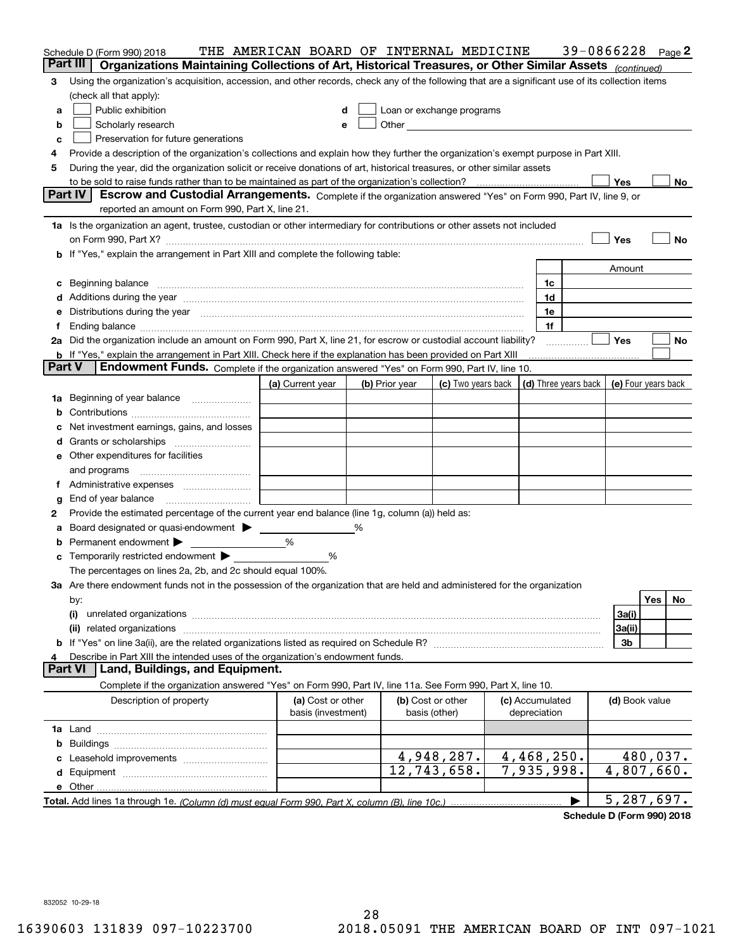|                | Schedule D (Form 990) 2018<br>Part III                                                                                                                                                                                                                                                                                                                                                                                                                           | THE AMERICAN BOARD OF INTERNAL MEDICINE |   |                                                                                                                                                                                                                               |                                                                             |                 | 39-0866228 |                |          | $Page$ 2 |
|----------------|------------------------------------------------------------------------------------------------------------------------------------------------------------------------------------------------------------------------------------------------------------------------------------------------------------------------------------------------------------------------------------------------------------------------------------------------------------------|-----------------------------------------|---|-------------------------------------------------------------------------------------------------------------------------------------------------------------------------------------------------------------------------------|-----------------------------------------------------------------------------|-----------------|------------|----------------|----------|----------|
|                | Organizations Maintaining Collections of Art, Historical Treasures, or Other Similar Assets (continued)                                                                                                                                                                                                                                                                                                                                                          |                                         |   |                                                                                                                                                                                                                               |                                                                             |                 |            |                |          |          |
| 3              | Using the organization's acquisition, accession, and other records, check any of the following that are a significant use of its collection items                                                                                                                                                                                                                                                                                                                |                                         |   |                                                                                                                                                                                                                               |                                                                             |                 |            |                |          |          |
|                | (check all that apply):                                                                                                                                                                                                                                                                                                                                                                                                                                          |                                         |   |                                                                                                                                                                                                                               |                                                                             |                 |            |                |          |          |
| a              | Public exhibition                                                                                                                                                                                                                                                                                                                                                                                                                                                | d                                       |   | Loan or exchange programs                                                                                                                                                                                                     |                                                                             |                 |            |                |          |          |
| b              | Scholarly research                                                                                                                                                                                                                                                                                                                                                                                                                                               | e                                       |   | Other and the contract of the contract of the contract of the contract of the contract of the contract of the contract of the contract of the contract of the contract of the contract of the contract of the contract of the |                                                                             |                 |            |                |          |          |
| c              | Preservation for future generations                                                                                                                                                                                                                                                                                                                                                                                                                              |                                         |   |                                                                                                                                                                                                                               |                                                                             |                 |            |                |          |          |
| 4              | Provide a description of the organization's collections and explain how they further the organization's exempt purpose in Part XIII.                                                                                                                                                                                                                                                                                                                             |                                         |   |                                                                                                                                                                                                                               |                                                                             |                 |            |                |          |          |
| 5              | During the year, did the organization solicit or receive donations of art, historical treasures, or other similar assets                                                                                                                                                                                                                                                                                                                                         |                                         |   |                                                                                                                                                                                                                               |                                                                             |                 |            |                |          |          |
|                |                                                                                                                                                                                                                                                                                                                                                                                                                                                                  |                                         |   |                                                                                                                                                                                                                               |                                                                             |                 |            | Yes            |          | No       |
|                | <b>Part IV</b><br>Escrow and Custodial Arrangements. Complete if the organization answered "Yes" on Form 990, Part IV, line 9, or<br>reported an amount on Form 990, Part X, line 21.                                                                                                                                                                                                                                                                            |                                         |   |                                                                                                                                                                                                                               |                                                                             |                 |            |                |          |          |
|                |                                                                                                                                                                                                                                                                                                                                                                                                                                                                  |                                         |   |                                                                                                                                                                                                                               |                                                                             |                 |            |                |          |          |
|                | 1a Is the organization an agent, trustee, custodian or other intermediary for contributions or other assets not included                                                                                                                                                                                                                                                                                                                                         |                                         |   |                                                                                                                                                                                                                               |                                                                             |                 |            | Yes            |          | No       |
|                | on Form 990, Part X? [11] matter contracts and contracts and contracts are contracted as a function of the set of the set of the set of the set of the set of the set of the set of the set of the set of the set of the set o<br><b>b</b> If "Yes," explain the arrangement in Part XIII and complete the following table:                                                                                                                                      |                                         |   |                                                                                                                                                                                                                               |                                                                             |                 |            |                |          |          |
|                |                                                                                                                                                                                                                                                                                                                                                                                                                                                                  |                                         |   |                                                                                                                                                                                                                               |                                                                             |                 |            | Amount         |          |          |
|                |                                                                                                                                                                                                                                                                                                                                                                                                                                                                  |                                         |   |                                                                                                                                                                                                                               |                                                                             | 1c              |            |                |          |          |
|                | c Beginning balance measurements and the contract of the contract of the contract of the contract of the contract of the contract of the contract of the contract of the contract of the contract of the contract of the contr                                                                                                                                                                                                                                   |                                         |   |                                                                                                                                                                                                                               |                                                                             | 1d              |            |                |          |          |
|                | d Additions during the year measurements are all an according to the year measurement of the year measurement of the state of the state of the state of the state of the state of the state of the state of the state of the s<br>e Distributions during the year manufactured and continuum and contact the year manufactured and contact the year manufactured and contact the year manufactured and contact the year manufactured and contact the year manufa |                                         |   |                                                                                                                                                                                                                               |                                                                             | 1e              |            |                |          |          |
| f              |                                                                                                                                                                                                                                                                                                                                                                                                                                                                  |                                         |   |                                                                                                                                                                                                                               |                                                                             | 1f              |            |                |          |          |
|                | 2a Did the organization include an amount on Form 990, Part X, line 21, for escrow or custodial account liability?                                                                                                                                                                                                                                                                                                                                               |                                         |   |                                                                                                                                                                                                                               |                                                                             |                 |            | <b>Yes</b>     |          | No       |
|                | <b>b</b> If "Yes," explain the arrangement in Part XIII. Check here if the explanation has been provided on Part XIII                                                                                                                                                                                                                                                                                                                                            |                                         |   |                                                                                                                                                                                                                               |                                                                             |                 |            |                |          |          |
|                | <b>Part V</b><br>Endowment Funds. Complete if the organization answered "Yes" on Form 990, Part IV, line 10.                                                                                                                                                                                                                                                                                                                                                     |                                         |   |                                                                                                                                                                                                                               |                                                                             |                 |            |                |          |          |
|                |                                                                                                                                                                                                                                                                                                                                                                                                                                                                  | (a) Current year                        |   | (b) Prior year                                                                                                                                                                                                                | (c) Two years back $\vert$ (d) Three years back $\vert$ (e) Four years back |                 |            |                |          |          |
|                | 1a Beginning of year balance                                                                                                                                                                                                                                                                                                                                                                                                                                     |                                         |   |                                                                                                                                                                                                                               |                                                                             |                 |            |                |          |          |
|                |                                                                                                                                                                                                                                                                                                                                                                                                                                                                  |                                         |   |                                                                                                                                                                                                                               |                                                                             |                 |            |                |          |          |
|                | c Net investment earnings, gains, and losses                                                                                                                                                                                                                                                                                                                                                                                                                     |                                         |   |                                                                                                                                                                                                                               |                                                                             |                 |            |                |          |          |
|                |                                                                                                                                                                                                                                                                                                                                                                                                                                                                  |                                         |   |                                                                                                                                                                                                                               |                                                                             |                 |            |                |          |          |
|                | <b>e</b> Other expenditures for facilities                                                                                                                                                                                                                                                                                                                                                                                                                       |                                         |   |                                                                                                                                                                                                                               |                                                                             |                 |            |                |          |          |
|                |                                                                                                                                                                                                                                                                                                                                                                                                                                                                  |                                         |   |                                                                                                                                                                                                                               |                                                                             |                 |            |                |          |          |
|                |                                                                                                                                                                                                                                                                                                                                                                                                                                                                  |                                         |   |                                                                                                                                                                                                                               |                                                                             |                 |            |                |          |          |
| g              | End of year balance                                                                                                                                                                                                                                                                                                                                                                                                                                              |                                         |   |                                                                                                                                                                                                                               |                                                                             |                 |            |                |          |          |
| 2              | Provide the estimated percentage of the current year end balance (line 1g, column (a)) held as:                                                                                                                                                                                                                                                                                                                                                                  |                                         |   |                                                                                                                                                                                                                               |                                                                             |                 |            |                |          |          |
|                | a Board designated or quasi-endowment > _____                                                                                                                                                                                                                                                                                                                                                                                                                    |                                         | % |                                                                                                                                                                                                                               |                                                                             |                 |            |                |          |          |
|                | <b>b</b> Permanent endowment $\blacktriangleright$                                                                                                                                                                                                                                                                                                                                                                                                               | %                                       |   |                                                                                                                                                                                                                               |                                                                             |                 |            |                |          |          |
|                | <b>c</b> Temporarily restricted endowment $\blacktriangleright$                                                                                                                                                                                                                                                                                                                                                                                                  | %                                       |   |                                                                                                                                                                                                                               |                                                                             |                 |            |                |          |          |
|                | The percentages on lines 2a, 2b, and 2c should equal 100%.                                                                                                                                                                                                                                                                                                                                                                                                       |                                         |   |                                                                                                                                                                                                                               |                                                                             |                 |            |                |          |          |
|                | 3a Are there endowment funds not in the possession of the organization that are held and administered for the organization                                                                                                                                                                                                                                                                                                                                       |                                         |   |                                                                                                                                                                                                                               |                                                                             |                 |            |                |          |          |
|                | by:                                                                                                                                                                                                                                                                                                                                                                                                                                                              |                                         |   |                                                                                                                                                                                                                               |                                                                             |                 |            |                | Yes      | No       |
|                | (i)                                                                                                                                                                                                                                                                                                                                                                                                                                                              |                                         |   |                                                                                                                                                                                                                               |                                                                             |                 |            | 3a(i)          |          |          |
|                |                                                                                                                                                                                                                                                                                                                                                                                                                                                                  |                                         |   |                                                                                                                                                                                                                               |                                                                             |                 |            | 3a(ii)         |          |          |
|                |                                                                                                                                                                                                                                                                                                                                                                                                                                                                  |                                         |   |                                                                                                                                                                                                                               |                                                                             |                 |            | 3b             |          |          |
| 4              | Describe in Part XIII the intended uses of the organization's endowment funds.                                                                                                                                                                                                                                                                                                                                                                                   |                                         |   |                                                                                                                                                                                                                               |                                                                             |                 |            |                |          |          |
| <b>Part VI</b> | Land, Buildings, and Equipment.                                                                                                                                                                                                                                                                                                                                                                                                                                  |                                         |   |                                                                                                                                                                                                                               |                                                                             |                 |            |                |          |          |
|                | Complete if the organization answered "Yes" on Form 990, Part IV, line 11a. See Form 990, Part X, line 10.                                                                                                                                                                                                                                                                                                                                                       |                                         |   |                                                                                                                                                                                                                               |                                                                             |                 |            |                |          |          |
|                | Description of property                                                                                                                                                                                                                                                                                                                                                                                                                                          | (a) Cost or other                       |   |                                                                                                                                                                                                                               | (b) Cost or other                                                           | (c) Accumulated |            | (d) Book value |          |          |
|                |                                                                                                                                                                                                                                                                                                                                                                                                                                                                  | basis (investment)                      |   |                                                                                                                                                                                                                               | basis (other)                                                               | depreciation    |            |                |          |          |
|                |                                                                                                                                                                                                                                                                                                                                                                                                                                                                  |                                         |   |                                                                                                                                                                                                                               |                                                                             |                 |            |                |          |          |
|                |                                                                                                                                                                                                                                                                                                                                                                                                                                                                  |                                         |   |                                                                                                                                                                                                                               |                                                                             |                 |            |                |          |          |
|                |                                                                                                                                                                                                                                                                                                                                                                                                                                                                  |                                         |   |                                                                                                                                                                                                                               | 4,948,287.                                                                  | 4,468,250.      |            |                | 480,037. |          |
|                |                                                                                                                                                                                                                                                                                                                                                                                                                                                                  |                                         |   |                                                                                                                                                                                                                               | 12,743,658.                                                                 | 7,935,998.      |            | 4,807,660.     |          |          |
|                |                                                                                                                                                                                                                                                                                                                                                                                                                                                                  |                                         |   |                                                                                                                                                                                                                               |                                                                             |                 |            |                |          |          |
|                |                                                                                                                                                                                                                                                                                                                                                                                                                                                                  |                                         |   |                                                                                                                                                                                                                               |                                                                             |                 | ▶          | 5,287,697.     |          |          |

**Schedule D (Form 990) 2018**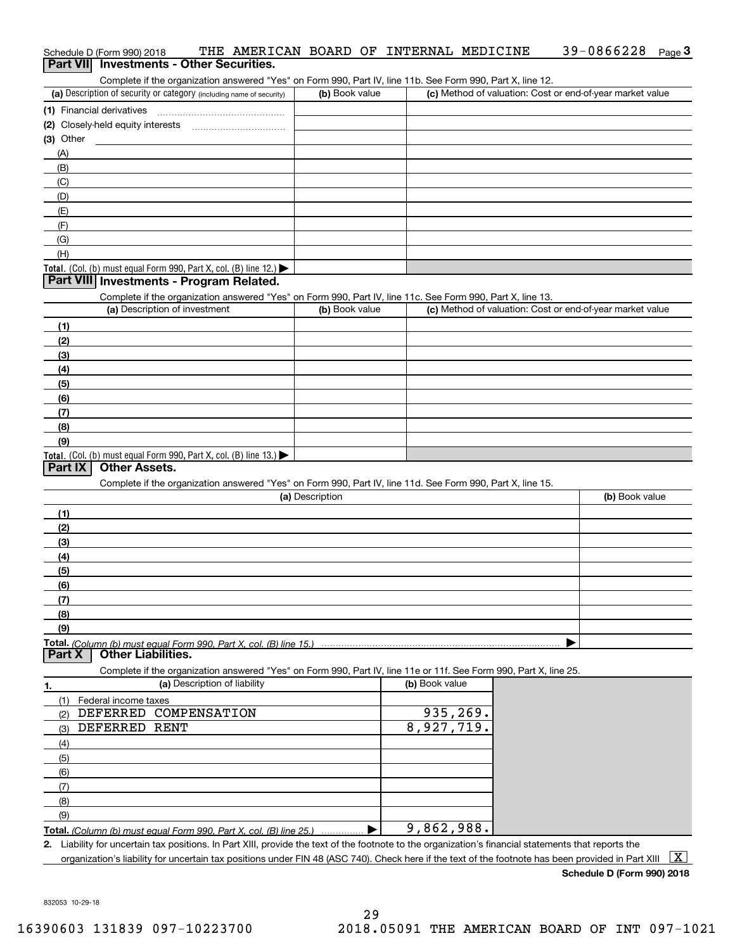# Schedule D (Form 990) 2018 THE AMERICAN BOARD OF INTERNAL MEDICINE 39-0866228 <sub>Page</sub> 3<br>| **Part VII** | Investments - Other Securities. 39-0866228 Page 3

Complete if the organization answered "Yes" on Form 990, Part IV, line 11b. See Form 990, Part X, line 12.

| (a) Description of security or category (including name of security) | (b) Book value | (c) Method of valuation: Cost or end-of-year market value |
|----------------------------------------------------------------------|----------------|-----------------------------------------------------------|
| (1) Financial derivatives                                            |                |                                                           |
| (2) Closely-held equity interests                                    |                |                                                           |
| $(3)$ Other                                                          |                |                                                           |
| (A)                                                                  |                |                                                           |
| (B)                                                                  |                |                                                           |
| (C)                                                                  |                |                                                           |
| (D)                                                                  |                |                                                           |
| (E)                                                                  |                |                                                           |
| (F)                                                                  |                |                                                           |
| (G)                                                                  |                |                                                           |
| (H)                                                                  |                |                                                           |
| Total. (Col. (b) must equal Form 990, Part X, col. (B) line $12$ .)  |                |                                                           |

## **Part VIII Investments - Program Related.**

Complete if the organization answered "Yes" on Form 990, Part IV, line 11c. See Form 990, Part X, line 13.

| (a) Description of investment                                       | (b) Book value | (c) Method of valuation: Cost or end-of-year market value |
|---------------------------------------------------------------------|----------------|-----------------------------------------------------------|
| (1)                                                                 |                |                                                           |
| (2)                                                                 |                |                                                           |
| (3)                                                                 |                |                                                           |
| (4)                                                                 |                |                                                           |
| $\frac{1}{2}$                                                       |                |                                                           |
| (6)                                                                 |                |                                                           |
| (7)                                                                 |                |                                                           |
| (8)                                                                 |                |                                                           |
| (9)                                                                 |                |                                                           |
| Total. (Col. (b) must equal Form 990, Part X, col. (B) line $13.$ ) |                |                                                           |

# **Part IX Other Assets.**

Complete if the organization answered "Yes" on Form 990, Part IV, line 11d. See Form 990, Part X, line 15.

| (a) Description | (b) Book value |
|-----------------|----------------|
| (1)             |                |
| (2)             |                |
| (3)             |                |
| (4)             |                |
| (5)             |                |
| (6)             |                |
| (7)             |                |
| (8)             |                |
| (9)             |                |
|                 |                |

 $\vert$  (b) Book value

**Part X Other Liabilities.**

Complete if the organization answered "Yes" on Form 990, Part IV, line 11e or 11f. See Form 990, Part X, line 25.

| (a) Description of liability |  | (b) |  |
|------------------------------|--|-----|--|
|                              |  |     |  |

|     | (a) Description of Ilability                                          | ( <b>b</b> ) BOOK value |
|-----|-----------------------------------------------------------------------|-------------------------|
|     | Federal income taxes                                                  |                         |
| (2  | DEFERRED COMPENSATION                                                 | 935,269.                |
| (3) | DEFERRED RENT                                                         | 8,927,719.              |
| (4) |                                                                       |                         |
| (5) |                                                                       |                         |
| (6) |                                                                       |                         |
|     |                                                                       |                         |
| (8) |                                                                       |                         |
| (9) |                                                                       |                         |
|     | $Total (Q, U, U, U, U, U, U, U, U, E, U, QQQ, R, U, V, U, (N, U, QE)$ | RED QRR<br>q            |

**Total.** (Column (b) must equal Form 990, Part X, col. (B) line 25.) ................ ▶ 9,862,988.

**2.** Liability for uncertain tax positions. In Part XIII, provide the text of the footnote to the organization's financial statements that reports the organization's liability for uncertain tax positions under FIN 48 (ASC 740). Check here if the text of the footnote has been provided in Part XIII  $~\boxed{\rm X}$ 

**Schedule D (Form 990) 2018**

832053 10-29-18

 $\mathbf{I}$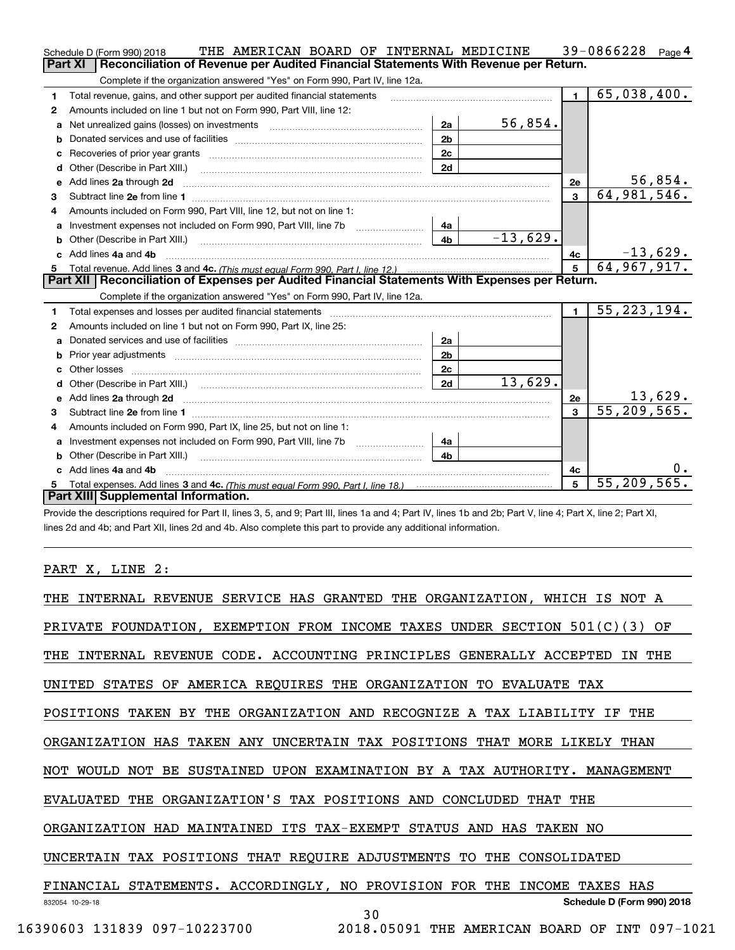|    | THE AMERICAN BOARD OF INTERNAL MEDICINE<br>Schedule D (Form 990) 2018                                                                                                                                                          |                |            |                         | 39-0866228 $_{Page 4}$    |
|----|--------------------------------------------------------------------------------------------------------------------------------------------------------------------------------------------------------------------------------|----------------|------------|-------------------------|---------------------------|
|    | Reconciliation of Revenue per Audited Financial Statements With Revenue per Return.<br>Part XI                                                                                                                                 |                |            |                         |                           |
|    | Complete if the organization answered "Yes" on Form 990, Part IV, line 12a.                                                                                                                                                    |                |            |                         |                           |
| 1  | Total revenue, gains, and other support per audited financial statements                                                                                                                                                       |                |            | $\mathbf{1}$            | $\overline{65,038,400}$ . |
| 2  | Amounts included on line 1 but not on Form 990, Part VIII, line 12:                                                                                                                                                            |                |            |                         |                           |
| a  | Net unrealized gains (losses) on investments [11] matter contracts and the unrealized gains (losses) on investments                                                                                                            | 2a             | 56,854.    |                         |                           |
|    |                                                                                                                                                                                                                                | 2 <sub>b</sub> |            |                         |                           |
|    | Recoveries of prior year grants [11] Recoveries of prior year grants [11] Recoveries of prior year grants                                                                                                                      | 2c             |            |                         |                           |
|    |                                                                                                                                                                                                                                | 2d             |            |                         |                           |
| е  | Add lines 2a through 2d                                                                                                                                                                                                        |                |            | 2e                      | 56,854.                   |
| 3  |                                                                                                                                                                                                                                |                |            | $\overline{3}$          | 64,981,546.               |
| 4  | Amounts included on Form 990, Part VIII, line 12, but not on line 1:                                                                                                                                                           |                |            |                         |                           |
|    |                                                                                                                                                                                                                                | 4a             |            |                         |                           |
| b  | Other (Describe in Part XIII.) <b>Construction Contract Construction</b>                                                                                                                                                       | 4 <sub>b</sub> | $-13,629.$ |                         |                           |
| c. | Add lines 4a and 4b                                                                                                                                                                                                            |                |            | 4с                      | $-13,629.$                |
|    |                                                                                                                                                                                                                                |                |            | $\overline{5}$          | 64,967,917.               |
|    |                                                                                                                                                                                                                                |                |            |                         |                           |
|    | Part XII   Reconciliation of Expenses per Audited Financial Statements With Expenses per Return.                                                                                                                               |                |            |                         |                           |
|    | Complete if the organization answered "Yes" on Form 990, Part IV, line 12a.                                                                                                                                                    |                |            |                         |                           |
| 1  | Total expenses and losses per audited financial statements [11] [12] contain an intervention and contain a statements [13] [13] and the statements [13] [13] and the statements [13] and the statements [13] and the statement |                |            | $\mathbf{1}$            | 55, 223, 194.             |
| 2  | Amounts included on line 1 but not on Form 990, Part IX, line 25:                                                                                                                                                              |                |            |                         |                           |
| a  |                                                                                                                                                                                                                                | 2a             |            |                         |                           |
|    |                                                                                                                                                                                                                                | 2 <sub>b</sub> |            |                         |                           |
| c. |                                                                                                                                                                                                                                | 2 <sub>c</sub> |            |                         |                           |
|    |                                                                                                                                                                                                                                | 2d             | 13,629.    |                         |                           |
|    | Add lines 2a through 2d <b>contained a contained a contained a contained a</b> contained a contained a contact the set                                                                                                         |                |            | 2e                      | <u>13,629.</u>            |
| 3  |                                                                                                                                                                                                                                |                |            | $\overline{\mathbf{3}}$ | 55, 209, 565.             |
| 4  | Amounts included on Form 990, Part IX, line 25, but not on line 1:                                                                                                                                                             |                |            |                         |                           |
|    | Investment expenses not included on Form 990, Part VIII, line 7b [1000000000000000000000000000000000                                                                                                                           | 4a             |            |                         |                           |
| b  |                                                                                                                                                                                                                                | 4 <sub>b</sub> |            |                         |                           |
|    | c Add lines 4a and 4b                                                                                                                                                                                                          |                |            | 4с                      |                           |
|    | Part XIII Supplemental Information.                                                                                                                                                                                            |                |            | 5                       | $\overline{55,209,565}$ . |

Provide the descriptions required for Part II, lines 3, 5, and 9; Part III, lines 1a and 4; Part IV, lines 1b and 2b; Part V, line 4; Part X, line 2; Part XI, lines 2d and 4b; and Part XII, lines 2d and 4b. Also complete this part to provide any additional information.

# PART X, LINE 2:

| INTERNAL REVENUE SERVICE HAS GRANTED THE ORGANIZATION, WHICH IS NOT A<br>THE          |
|---------------------------------------------------------------------------------------|
| PRIVATE FOUNDATION, EXEMPTION FROM INCOME TAXES UNDER SECTION 501(C)(3) OF            |
| INTERNAL REVENUE CODE. ACCOUNTING PRINCIPLES GENERALLY ACCEPTED<br>THE<br>THE<br>IN   |
| UNITED STATES OF AMERICA REQUIRES THE ORGANIZATION TO<br><b>EVALUATE</b><br>TAX       |
| POSITIONS TAKEN BY THE ORGANIZATION AND RECOGNIZE A TAX LIABILITY IF<br>THE           |
| ORGANIZATION HAS TAKEN ANY UNCERTAIN TAX POSITIONS THAT MORE LIKELY THAN              |
| NOT WOULD NOT BE SUSTAINED UPON EXAMINATION BY A TAX AUTHORITY. MANAGEMENT            |
| THE ORGANIZATION'S TAX POSITIONS AND CONCLUDED THAT THE<br>EVALUATED                  |
| ORGANIZATION HAD MAINTAINED ITS TAX-EXEMPT<br>STATUS<br>AND<br>HAS<br>TAKEN NO        |
| UNCERTAIN TAX POSITIONS THAT REQUIRE ADJUSTMENTS<br>TO<br>THE CONSOLIDATED            |
| FINANCIAL STATEMENTS. ACCORDINGLY, NO PROVISION FOR THE<br><b>INCOME</b><br>TAXES HAS |
| Schedule D (Form 990) 2018<br>832054 10-29-18<br>30                                   |
| 16390603 131839 097-10223700<br>2018.05091<br>INT 097-1021<br>THE AMERICAN BOARD OF   |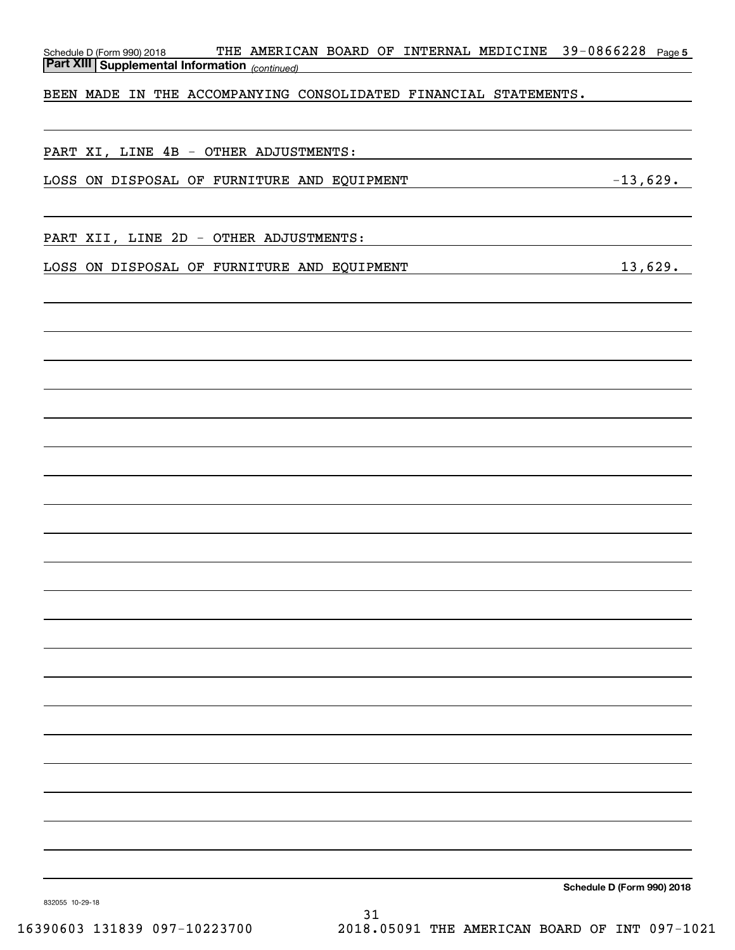| THE AMERICAN BOARD OF INTERNAL MEDICINE 39-0866228 Page 5<br>Schedule D (Form 990) 2018<br><b>Part XIII Supplemental Information</b> (continued) |                            |
|--------------------------------------------------------------------------------------------------------------------------------------------------|----------------------------|
| BEEN MADE IN THE ACCOMPANYING CONSOLIDATED FINANCIAL STATEMENTS.                                                                                 |                            |
|                                                                                                                                                  |                            |
| PART XI, LINE 4B - OTHER ADJUSTMENTS:                                                                                                            |                            |
| $-13,629.$<br>LOSS ON DISPOSAL OF FURNITURE AND EQUIPMENT                                                                                        |                            |
|                                                                                                                                                  |                            |
| PART XII, LINE 2D - OTHER ADJUSTMENTS:                                                                                                           |                            |
| LOSS ON DISPOSAL OF FURNITURE AND EQUIPMENT                                                                                                      | 13,629.                    |
|                                                                                                                                                  |                            |
|                                                                                                                                                  |                            |
|                                                                                                                                                  |                            |
|                                                                                                                                                  |                            |
|                                                                                                                                                  |                            |
|                                                                                                                                                  |                            |
|                                                                                                                                                  |                            |
|                                                                                                                                                  |                            |
|                                                                                                                                                  |                            |
|                                                                                                                                                  |                            |
|                                                                                                                                                  |                            |
|                                                                                                                                                  |                            |
|                                                                                                                                                  |                            |
|                                                                                                                                                  |                            |
|                                                                                                                                                  |                            |
|                                                                                                                                                  |                            |
|                                                                                                                                                  |                            |
|                                                                                                                                                  |                            |
|                                                                                                                                                  |                            |
|                                                                                                                                                  |                            |
|                                                                                                                                                  |                            |
| 832055 10-29-18                                                                                                                                  | Schedule D (Form 990) 2018 |

832055 10-29-18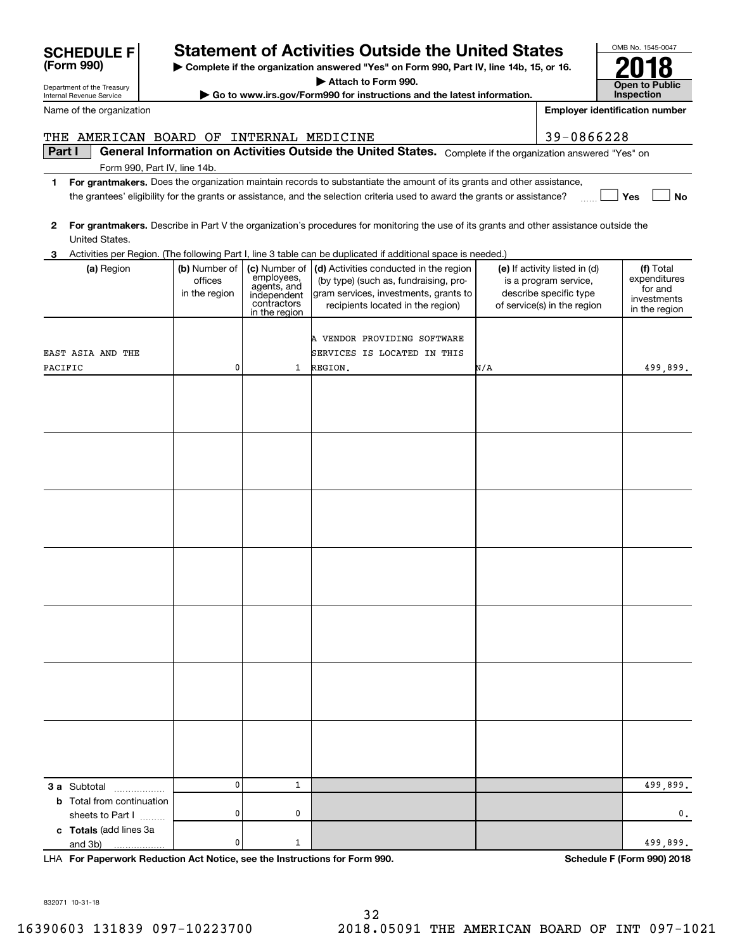# **SCHEDULE F Statement of Activities Outside the United States**

**| Complete if the organization answered "Yes" on Form 990, Part IV, line 14b, 15, or 16.**

**| Attach to Form 990.**

**| Go to www.irs.gov/Form990 for instructions and the latest information.**

**Part I**  $\parallel$  General Information on Activities Outside the United States. Complete if the organization answered "Yes" on

**1For grantmakers.**  Does the organization maintain records to substantiate the amount of its grants and other assistance,

the grantees' eligibility for the grants or assistance, and the selection criteria used to award the grants or assistance?

**2For grantmakers. 3** Activities per Region. (The following Part I, line 3 table can be duplicated if additional space is needed.) **(a)** Region  $\qquad \qquad |$  **(b)** Number of  $\mid$  **(c)** Number of  $\mid$  **(d)** Activities conducted in the region  $\mid$  **(e)** If activity listed in (d)  $\mid$  **(f) 3 a** Subtotal .................. **b** Total from continuation **c Totals**  (add lines 3a Describe in Part V the organization's procedures for monitoring the use of its grants and other assistance outside the United States. (a) Region officesin the region Number of employees, agents, and independentcontractorsin the region Activities conducted in the region (by type) (such as, fundraising, program services, investments, grants to recipients located in the region) If activity listed in (d) is a program service, describe specific type of service(s) in the region Totalexpendituresfor and investmentsin the region sheets to Part  $1$  ......... and 3b) REGION.N. 499,899. 499,899. A VENDOR PROVIDING SOFTWARE EAST ASIA AND THE 110PACIFIC SERVICES IS LOCATED IN THIS 0 0. 1 499,899. 00

| Internal Revenue Service | $\blacktriangleright$ Go to www. |
|--------------------------|----------------------------------|
| Name of the organization |                                  |

Form 990, Part IV, line 14b.

|                                           |                                                                                           | ity for the grants or assistance, and the selection criteria used to award the grants or assistance?                                                          |                                                                                                                 | Yes<br><b>No</b>                                                     |
|-------------------------------------------|-------------------------------------------------------------------------------------------|---------------------------------------------------------------------------------------------------------------------------------------------------------------|-----------------------------------------------------------------------------------------------------------------|----------------------------------------------------------------------|
|                                           |                                                                                           | Describe in Part V the organization's procedures for monitoring the use of its grants and other assistance outside the                                        |                                                                                                                 |                                                                      |
|                                           |                                                                                           | 1. (The following Part I, line 3 table can be duplicated if additional space is needed.)                                                                      |                                                                                                                 |                                                                      |
| (b) Number of<br>offices<br>in the region | (c) Number of<br>employees,<br>agents, and<br>independent<br>contractors<br>in the region | (d) Activities conducted in the region<br>(by type) (such as, fundraising, pro-<br>gram services, investments, grants to<br>recipients located in the region) | (e) If activity listed in (d)<br>is a program service,<br>describe specific type<br>of service(s) in the region | (f) Total<br>expenditures<br>for and<br>investments<br>in the region |
| 0                                         | $\mathbf{1}$                                                                              | A VENDOR PROVIDING SOFTWARE<br>SERVICES IS LOCATED IN THIS<br>REGION.                                                                                         | N/A                                                                                                             | 499,899.                                                             |
|                                           |                                                                                           |                                                                                                                                                               |                                                                                                                 |                                                                      |
|                                           |                                                                                           |                                                                                                                                                               |                                                                                                                 |                                                                      |
|                                           |                                                                                           |                                                                                                                                                               |                                                                                                                 |                                                                      |
|                                           |                                                                                           |                                                                                                                                                               |                                                                                                                 |                                                                      |
|                                           |                                                                                           |                                                                                                                                                               |                                                                                                                 |                                                                      |
|                                           |                                                                                           |                                                                                                                                                               |                                                                                                                 |                                                                      |
|                                           |                                                                                           |                                                                                                                                                               |                                                                                                                 |                                                                      |
|                                           |                                                                                           |                                                                                                                                                               |                                                                                                                 |                                                                      |
|                                           |                                                                                           |                                                                                                                                                               |                                                                                                                 |                                                                      |
|                                           |                                                                                           |                                                                                                                                                               |                                                                                                                 |                                                                      |
|                                           |                                                                                           |                                                                                                                                                               |                                                                                                                 |                                                                      |
|                                           |                                                                                           |                                                                                                                                                               |                                                                                                                 |                                                                      |



**Employer identification number**

| <b>Schedule F (Form 990) 2018</b> |  |  |
|-----------------------------------|--|--|
|                                   |  |  |

832071 10-31-18

THE AMERICAN BOARD OF INTERNAL MEDICINE  $\vert$  39-0866228

Department of the Treasury

**(Form 990)**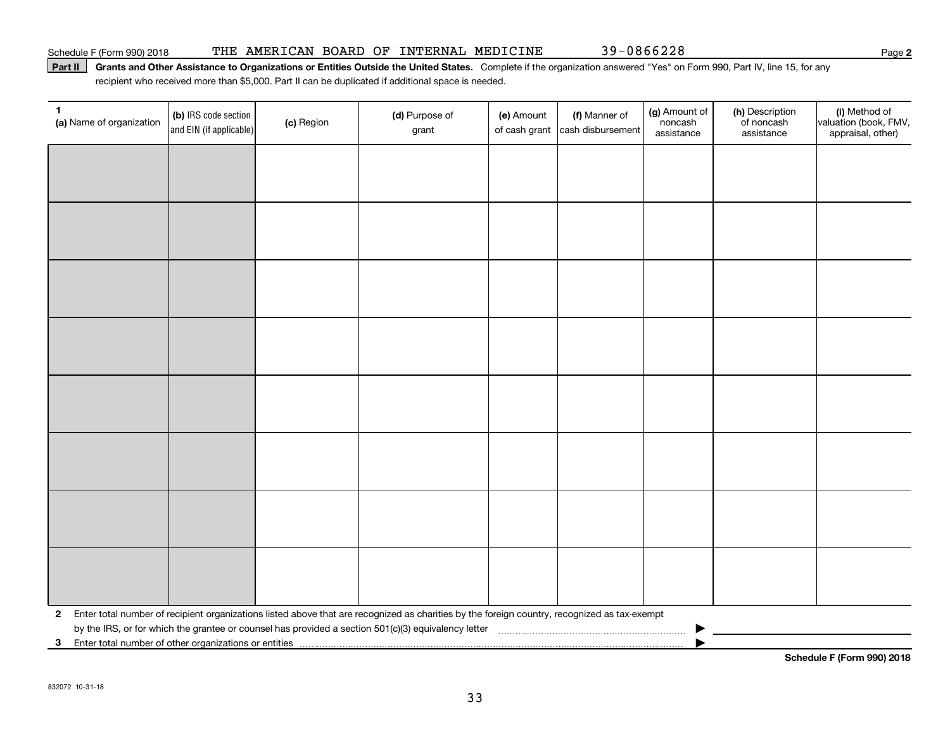Schedule F (Form 990) 2018 THE AMERICAN BOARD OF INTERNAL MEDICINE 39-0866228 Page

### Part II | Grants and Other Assistance to Organizations or Entities Outside the United States. Complete if the organization answered "Yes" on Form 990, Part IV, line 15, for any recipient who received more than \$5,000. Part II can be duplicated if additional space is needed.

| 1<br>(a) Name of organization                                           | (b) IRS code section<br>and EIN (if applicable) | (c) Region | (d) Purpose of<br>grant                                                                                                                      | (e) Amount<br>of cash grant | (f) Manner of<br>cash disbursement | (g) Amount of<br>noncash<br>assistance | (h) Description<br>of noncash<br>assistance | (i) Method of<br>valuation (book, FMV,<br>appraisal, other) |
|-------------------------------------------------------------------------|-------------------------------------------------|------------|----------------------------------------------------------------------------------------------------------------------------------------------|-----------------------------|------------------------------------|----------------------------------------|---------------------------------------------|-------------------------------------------------------------|
|                                                                         |                                                 |            |                                                                                                                                              |                             |                                    |                                        |                                             |                                                             |
|                                                                         |                                                 |            |                                                                                                                                              |                             |                                    |                                        |                                             |                                                             |
|                                                                         |                                                 |            |                                                                                                                                              |                             |                                    |                                        |                                             |                                                             |
|                                                                         |                                                 |            |                                                                                                                                              |                             |                                    |                                        |                                             |                                                             |
|                                                                         |                                                 |            |                                                                                                                                              |                             |                                    |                                        |                                             |                                                             |
|                                                                         |                                                 |            |                                                                                                                                              |                             |                                    |                                        |                                             |                                                             |
|                                                                         |                                                 |            |                                                                                                                                              |                             |                                    |                                        |                                             |                                                             |
|                                                                         |                                                 |            |                                                                                                                                              |                             |                                    |                                        |                                             |                                                             |
|                                                                         |                                                 |            |                                                                                                                                              |                             |                                    |                                        |                                             |                                                             |
|                                                                         |                                                 |            |                                                                                                                                              |                             |                                    |                                        |                                             |                                                             |
|                                                                         |                                                 |            |                                                                                                                                              |                             |                                    |                                        |                                             |                                                             |
|                                                                         |                                                 |            |                                                                                                                                              |                             |                                    |                                        |                                             |                                                             |
|                                                                         |                                                 |            |                                                                                                                                              |                             |                                    |                                        |                                             |                                                             |
|                                                                         |                                                 |            |                                                                                                                                              |                             |                                    |                                        |                                             |                                                             |
|                                                                         |                                                 |            |                                                                                                                                              |                             |                                    |                                        |                                             |                                                             |
|                                                                         |                                                 |            |                                                                                                                                              |                             |                                    |                                        |                                             |                                                             |
| $\mathbf{2}$                                                            |                                                 |            | Enter total number of recipient organizations listed above that are recognized as charities by the foreign country, recognized as tax-exempt |                             |                                    |                                        |                                             |                                                             |
| Enter total number of other organizations or entities<br>3 <sup>1</sup> |                                                 |            |                                                                                                                                              |                             |                                    |                                        |                                             |                                                             |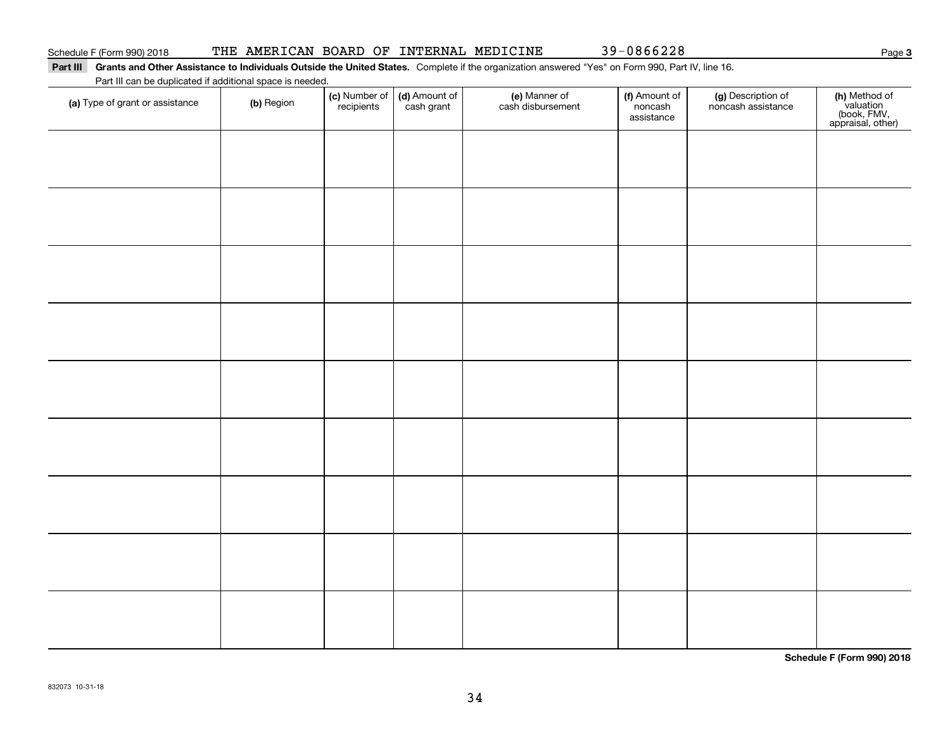#### Part III Grants and Other Assistance to Individuals Outside the United States. Complete if the organization answered "Yes" on Form 990, Part IV, line 16. Part III can be duplicated if additional space is needed.

| Part in car be duplicated if additional space is needed.<br>(a) Type of grant or assistance | (b) Region | (c) Number of<br>recipients | (d) Amount of<br>cash grant | (e) Manner of<br>cash disbursement | (f) Amount of<br>noncash<br>assistance | (g) Description of<br>noncash assistance | (h) Method of<br>valuation<br>(book, FMV,<br>appraisal, other) |
|---------------------------------------------------------------------------------------------|------------|-----------------------------|-----------------------------|------------------------------------|----------------------------------------|------------------------------------------|----------------------------------------------------------------|
|                                                                                             |            |                             |                             |                                    |                                        |                                          |                                                                |
|                                                                                             |            |                             |                             |                                    |                                        |                                          |                                                                |
|                                                                                             |            |                             |                             |                                    |                                        |                                          |                                                                |
|                                                                                             |            |                             |                             |                                    |                                        |                                          |                                                                |
|                                                                                             |            |                             |                             |                                    |                                        |                                          |                                                                |
|                                                                                             |            |                             |                             |                                    |                                        |                                          |                                                                |
|                                                                                             |            |                             |                             |                                    |                                        |                                          |                                                                |
|                                                                                             |            |                             |                             |                                    |                                        |                                          |                                                                |
|                                                                                             |            |                             |                             |                                    |                                        |                                          |                                                                |
|                                                                                             |            |                             |                             |                                    |                                        |                                          |                                                                |
|                                                                                             |            |                             |                             |                                    |                                        |                                          |                                                                |

**Schedule F (Form 990) 2018**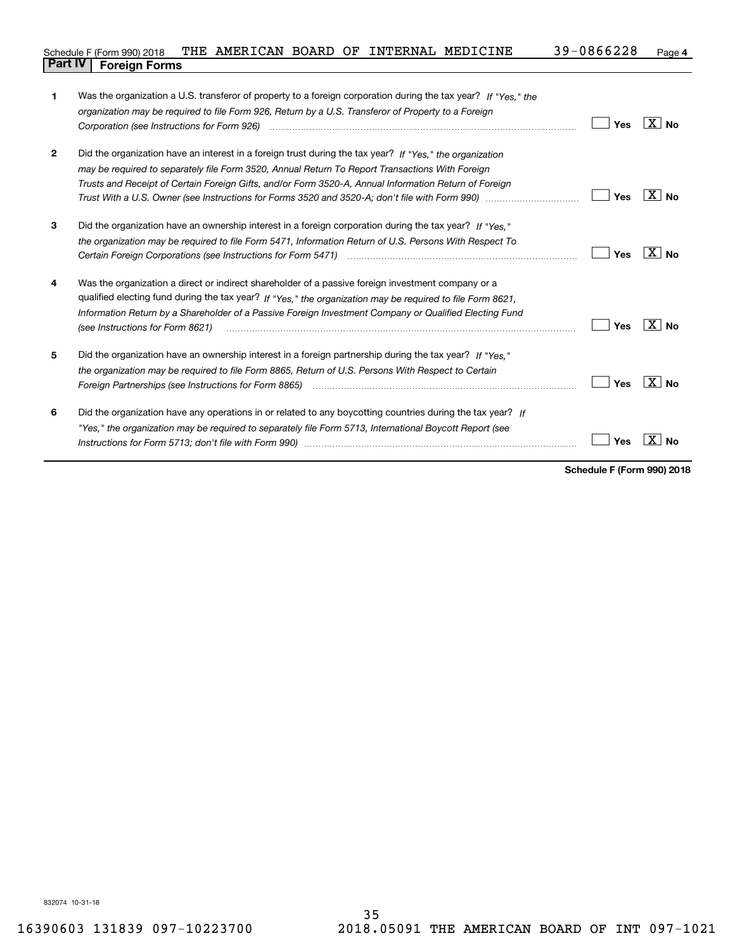#### **4** Schedule F (Form 990) 2018 THE AMERICAN BOARD OF INTERNAL MEDICINE  $39\texttt{-}0866228$  Page **Part IV Foreign Forms**

| 1            | Was the organization a U.S. transferor of property to a foreign corporation during the tax year? If "Yes." the<br>organization may be required to file Form 926, Return by a U.S. Transferor of Property to a Foreign |     |                   |
|--------------|-----------------------------------------------------------------------------------------------------------------------------------------------------------------------------------------------------------------------|-----|-------------------|
|              |                                                                                                                                                                                                                       | Yes | $\overline{X}$ No |
| $\mathbf{2}$ | Did the organization have an interest in a foreign trust during the tax year? If "Yes," the organization                                                                                                              |     |                   |
|              | may be required to separately file Form 3520, Annual Return To Report Transactions With Foreign                                                                                                                       |     |                   |
|              | Trusts and Receipt of Certain Foreign Gifts, and/or Form 3520-A, Annual Information Return of Foreign                                                                                                                 |     |                   |
|              |                                                                                                                                                                                                                       | Yes | $X \mid N_{0}$    |
| 3            | Did the organization have an ownership interest in a foreign corporation during the tax year? If "Yes."                                                                                                               |     |                   |
|              | the organization may be required to file Form 5471, Information Return of U.S. Persons With Respect To                                                                                                                |     |                   |
|              |                                                                                                                                                                                                                       | Yes | $\overline{X}$ No |
| 4            | Was the organization a direct or indirect shareholder of a passive foreign investment company or a                                                                                                                    |     |                   |
|              | qualified electing fund during the tax year? If "Yes," the organization may be required to file Form 8621,                                                                                                            |     |                   |
|              | Information Return by a Shareholder of a Passive Foreign Investment Company or Qualified Electing Fund<br>(see Instructions for Form 8621)                                                                            | Yes | $X \mid No$       |
| 5            | Did the organization have an ownership interest in a foreign partnership during the tax year? If "Yes."                                                                                                               |     |                   |
|              | the organization may be required to file Form 8865, Return of U.S. Persons With Respect to Certain                                                                                                                    |     |                   |
|              |                                                                                                                                                                                                                       | Yes | $\overline{X}$ No |
| 6            | Did the organization have any operations in or related to any boycotting countries during the tax year? If                                                                                                            |     |                   |
|              | "Yes," the organization may be required to separately file Form 5713, International Boycott Report (see                                                                                                               |     |                   |
|              |                                                                                                                                                                                                                       | Yes | Nο                |
|              |                                                                                                                                                                                                                       |     |                   |

**Schedule F (Form 990) 2018**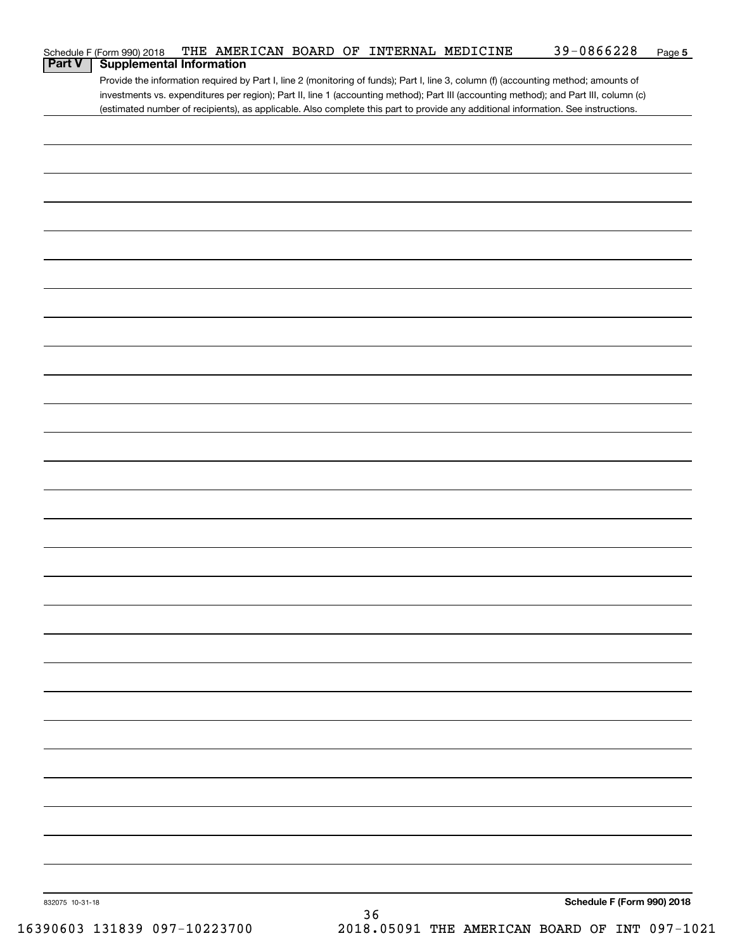| <b>Part V</b> | Schedule F (Form 990) 2018<br><b>Supplemental Information</b> |  |  | THE AMERICAN BOARD OF INTERNAL MEDICINE | 39-0866228                                                                                                                            | Page 5 |
|---------------|---------------------------------------------------------------|--|--|-----------------------------------------|---------------------------------------------------------------------------------------------------------------------------------------|--------|
|               |                                                               |  |  |                                         | Provide the information required by Part I, line 2 (monitoring of funds); Part I, line 3, column (f) (accounting method; amounts of   |        |
|               |                                                               |  |  |                                         | investments vs. expenditures per region); Part II, line 1 (accounting method); Part III (accounting method); and Part III, column (c) |        |
|               |                                                               |  |  |                                         | (estimated number of recipients), as applicable. Also complete this part to provide any additional information. See instructions.     |        |
|               |                                                               |  |  |                                         |                                                                                                                                       |        |
|               |                                                               |  |  |                                         |                                                                                                                                       |        |
|               |                                                               |  |  |                                         |                                                                                                                                       |        |
|               |                                                               |  |  |                                         |                                                                                                                                       |        |
|               |                                                               |  |  |                                         |                                                                                                                                       |        |
|               |                                                               |  |  |                                         |                                                                                                                                       |        |
|               |                                                               |  |  |                                         |                                                                                                                                       |        |
|               |                                                               |  |  |                                         |                                                                                                                                       |        |
|               |                                                               |  |  |                                         |                                                                                                                                       |        |
|               |                                                               |  |  |                                         |                                                                                                                                       |        |
|               |                                                               |  |  |                                         |                                                                                                                                       |        |
|               |                                                               |  |  |                                         |                                                                                                                                       |        |
|               |                                                               |  |  |                                         |                                                                                                                                       |        |
|               |                                                               |  |  |                                         |                                                                                                                                       |        |
|               |                                                               |  |  |                                         |                                                                                                                                       |        |
|               |                                                               |  |  |                                         |                                                                                                                                       |        |
|               |                                                               |  |  |                                         |                                                                                                                                       |        |
|               |                                                               |  |  |                                         |                                                                                                                                       |        |
|               |                                                               |  |  |                                         |                                                                                                                                       |        |
|               |                                                               |  |  |                                         |                                                                                                                                       |        |
|               |                                                               |  |  |                                         |                                                                                                                                       |        |
|               |                                                               |  |  |                                         |                                                                                                                                       |        |
|               |                                                               |  |  |                                         |                                                                                                                                       |        |
|               |                                                               |  |  |                                         |                                                                                                                                       |        |
|               |                                                               |  |  |                                         |                                                                                                                                       |        |
|               |                                                               |  |  |                                         |                                                                                                                                       |        |
|               |                                                               |  |  |                                         |                                                                                                                                       |        |
|               |                                                               |  |  |                                         |                                                                                                                                       |        |
|               |                                                               |  |  |                                         |                                                                                                                                       |        |
|               |                                                               |  |  |                                         |                                                                                                                                       |        |
|               |                                                               |  |  |                                         |                                                                                                                                       |        |
|               |                                                               |  |  |                                         |                                                                                                                                       |        |
|               |                                                               |  |  |                                         |                                                                                                                                       |        |
|               |                                                               |  |  |                                         |                                                                                                                                       |        |
|               |                                                               |  |  |                                         |                                                                                                                                       |        |
|               |                                                               |  |  |                                         |                                                                                                                                       |        |
|               |                                                               |  |  |                                         |                                                                                                                                       |        |
|               |                                                               |  |  |                                         |                                                                                                                                       |        |
|               |                                                               |  |  |                                         |                                                                                                                                       |        |
|               |                                                               |  |  |                                         |                                                                                                                                       |        |
|               |                                                               |  |  |                                         |                                                                                                                                       |        |
|               |                                                               |  |  |                                         |                                                                                                                                       |        |
|               |                                                               |  |  |                                         |                                                                                                                                       |        |
|               |                                                               |  |  |                                         |                                                                                                                                       |        |
|               |                                                               |  |  |                                         |                                                                                                                                       |        |
|               |                                                               |  |  |                                         |                                                                                                                                       |        |
|               |                                                               |  |  |                                         |                                                                                                                                       |        |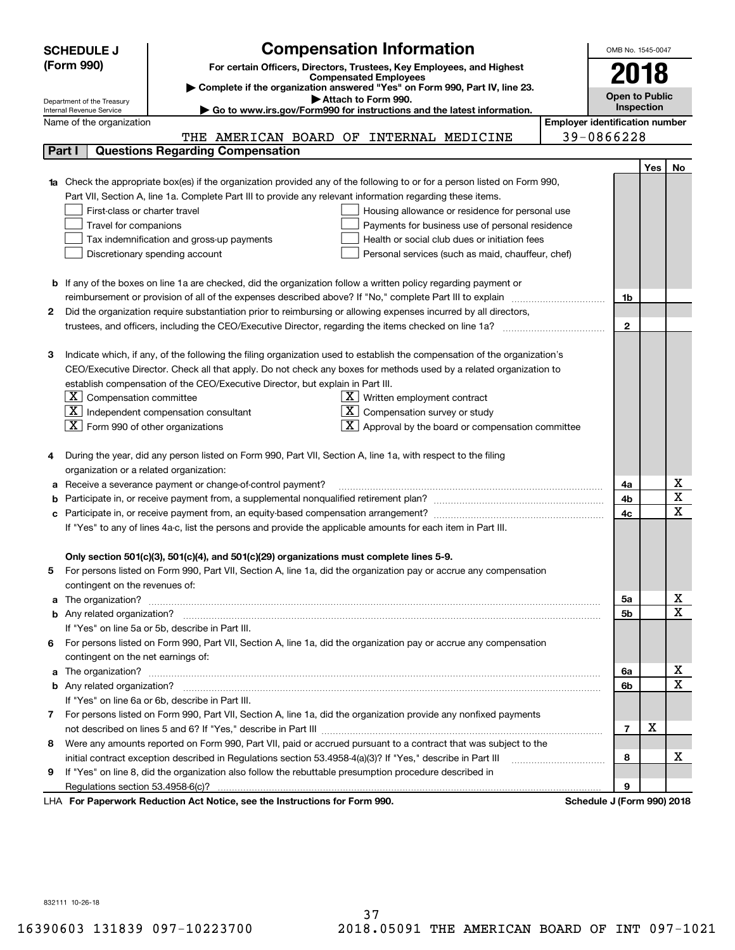|   | <b>SCHEDULE J</b>                                                                   | <b>Compensation Information</b>                                                                                                                                                                                                    |  | OMB No. 1545-0047                     |     |                         |  |  |  |
|---|-------------------------------------------------------------------------------------|------------------------------------------------------------------------------------------------------------------------------------------------------------------------------------------------------------------------------------|--|---------------------------------------|-----|-------------------------|--|--|--|
|   | (Form 990)<br>For certain Officers, Directors, Trustees, Key Employees, and Highest |                                                                                                                                                                                                                                    |  |                                       |     |                         |  |  |  |
|   | 2018<br><b>Compensated Employees</b>                                                |                                                                                                                                                                                                                                    |  |                                       |     |                         |  |  |  |
|   | Complete if the organization answered "Yes" on Form 990, Part IV, line 23.          |                                                                                                                                                                                                                                    |  |                                       |     |                         |  |  |  |
|   | Department of the Treasury<br>Internal Revenue Service                              | Open to Public<br>Attach to Form 990.<br><b>Inspection</b><br>Go to www.irs.gov/Form990 for instructions and the latest information.                                                                                               |  |                                       |     |                         |  |  |  |
|   | Name of the organization                                                            |                                                                                                                                                                                                                                    |  | <b>Employer identification number</b> |     |                         |  |  |  |
|   |                                                                                     | THE AMERICAN BOARD OF INTERNAL MEDICINE                                                                                                                                                                                            |  | 39-0866228                            |     |                         |  |  |  |
|   | Part I                                                                              | <b>Questions Regarding Compensation</b>                                                                                                                                                                                            |  |                                       |     |                         |  |  |  |
|   |                                                                                     |                                                                                                                                                                                                                                    |  |                                       | Yes | No.                     |  |  |  |
|   |                                                                                     | 1a Check the appropriate box(es) if the organization provided any of the following to or for a person listed on Form 990,                                                                                                          |  |                                       |     |                         |  |  |  |
|   |                                                                                     | Part VII, Section A, line 1a. Complete Part III to provide any relevant information regarding these items.                                                                                                                         |  |                                       |     |                         |  |  |  |
|   | First-class or charter travel                                                       | Housing allowance or residence for personal use                                                                                                                                                                                    |  |                                       |     |                         |  |  |  |
|   | Travel for companions                                                               | Payments for business use of personal residence                                                                                                                                                                                    |  |                                       |     |                         |  |  |  |
|   |                                                                                     | Tax indemnification and gross-up payments<br>Health or social club dues or initiation fees                                                                                                                                         |  |                                       |     |                         |  |  |  |
|   |                                                                                     |                                                                                                                                                                                                                                    |  |                                       |     |                         |  |  |  |
|   |                                                                                     | Discretionary spending account<br>Personal services (such as maid, chauffeur, chef)                                                                                                                                                |  |                                       |     |                         |  |  |  |
|   |                                                                                     |                                                                                                                                                                                                                                    |  |                                       |     |                         |  |  |  |
|   |                                                                                     | <b>b</b> If any of the boxes on line 1a are checked, did the organization follow a written policy regarding payment or<br>reimbursement or provision of all of the expenses described above? If "No," complete Part III to explain |  | 1b                                    |     |                         |  |  |  |
| 2 |                                                                                     | Did the organization require substantiation prior to reimbursing or allowing expenses incurred by all directors,                                                                                                                   |  |                                       |     |                         |  |  |  |
|   |                                                                                     |                                                                                                                                                                                                                                    |  | $\mathbf{2}$                          |     |                         |  |  |  |
|   |                                                                                     |                                                                                                                                                                                                                                    |  |                                       |     |                         |  |  |  |
| з |                                                                                     | Indicate which, if any, of the following the filing organization used to establish the compensation of the organization's                                                                                                          |  |                                       |     |                         |  |  |  |
|   |                                                                                     | CEO/Executive Director. Check all that apply. Do not check any boxes for methods used by a related organization to                                                                                                                 |  |                                       |     |                         |  |  |  |
|   |                                                                                     | establish compensation of the CEO/Executive Director, but explain in Part III.                                                                                                                                                     |  |                                       |     |                         |  |  |  |
|   |                                                                                     |                                                                                                                                                                                                                                    |  |                                       |     |                         |  |  |  |
|   | $X$ Compensation committee                                                          | $X$ Written employment contract<br>X                                                                                                                                                                                               |  |                                       |     |                         |  |  |  |
|   |                                                                                     | Compensation survey or study<br>$ \mathbf{X} $ Independent compensation consultant                                                                                                                                                 |  |                                       |     |                         |  |  |  |
|   | $X$ Form 990 of other organizations                                                 | $\lfloor X \rfloor$ Approval by the board or compensation committee                                                                                                                                                                |  |                                       |     |                         |  |  |  |
|   |                                                                                     | During the year, did any person listed on Form 990, Part VII, Section A, line 1a, with respect to the filing                                                                                                                       |  |                                       |     |                         |  |  |  |
|   | organization or a related organization:                                             |                                                                                                                                                                                                                                    |  |                                       |     |                         |  |  |  |
|   |                                                                                     | a Receive a severance payment or change-of-control payment?                                                                                                                                                                        |  | 4a                                    |     | Χ                       |  |  |  |
| b |                                                                                     |                                                                                                                                                                                                                                    |  | 4b                                    |     | $\overline{\mathtt{x}}$ |  |  |  |
|   |                                                                                     |                                                                                                                                                                                                                                    |  | 4c                                    |     | $\overline{\textbf{x}}$ |  |  |  |
|   |                                                                                     | If "Yes" to any of lines 4a-c, list the persons and provide the applicable amounts for each item in Part III.                                                                                                                      |  |                                       |     |                         |  |  |  |
|   |                                                                                     |                                                                                                                                                                                                                                    |  |                                       |     |                         |  |  |  |
|   |                                                                                     | Only section 501(c)(3), 501(c)(4), and 501(c)(29) organizations must complete lines 5-9.                                                                                                                                           |  |                                       |     |                         |  |  |  |
| 5 |                                                                                     | For persons listed on Form 990, Part VII, Section A, line 1a, did the organization pay or accrue any compensation                                                                                                                  |  |                                       |     |                         |  |  |  |
|   | contingent on the revenues of:                                                      |                                                                                                                                                                                                                                    |  |                                       |     |                         |  |  |  |
|   |                                                                                     |                                                                                                                                                                                                                                    |  | 5a                                    |     | x                       |  |  |  |
|   |                                                                                     |                                                                                                                                                                                                                                    |  | 5b                                    |     | $\overline{\mathbf{x}}$ |  |  |  |
|   |                                                                                     | If "Yes" on line 5a or 5b, describe in Part III.                                                                                                                                                                                   |  |                                       |     |                         |  |  |  |
|   |                                                                                     | 6 For persons listed on Form 990, Part VII, Section A, line 1a, did the organization pay or accrue any compensation                                                                                                                |  |                                       |     |                         |  |  |  |
|   | contingent on the net earnings of:                                                  |                                                                                                                                                                                                                                    |  |                                       |     |                         |  |  |  |
|   |                                                                                     |                                                                                                                                                                                                                                    |  | 6а                                    |     | х                       |  |  |  |
|   |                                                                                     |                                                                                                                                                                                                                                    |  | 6b                                    |     | $\overline{\mathbf{x}}$ |  |  |  |
|   |                                                                                     | If "Yes" on line 6a or 6b, describe in Part III.                                                                                                                                                                                   |  |                                       |     |                         |  |  |  |
| 7 |                                                                                     | For persons listed on Form 990, Part VII, Section A, line 1a, did the organization provide any nonfixed payments                                                                                                                   |  |                                       |     |                         |  |  |  |
|   |                                                                                     |                                                                                                                                                                                                                                    |  | 7                                     | X   |                         |  |  |  |
| 8 |                                                                                     | Were any amounts reported on Form 990, Part VII, paid or accrued pursuant to a contract that was subject to the                                                                                                                    |  |                                       |     |                         |  |  |  |
|   |                                                                                     | initial contract exception described in Regulations section 53.4958-4(a)(3)? If "Yes," describe in Part III                                                                                                                        |  | 8                                     |     | х                       |  |  |  |
| 9 |                                                                                     | If "Yes" on line 8, did the organization also follow the rebuttable presumption procedure described in                                                                                                                             |  |                                       |     |                         |  |  |  |
|   |                                                                                     |                                                                                                                                                                                                                                    |  | 9                                     |     |                         |  |  |  |
|   |                                                                                     | $\sim$ the looks of the few Fesse 000.                                                                                                                                                                                             |  |                                       |     |                         |  |  |  |

LHA For Paperwork Reduction Act Notice, see the Instructions for Form 990. Schedule J (Form 990) 2018

832111 10-26-18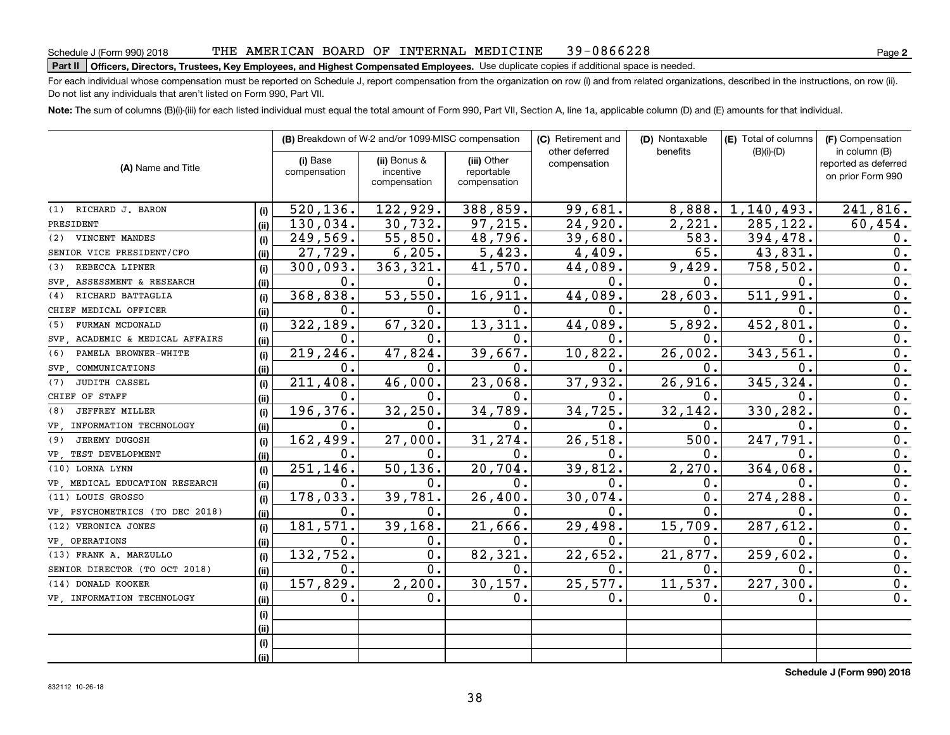#### THE AMERICAN BOARD OF INTERNAL MEDICINE 39-0866228

# **Part II Officers, Directors, Trustees, Key Employees, and Highest Compensated Employees.**  Schedule J (Form 990) 2018 Page Use duplicate copies if additional space is needed.

For each individual whose compensation must be reported on Schedule J, report compensation from the organization on row (i) and from related organizations, described in the instructions, on row (ii). Do not list any individuals that aren't listed on Form 990, Part VII.

**Note:**  The sum of columns (B)(i)-(iii) for each listed individual must equal the total amount of Form 990, Part VII, Section A, line 1a, applicable column (D) and (E) amounts for that individual.

|                                 |      | (B) Breakdown of W-2 and/or 1099-MISC compensation |                                           | (C) Retirement and                        | (D) Nontaxable                 | (E) Total of columns | (F) Compensation<br>in column (B) |                                           |
|---------------------------------|------|----------------------------------------------------|-------------------------------------------|-------------------------------------------|--------------------------------|----------------------|-----------------------------------|-------------------------------------------|
| (A) Name and Title              |      | (i) Base<br>compensation                           | (ii) Bonus &<br>incentive<br>compensation | (iii) Other<br>reportable<br>compensation | other deferred<br>compensation | benefits             | $(B)(i)-(D)$                      | reported as deferred<br>on prior Form 990 |
| (1) RICHARD J. BARON            | (i)  | 520, 136.                                          | 122,929.                                  | 388,859.                                  | 99,681.                        | 8,888.               | 1,140,493.                        | 241,816.                                  |
| PRESIDENT                       | (ii) | 130,034.                                           | 30,732.                                   | 97,215.                                   | 24,920.                        | 2,221.               | 285, 122.                         | 60,454.                                   |
| VINCENT MANDES<br>(2)           | (i)  | 249,569.                                           | 55,850.                                   | 48,796.                                   | 39,680.                        | 583.                 | 394,478.                          | 0.                                        |
| SENIOR VICE PRESIDENT/CFO       | (ii) | 27,729.                                            | 6, 205.                                   | 5,423.                                    | 4,409.                         | 65.                  | 43,831.                           | 0.                                        |
| REBECCA LIPNER<br>(3)           | (i)  | 300,093.                                           | 363, 321.                                 | 41,570.                                   | 44,089.                        | 9,429.               | 758,502.                          | $\overline{0}$ .                          |
| SVP, ASSESSMENT & RESEARCH      | (ii) | 0.                                                 | 0.                                        | 0.                                        | $0$ .                          | 0.                   | $\overline{0}$ .                  | $\overline{0}$ .                          |
| RICHARD BATTAGLIA<br>(4)        | (i)  | 368,838.                                           | 53,550.                                   | 16,911.                                   | 44,089.                        | 28,603.              | 511,991.                          | 0.                                        |
| CHIEF MEDICAL OFFICER           | (ii) | 0.                                                 | 0.                                        | 0.                                        | $\mathbf{0}$ .                 | 0.                   | 0.                                | 0.                                        |
| FURMAN MCDONALD<br>(5)          | (i)  | 322,189.                                           | 67,320.                                   | 13,311.                                   | 44,089.                        | 5,892.               | 452,801                           | 0.                                        |
| SVP ACADEMIC & MEDICAL AFFAIRS  | (ii) | $\mathbf{0}$ .                                     | $\overline{0}$ .                          | 0.                                        | $\mathbf{0}$ .                 | 0.                   | 0.                                | $\overline{0}$ .                          |
| PAMELA BROWNER-WHITE<br>(6)     | (i)  | 219,246.                                           | 47,824.                                   | 39,667.                                   | 10,822.                        | 26,002.              | 343,561.                          | 0.                                        |
| SVP COMMUNICATIONS              | (ii) | 0.                                                 | 0.                                        | 0.                                        | $\mathbf 0$ .                  | 0.                   | О.                                | 0.                                        |
| <b>JUDITH CASSEL</b><br>(7)     | (i)  | 211,408.                                           | 46,000.                                   | 23,068.                                   | 37,932.                        | 26,916.              | 345, 324.                         | 0.                                        |
| CHIEF OF STAFF                  | (ii) | 0.                                                 | 0.                                        | $0$ .                                     | $\mathbf 0$ .                  | $\mathbf 0$ .        | 0.                                | 0.                                        |
| <b>JEFFREY MILLER</b><br>(8)    | (i)  | 196,376.                                           | 32, 250.                                  | 34,789.                                   | 34,725.                        | 32, 142.             | 330,282.                          | $\overline{0}$ .                          |
| VP . INFORMATION TECHNOLOGY     | (ii) | 0.                                                 | 0.                                        | 0.                                        | $\mathbf 0$ .                  | $\mathbf 0$ .        | 0.                                | $\overline{0}$ .                          |
| <b>JEREMY DUGOSH</b><br>(9)     | (i)  | 162,499.                                           | 27,000.                                   | 31,274.                                   | 26, 518.                       | 500.                 | 247,791.                          | 0.                                        |
| VP TEST DEVELOPMENT             | (ii) | 0.                                                 | 0.                                        | 0.                                        | 0.                             | О.                   | $\mathbf 0$ .                     | 0.                                        |
| (10) LORNA LYNN                 | (i)  | $\overline{251,146}$ .                             | 50, 136.                                  | 20,704.                                   | 39,812.                        | 2,270.               | 364,068.                          | 0.                                        |
| VP MEDICAL EDUCATION RESEARCH   | (ii) | 0.                                                 | 0.                                        | 0.                                        | 0.                             | 0.                   | 0.                                | 0.                                        |
| (11) LOUIS GROSSO               | (i)  | 178,033.                                           | 39,781.                                   | 26,400.                                   | 30,074.                        | О.                   | 274,288.                          | 0.                                        |
| VP, PSYCHOMETRICS (TO DEC 2018) | (ii) | 0.                                                 | 0.                                        | 0.                                        | 0.                             | 0.                   | $\mathbf 0$ .                     | 0.                                        |
| (12) VERONICA JONES             | (i)  | 181, 571.                                          | 39,168.                                   | 21,666.                                   | 29,498.                        | 15,709.              | 287,612.                          | 0.                                        |
| VP, OPERATIONS                  | (ii) | 0.                                                 | 0.                                        | 0.                                        | 0.                             | 0.                   | 0.                                | 0.                                        |
| (13) FRANK A. MARZULLO          | (i)  | 132,752.                                           | $\mathbf 0$ .                             | 82,321.                                   | 22,652.                        | 21,877.              | 259,602.                          | 0.                                        |
| SENIOR DIRECTOR (TO OCT 2018)   | (ii) | 0.                                                 | 0.                                        | 0.                                        | 0.                             | 0.                   | 0.                                | 0.                                        |
| (14) DONALD KOOKER              | (i)  | 157,829.                                           | 2, 200.                                   | 30, 157.                                  | 25,577.                        | 11,537.              | 227,300.                          | 0.                                        |
| VP . INFORMATION TECHNOLOGY     | (ii) | 0.                                                 | 0.                                        | 0.                                        | $\mathbf 0$ .                  | 0.                   | 0.                                | 0.                                        |
|                                 | (i)  |                                                    |                                           |                                           |                                |                      |                                   |                                           |
|                                 | (ii) |                                                    |                                           |                                           |                                |                      |                                   |                                           |
|                                 | (i)  |                                                    |                                           |                                           |                                |                      |                                   |                                           |
|                                 | (ii) |                                                    |                                           |                                           |                                |                      |                                   |                                           |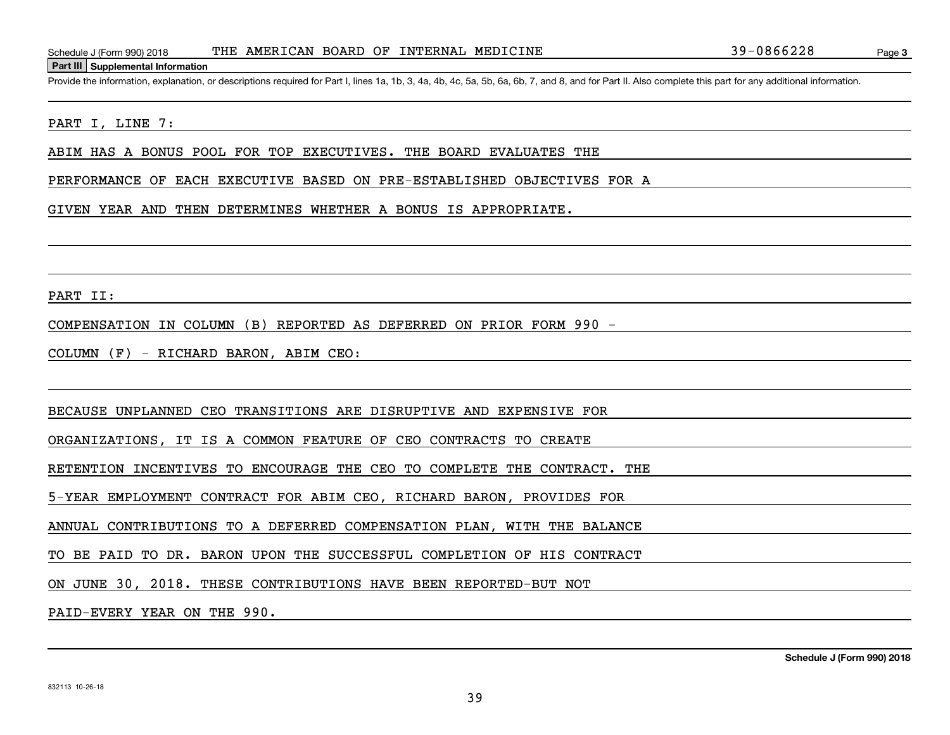Schedule J (Form 990) 2018 THE AMERICAN BOARD OF INTERNAL MEDICINE 39-0866228<br>Part III Supplemental Information<br>Provide the information, explanation, or descriptions required for Part I, lines 1a, 1b, 3, 4a, 4b, 4c, 5a, 5b

### PART I, LINE 7:

ABIM HAS A BONUS POOL FOR TOP EXECUTIVES. THE BOARD EVALUATES THE

PERFORMANCE OF EACH EXECUTIVE BASED ON PRE-ESTABLISHED OBJECTIVES FOR A

#### GIVEN YEAR AND THEN DETERMINES WHETHER A BONUS IS APPROPRIATE.

PART II:

COMPENSATION IN COLUMN (B) REPORTED AS DEFERRED ON PRIOR FORM 990 -

COLUMN (F) - RICHARD BARON, ABIM CEO:

BECAUSE UNPLANNED CEO TRANSITIONS ARE DISRUPTIVE AND EXPENSIVE FOR

ORGANIZATIONS, IT IS A COMMON FEATURE OF CEO CONTRACTS TO CREATE

RETENTION INCENTIVES TO ENCOURAGE THE CEO TO COMPLETE THE CONTRACT. THE

5-YEAR EMPLOYMENT CONTRACT FOR ABIM CEO, RICHARD BARON, PROVIDES FOR

ANNUAL CONTRIBUTIONS TO A DEFERRED COMPENSATION PLAN, WITH THE BALANCE

TO BE PAID TO DR. BARON UPON THE SUCCESSFUL COMPLETION OF HIS CONTRACT

ON JUNE 30, 2018. THESE CONTRIBUTIONS HAVE BEEN REPORTED-BUT NOT

PAID-EVERY YEAR ON THE 990.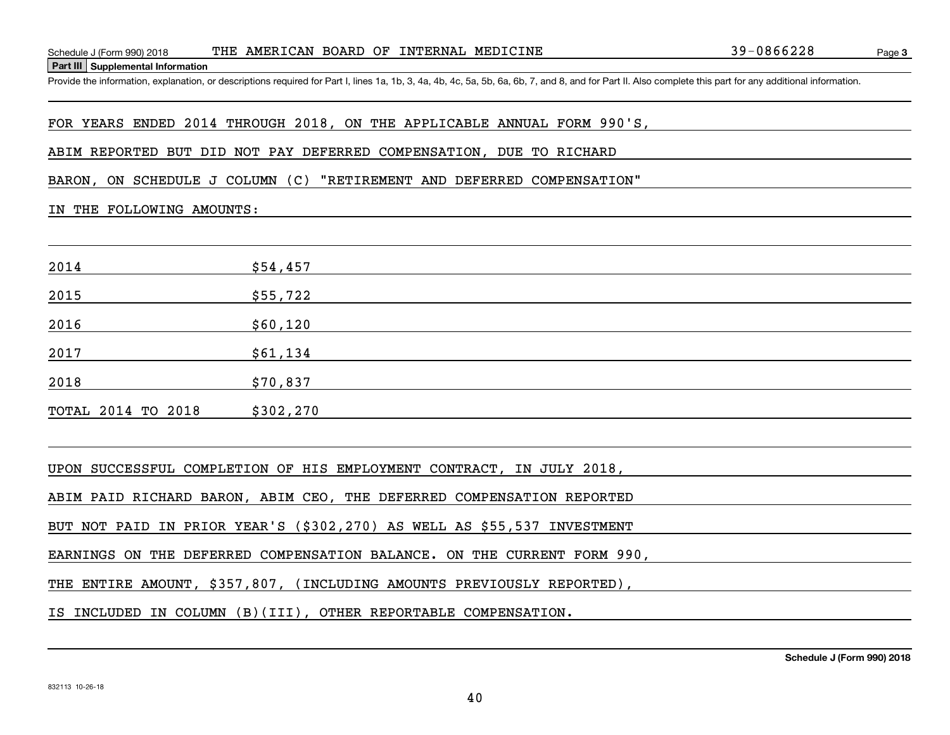Schedule J (Form 990) 2018 THE AMERICAN BOARD OF INTERNAL MEDICINE 39-0866228<br>Part III Supplemental Information<br>Provide the information, explanation, or descriptions required for Part I, lines 1a, 1b, 3, 4a, 4b, 4c, 5a, 5b

## FOR YEARS ENDED 2014 THROUGH 2018, ON THE APPLICABLE ANNUAL FORM 990'S,

### ABIM REPORTED BUT DID NOT PAY DEFERRED COMPENSATION, DUE TO RICHARD

BARON, ON SCHEDULE J COLUMN (C) "RETIREMENT AND DEFERRED COMPENSATION"

### IN THE FOLLOWING AMOUNTS:

| 2014               | \$54,457  |
|--------------------|-----------|
| 2015               | \$55,722  |
| 2016               | \$60,120  |
| 2017               | \$61,134  |
| 2018               | \$70,837  |
| TOTAL 2014 TO 2018 | \$302,270 |

UPON SUCCESSFUL COMPLETION OF HIS EMPLOYMENT CONTRACT, IN JULY 2018,

ABIM PAID RICHARD BARON, ABIM CEO, THE DEFERRED COMPENSATION REPORTED

BUT NOT PAID IN PRIOR YEAR'S (\$302,270) AS WELL AS \$55,537 INVESTMENT

EARNINGS ON THE DEFERRED COMPENSATION BALANCE. ON THE CURRENT FORM 990,

THE ENTIRE AMOUNT, \$357,807, (INCLUDING AMOUNTS PREVIOUSLY REPORTED),

IS INCLUDED IN COLUMN (B)(III), OTHER REPORTABLE COMPENSATION.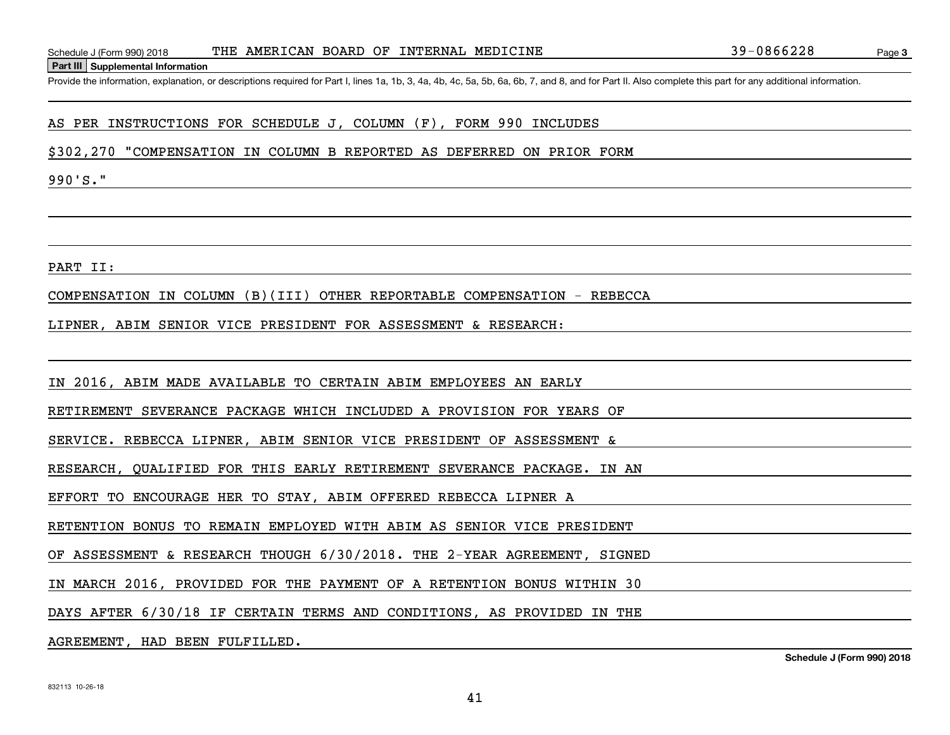Schedule J (Form 990) 2018 THE AMERICAN BOARD OF INTERNAL MEDICINE 39-0866228<br>Part III Supplemental Information<br>Provide the information, explanation, or descriptions required for Part I, lines 1a, 1b, 3, 4a, 4b, 4c, 5a, 5b

# AS PER INSTRUCTIONS FOR SCHEDULE J, COLUMN (F), FORM 990 INCLUDES

\$302,270 "COMPENSATION IN COLUMN B REPORTED AS DEFERRED ON PRIOR FORM

990'S."

PART II:

COMPENSATION IN COLUMN (B)(III) OTHER REPORTABLE COMPENSATION - REBECCA

LIPNER, ABIM SENIOR VICE PRESIDENT FOR ASSESSMENT & RESEARCH:

IN 2016, ABIM MADE AVAILABLE TO CERTAIN ABIM EMPLOYEES AN EARLY

RETIREMENT SEVERANCE PACKAGE WHICH INCLUDED A PROVISION FOR YEARS OF

SERVICE. REBECCA LIPNER, ABIM SENIOR VICE PRESIDENT OF ASSESSMENT &

RESEARCH, QUALIFIED FOR THIS EARLY RETIREMENT SEVERANCE PACKAGE. IN AN

EFFORT TO ENCOURAGE HER TO STAY, ABIM OFFERED REBECCA LIPNER A

RETENTION BONUS TO REMAIN EMPLOYED WITH ABIM AS SENIOR VICE PRESIDENT

OF ASSESSMENT & RESEARCH THOUGH 6/30/2018. THE 2-YEAR AGREEMENT, SIGNED

IN MARCH 2016, PROVIDED FOR THE PAYMENT OF A RETENTION BONUS WITHIN 30

DAYS AFTER 6/30/18 IF CERTAIN TERMS AND CONDITIONS, AS PROVIDED IN THE

AGREEMENT, HAD BEEN FULFILLED.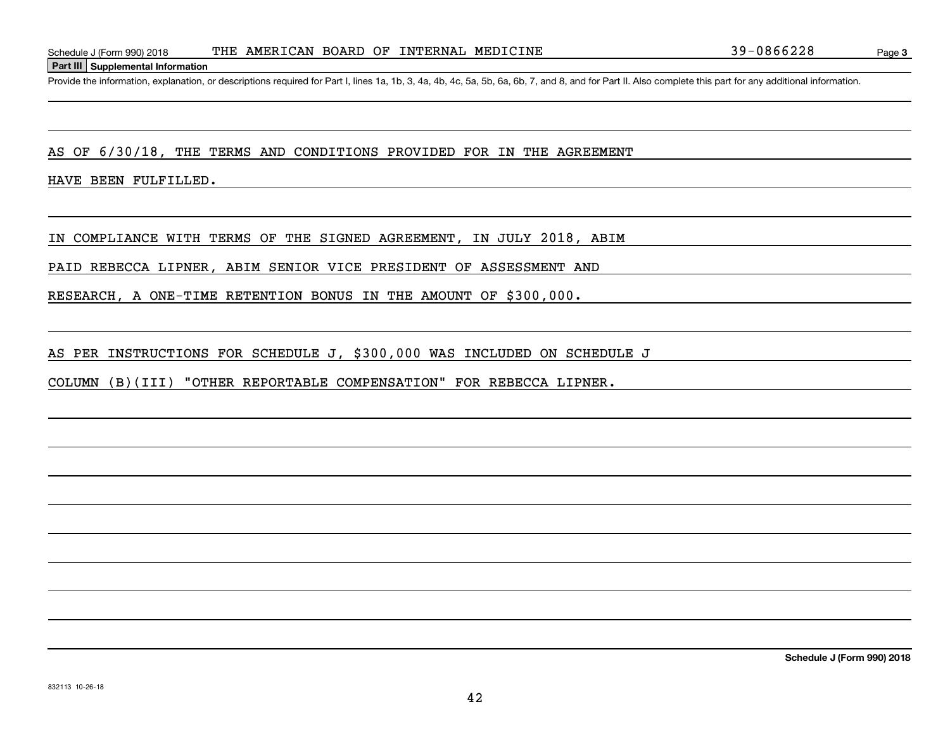Schedule J (Form 990) 2018 THE AMERICAN BOARD OF INTERNAL MEDICINE 39-0866228<br>Part III Supplemental Information<br>Provide the information, explanation, or descriptions required for Part I, lines 1a, 1b, 3, 4a, 4b, 4c, 5a, 5b

AS OF 6/30/18, THE TERMS AND CONDITIONS PROVIDED FOR IN THE AGREEMENT

HAVE BEEN FULFILLED.

IN COMPLIANCE WITH TERMS OF THE SIGNED AGREEMENT, IN JULY 2018, ABIM

PAID REBECCA LIPNER, ABIM SENIOR VICE PRESIDENT OF ASSESSMENT AND

RESEARCH, A ONE-TIME RETENTION BONUS IN THE AMOUNT OF \$300,000.

AS PER INSTRUCTIONS FOR SCHEDULE J, \$300,000 WAS INCLUDED ON SCHEDULE J

COLUMN (B)(III) "OTHER REPORTABLE COMPENSATION" FOR REBECCA LIPNER.

**Schedule J (Form 990) 2018**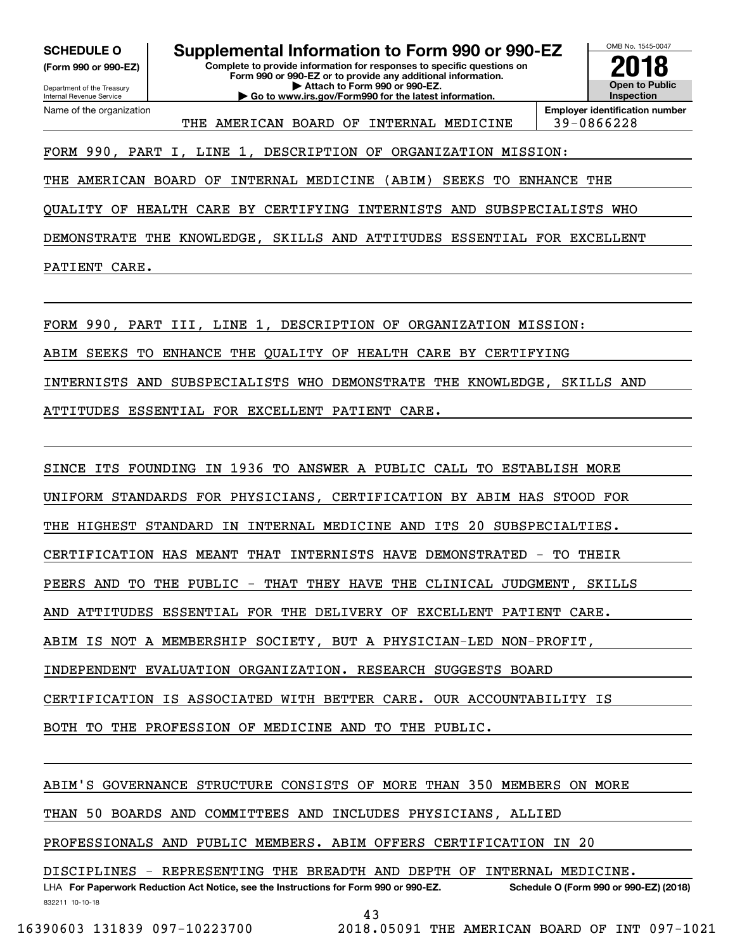**(Form 990 or 990-EZ)**

Department of the Treasury Internal Revenue Service Name of the organization

**SCHEDULE O Supplemental Information to Form 990 or 990-EZ**

**Complete to provide information for responses to specific questions on Form 990 or 990-EZ or to provide any additional information. | Attach to Form 990 or 990-EZ. | Go to www.irs.gov/Form990 for the latest information.**



THE AMERICAN BOARD OF INTERNAL MEDICINE | 39-0866228

FORM 990, PART I, LINE 1, DESCRIPTION OF ORGANIZATION MISSION:

THE AMERICAN BOARD OF INTERNAL MEDICINE (ABIM) SEEKS TO ENHANCE THE

QUALITY OF HEALTH CARE BY CERTIFYING INTERNISTS AND SUBSPECIALISTS WHO

DEMONSTRATE THE KNOWLEDGE, SKILLS AND ATTITUDES ESSENTIAL FOR EXCELLENT

PATIENT CARE.

FORM 990, PART III, LINE 1, DESCRIPTION OF ORGANIZATION MISSION:

ABIM SEEKS TO ENHANCE THE QUALITY OF HEALTH CARE BY CERTIFYING

INTERNISTS AND SUBSPECIALISTS WHO DEMONSTRATE THE KNOWLEDGE, SKILLS AND

ATTITUDES ESSENTIAL FOR EXCELLENT PATIENT CARE.

SINCE ITS FOUNDING IN 1936 TO ANSWER A PUBLIC CALL TO ESTABLISH MORE UNIFORM STANDARDS FOR PHYSICIANS, CERTIFICATION BY ABIM HAS STOOD FOR THE HIGHEST STANDARD IN INTERNAL MEDICINE AND ITS 20 SUBSPECIALTIES. CERTIFICATION HAS MEANT THAT INTERNISTS HAVE DEMONSTRATED - TO THEIR PEERS AND TO THE PUBLIC - THAT THEY HAVE THE CLINICAL JUDGMENT, SKILLS AND ATTITUDES ESSENTIAL FOR THE DELIVERY OF EXCELLENT PATIENT CARE. ABIM IS NOT A MEMBERSHIP SOCIETY, BUT A PHYSICIAN-LED NON-PROFIT, INDEPENDENT EVALUATION ORGANIZATION. RESEARCH SUGGESTS BOARD CERTIFICATION IS ASSOCIATED WITH BETTER CARE. OUR ACCOUNTABILITY IS BOTH TO THE PROFESSION OF MEDICINE AND TO THE PUBLIC.

ABIM'S GOVERNANCE STRUCTURE CONSISTS OF MORE THAN 350 MEMBERS ON MORE

THAN 50 BOARDS AND COMMITTEES AND INCLUDES PHYSICIANS, ALLIED

PROFESSIONALS AND PUBLIC MEMBERS. ABIM OFFERS CERTIFICATION IN 20

DISCIPLINES - REPRESENTING THE BREADTH AND DEPTH OF INTERNAL MEDICINE.

832211 10-10-18 LHA For Paperwork Reduction Act Notice, see the Instructions for Form 990 or 990-EZ. Schedule O (Form 990 or 990-EZ) (2018) 43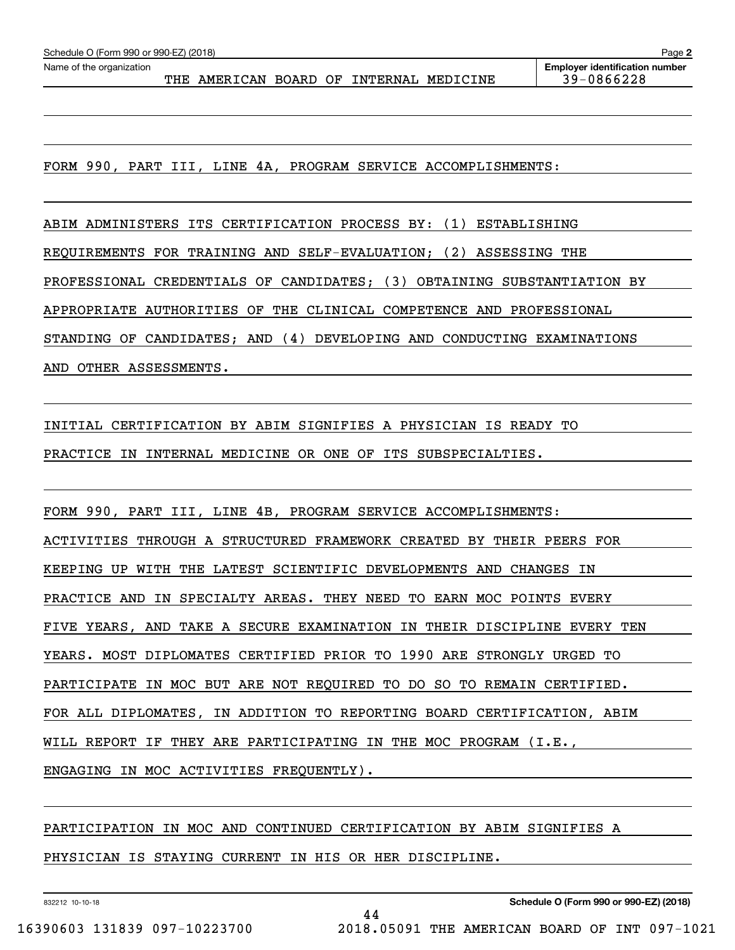THE AMERICAN BOARD OF INTERNAL MEDICINE 39-0866228

**Employer identification number** Schedule O (Form 990 or 990-EZ) (2018)<br>Name of the organization **purplement of the organization number** Name of the organization **Page Name of the organization** 

**2**

FORM 990, PART III, LINE 4A, PROGRAM SERVICE ACCOMPLISHMENTS:

ABIM ADMINISTERS ITS CERTIFICATION PROCESS BY: (1) ESTABLISHING

REQUIREMENTS FOR TRAINING AND SELF-EVALUATION; (2) ASSESSING THE

PROFESSIONAL CREDENTIALS OF CANDIDATES; (3) OBTAINING SUBSTANTIATION BY

APPROPRIATE AUTHORITIES OF THE CLINICAL COMPETENCE AND PROFESSIONAL

STANDING OF CANDIDATES; AND (4) DEVELOPING AND CONDUCTING EXAMINATIONS

AND OTHER ASSESSMENTS.

INITIAL CERTIFICATION BY ABIM SIGNIFIES A PHYSICIAN IS READY TO

PRACTICE IN INTERNAL MEDICINE OR ONE OF ITS SUBSPECIALTIES.

FORM 990, PART III, LINE 4B, PROGRAM SERVICE ACCOMPLISHMENTS: ACTIVITIES THROUGH A STRUCTURED FRAMEWORK CREATED BY THEIR PEERS FOR KEEPING UP WITH THE LATEST SCIENTIFIC DEVELOPMENTS AND CHANGES IN PRACTICE AND IN SPECIALTY AREAS. THEY NEED TO EARN MOC POINTS EVERY FIVE YEARS, AND TAKE A SECURE EXAMINATION IN THEIR DISCIPLINE EVERY TEN YEARS. MOST DIPLOMATES CERTIFIED PRIOR TO 1990 ARE STRONGLY URGED TO PARTICIPATE IN MOC BUT ARE NOT REQUIRED TO DO SO TO REMAIN CERTIFIED. FOR ALL DIPLOMATES, IN ADDITION TO REPORTING BOARD CERTIFICATION, ABIM WILL REPORT IF THEY ARE PARTICIPATING IN THE MOC PROGRAM (I.E., ENGAGING IN MOC ACTIVITIES FREQUENTLY).

# PARTICIPATION IN MOC AND CONTINUED CERTIFICATION BY ABIM SIGNIFIES A

PHYSICIAN IS STAYING CURRENT IN HIS OR HER DISCIPLINE.

832212 10-10-18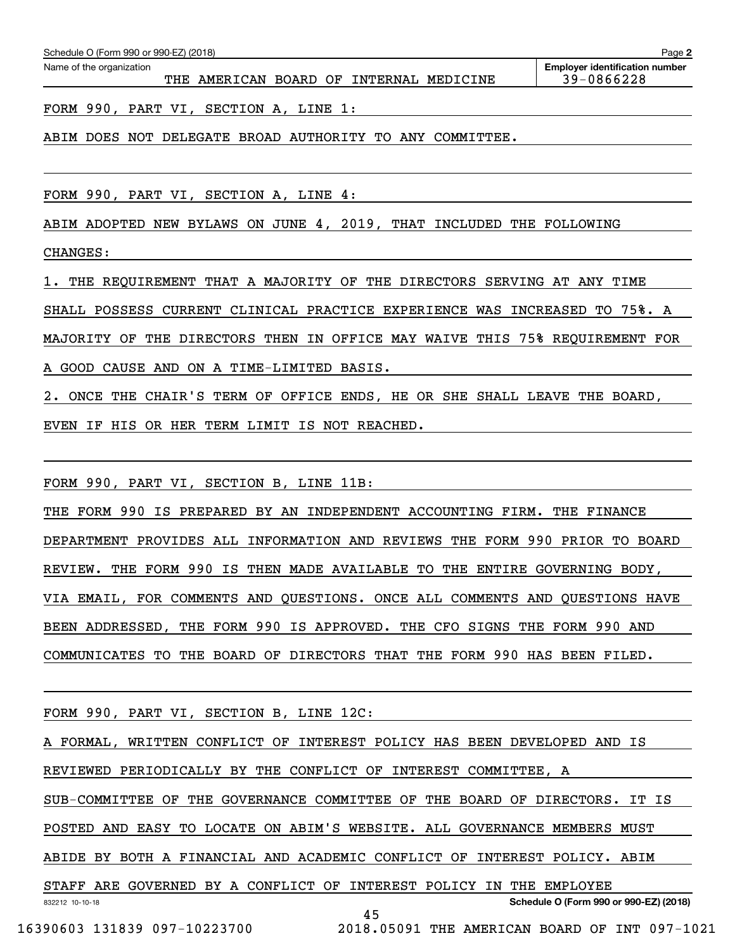| Schedule O (Form 990 or 990-EZ) (2018) | Page 2 |                                     |  |  |                                       |
|----------------------------------------|--------|-------------------------------------|--|--|---------------------------------------|
| Name of the organization               |        |                                     |  |  | <b>Employer identification number</b> |
|                                        | THE    | AMERICAN BOARD OF INTERNAL MEDICINE |  |  | $39 - 0866228$                        |
|                                        |        |                                     |  |  |                                       |

FORM 990, PART VI, SECTION A, LINE 1:

ABIM DOES NOT DELEGATE BROAD AUTHORITY TO ANY COMMITTEE.

FORM 990, PART VI, SECTION A, LINE 4:

ABIM ADOPTED NEW BYLAWS ON JUNE 4, 2019, THAT INCLUDED THE FOLLOWING CHANGES:

1. THE REQUIREMENT THAT A MAJORITY OF THE DIRECTORS SERVING AT ANY TIME SHALL POSSESS CURRENT CLINICAL PRACTICE EXPERIENCE WAS INCREASED TO 75%. A MAJORITY OF THE DIRECTORS THEN IN OFFICE MAY WAIVE THIS 75% REQUIREMENT FOR A GOOD CAUSE AND ON A TIME-LIMITED BASIS.

2. ONCE THE CHAIR'S TERM OF OFFICE ENDS, HE OR SHE SHALL LEAVE THE BOARD, EVEN IF HIS OR HER TERM LIMIT IS NOT REACHED.

FORM 990, PART VI, SECTION B, LINE 11B:

THE FORM 990 IS PREPARED BY AN INDEPENDENT ACCOUNTING FIRM. THE FINANCE DEPARTMENT PROVIDES ALL INFORMATION AND REVIEWS THE FORM 990 PRIOR TO BOARD REVIEW. THE FORM 990 IS THEN MADE AVAILABLE TO THE ENTIRE GOVERNING BODY, VIA EMAIL, FOR COMMENTS AND QUESTIONS. ONCE ALL COMMENTS AND QUESTIONS HAVE BEEN ADDRESSED, THE FORM 990 IS APPROVED. THE CFO SIGNS THE FORM 990 AND COMMUNICATES TO THE BOARD OF DIRECTORS THAT THE FORM 990 HAS BEEN FILED.

FORM 990, PART VI, SECTION B, LINE 12C:

A FORMAL, WRITTEN CONFLICT OF INTEREST POLICY HAS BEEN DEVELOPED AND IS

REVIEWED PERIODICALLY BY THE CONFLICT OF INTEREST COMMITTEE, A

SUB-COMMITTEE OF THE GOVERNANCE COMMITTEE OF THE BOARD OF DIRECTORS. IT IS

POSTED AND EASY TO LOCATE ON ABIM'S WEBSITE. ALL GOVERNANCE MEMBERS MUST

ABIDE BY BOTH A FINANCIAL AND ACADEMIC CONFLICT OF INTEREST POLICY. ABIM

832212 10-10-18 **Schedule O (Form 990 or 990-EZ) (2018)** STAFF ARE GOVERNED BY A CONFLICT OF INTEREST POLICY IN THE EMPLOYEE 45

16390603 131839 097-10223700 2018.05091 THE AMERICAN BOARD OF INT 097-1021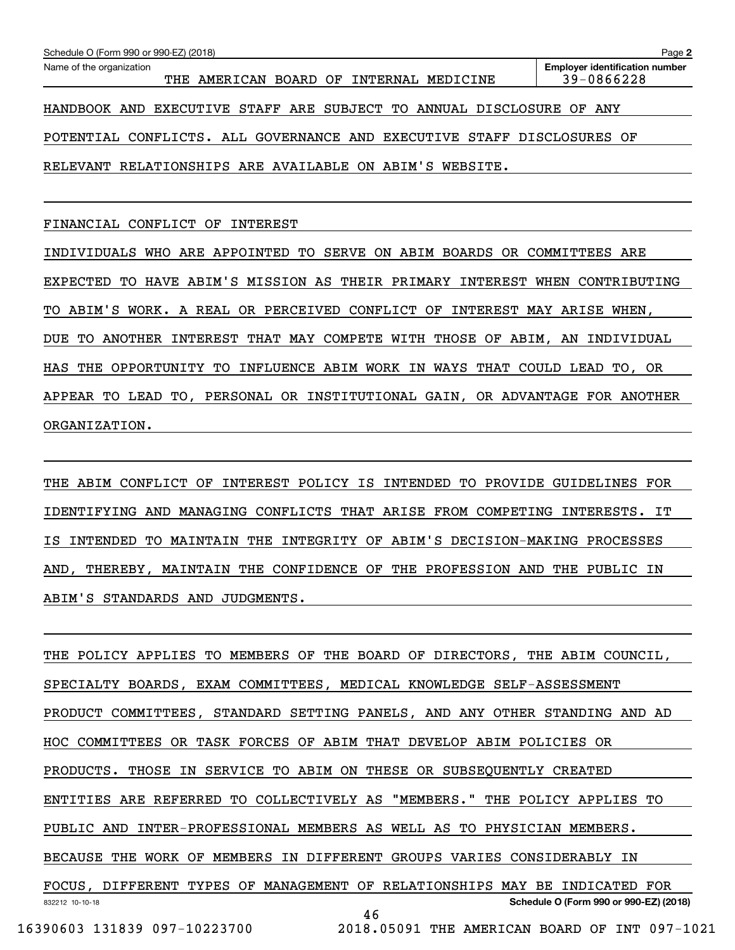| Schedule O (Form 990 or 990-EZ) (2018)                                 | Page 2                                              |
|------------------------------------------------------------------------|-----------------------------------------------------|
| Name of the organization<br>THE AMERICAN BOARD OF INTERNAL MEDICINE    | <b>Employer identification number</b><br>39-0866228 |
| HANDBOOK AND EXECUTIVE STAFF ARE SUBJECT TO ANNUAL DISCLOSURE OF ANY   |                                                     |
| POTENTIAL CONFLICTS. ALL GOVERNANCE AND EXECUTIVE STAFF DISCLOSURES OF |                                                     |
| RELEVANT RELATIONSHIPS ARE AVAILABLE ON ABIM'S WEBSITE.                |                                                     |
|                                                                        |                                                     |

FINANCIAL CONFLICT OF INTEREST

INDIVIDUALS WHO ARE APPOINTED TO SERVE ON ABIM BOARDS OR COMMITTEES ARE EXPECTED TO HAVE ABIM'S MISSION AS THEIR PRIMARY INTEREST WHEN CONTRIBUTING TO ABIM'S WORK. A REAL OR PERCEIVED CONFLICT OF INTEREST MAY ARISE WHEN, DUE TO ANOTHER INTEREST THAT MAY COMPETE WITH THOSE OF ABIM, AN INDIVIDUAL HAS THE OPPORTUNITY TO INFLUENCE ABIM WORK IN WAYS THAT COULD LEAD TO, OR APPEAR TO LEAD TO, PERSONAL OR INSTITUTIONAL GAIN, OR ADVANTAGE FOR ANOTHER ORGANIZATION.

THE ABIM CONFLICT OF INTEREST POLICY IS INTENDED TO PROVIDE GUIDELINES FOR IDENTIFYING AND MANAGING CONFLICTS THAT ARISE FROM COMPETING INTERESTS. IT IS INTENDED TO MAINTAIN THE INTEGRITY OF ABIM'S DECISION-MAKING PROCESSES AND, THEREBY, MAINTAIN THE CONFIDENCE OF THE PROFESSION AND THE PUBLIC IN ABIM'S STANDARDS AND JUDGMENTS.

832212 10-10-18 **Schedule O (Form 990 or 990-EZ) (2018)** THE POLICY APPLIES TO MEMBERS OF THE BOARD OF DIRECTORS, THE ABIM COUNCIL, SPECIALTY BOARDS, EXAM COMMITTEES, MEDICAL KNOWLEDGE SELF-ASSESSMENT PRODUCT COMMITTEES, STANDARD SETTING PANELS, AND ANY OTHER STANDING AND AD HOC COMMITTEES OR TASK FORCES OF ABIM THAT DEVELOP ABIM POLICIES OR PRODUCTS. THOSE IN SERVICE TO ABIM ON THESE OR SUBSEQUENTLY CREATED ENTITIES ARE REFERRED TO COLLECTIVELY AS "MEMBERS." THE POLICY APPLIES TO PUBLIC AND INTER-PROFESSIONAL MEMBERS AS WELL AS TO PHYSICIAN MEMBERS. BECAUSE THE WORK OF MEMBERS IN DIFFERENT GROUPS VARIES CONSIDERABLY IN FOCUS, DIFFERENT TYPES OF MANAGEMENT OF RELATIONSHIPS MAY BE INDICATED FOR 46 16390603 131839 097-10223700 2018.05091 THE AMERICAN BOARD OF INT 097-1021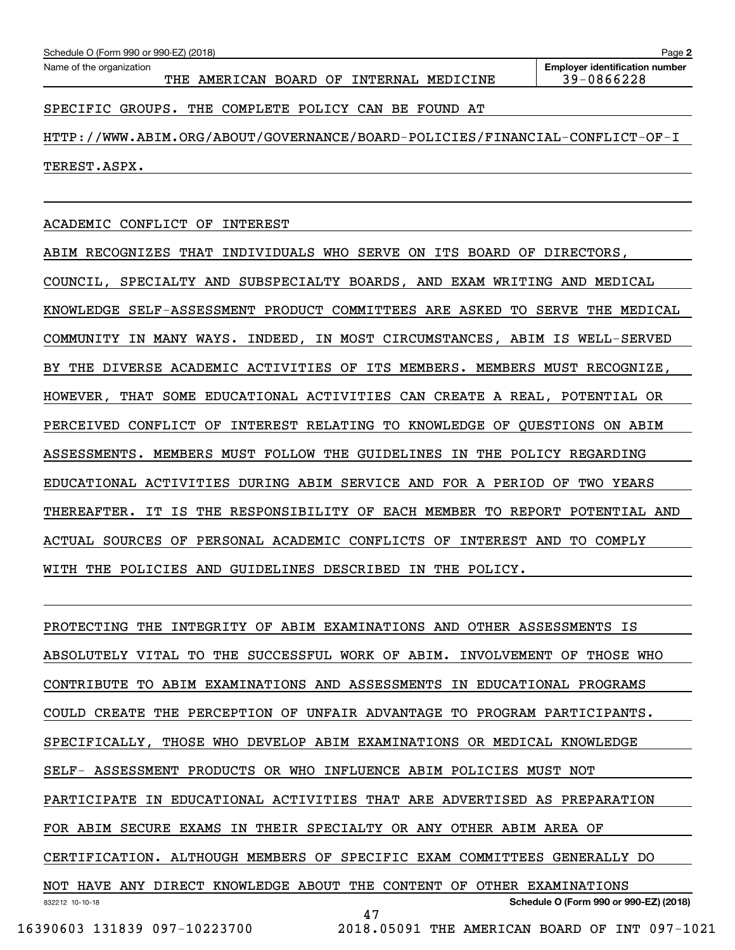SPECIFIC GROUPS. THE COMPLETE POLICY CAN BE FOUND AT

HTTP://WWW.ABIM.ORG/ABOUT/GOVERNANCE/BOARD-POLICIES/FINANCIAL-CONFLICT-OF-I TEREST.ASPX.

# ACADEMIC CONFLICT OF INTEREST

ABIM RECOGNIZES THAT INDIVIDUALS WHO SERVE ON ITS BOARD OF DIRECTORS, COUNCIL, SPECIALTY AND SUBSPECIALTY BOARDS, AND EXAM WRITING AND MEDICAL KNOWLEDGE SELF-ASSESSMENT PRODUCT COMMITTEES ARE ASKED TO SERVE THE MEDICAL COMMUNITY IN MANY WAYS. INDEED, IN MOST CIRCUMSTANCES, ABIM IS WELL-SERVED BY THE DIVERSE ACADEMIC ACTIVITIES OF ITS MEMBERS. MEMBERS MUST RECOGNIZE, HOWEVER, THAT SOME EDUCATIONAL ACTIVITIES CAN CREATE A REAL, POTENTIAL OR PERCEIVED CONFLICT OF INTEREST RELATING TO KNOWLEDGE OF QUESTIONS ON ABIM ASSESSMENTS. MEMBERS MUST FOLLOW THE GUIDELINES IN THE POLICY REGARDING EDUCATIONAL ACTIVITIES DURING ABIM SERVICE AND FOR A PERIOD OF TWO YEARS THEREAFTER. IT IS THE RESPONSIBILITY OF EACH MEMBER TO REPORT POTENTIAL AND ACTUAL SOURCES OF PERSONAL ACADEMIC CONFLICTS OF INTEREST AND TO COMPLY WITH THE POLICIES AND GUIDELINES DESCRIBED IN THE POLICY.

832212 10-10-18 **Schedule O (Form 990 or 990-EZ) (2018)** PROTECTING THE INTEGRITY OF ABIM EXAMINATIONS AND OTHER ASSESSMENTS IS ABSOLUTELY VITAL TO THE SUCCESSFUL WORK OF ABIM. INVOLVEMENT OF THOSE WHO CONTRIBUTE TO ABIM EXAMINATIONS AND ASSESSMENTS IN EDUCATIONAL PROGRAMS COULD CREATE THE PERCEPTION OF UNFAIR ADVANTAGE TO PROGRAM PARTICIPANTS. SPECIFICALLY, THOSE WHO DEVELOP ABIM EXAMINATIONS OR MEDICAL KNOWLEDGE SELF- ASSESSMENT PRODUCTS OR WHO INFLUENCE ABIM POLICIES MUST NOT PARTICIPATE IN EDUCATIONAL ACTIVITIES THAT ARE ADVERTISED AS PREPARATION FOR ABIM SECURE EXAMS IN THEIR SPECIALTY OR ANY OTHER ABIM AREA OF CERTIFICATION. ALTHOUGH MEMBERS OF SPECIFIC EXAM COMMITTEES GENERALLY DO NOT HAVE ANY DIRECT KNOWLEDGE ABOUT THE CONTENT OF OTHER EXAMINATIONS 47

16390603 131839 097-10223700 2018.05091 THE AMERICAN BOARD OF INT 097-1021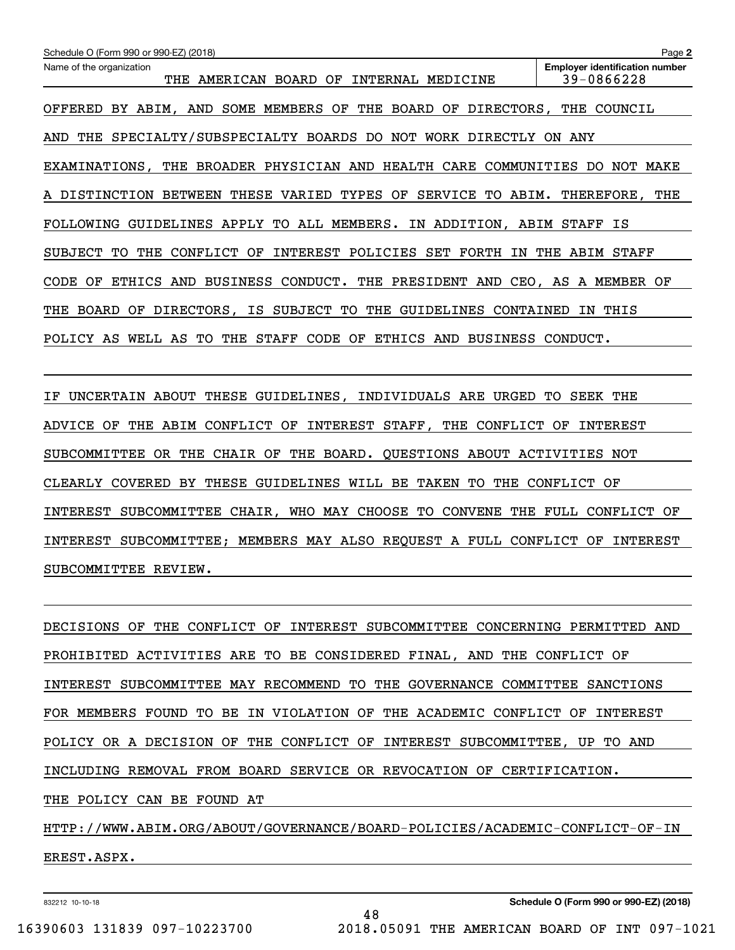| Schedule O (Form 990 or 990-EZ) (2018)                                                                           | Page 2                                              |
|------------------------------------------------------------------------------------------------------------------|-----------------------------------------------------|
| Name of the organization<br>AMERICAN<br>BOARD OF<br>INTERNAL<br>MEDICINE<br>THE                                  | <b>Employer identification number</b><br>39-0866228 |
| BY ABIM, AND SOME MEMBERS OF<br>THE BOARD<br>OF<br>DIRECTORS,<br>OFFERED                                         | THE<br>COUNCIL                                      |
| SPECIALTY/SUBSPECIALTY BOARDS DO<br>NOT<br>WORK<br>THE<br>DIRECTLY<br>AND                                        | ANY<br>ON.                                          |
| EXAMINATIONS, THE BROADER PHYSICIAN AND HEALTH CARE<br>COMMUNITIES                                               | DO.<br>NOT MAKE                                     |
| VARIED TYPES OF<br>SERVICE<br>A DISTINCTION<br><b>BETWEEN</b><br>THESE<br>TO.<br>ABIM.                           | THEREFORE, THE                                      |
| GUIDELINES APPLY TO ALL MEMBERS. IN ADDITION, ABIM STAFF IS<br><b>FOLLOWING</b>                                  |                                                     |
| CONFLICT OF<br>INTEREST POLICIES<br>SET<br>FORTH<br>SUBJECT<br>TО<br>IN<br>THE                                   | THE ABIM STAFF                                      |
| ETHICS<br>BUSINESS CONDUCT.<br>THE PRESIDENT<br>AND<br><b>CODE</b><br>OF<br>AND                                  | CEO, AS A MEMBER<br>OF                              |
| SUBJECT TO<br>IS<br>THE<br>THE<br><b>BOARD</b><br>OF<br>DIRECTORS,<br>GUIDELINES<br>CONTAINED                    | THIS<br>ΙN                                          |
| THE<br><b>STAFF</b><br><b>CODE</b><br>POLICY<br>WELL<br>AS<br>TО<br>OF<br>ETHICS<br>AND<br>AS<br><b>BUSINESS</b> | CONDUCT.                                            |

IF UNCERTAIN ABOUT THESE GUIDELINES, INDIVIDUALS ARE URGED TO SEEK THE ADVICE OF THE ABIM CONFLICT OF INTEREST STAFF, THE CONFLICT OF INTEREST SUBCOMMITTEE OR THE CHAIR OF THE BOARD. QUESTIONS ABOUT ACTIVITIES NOT CLEARLY COVERED BY THESE GUIDELINES WILL BE TAKEN TO THE CONFLICT OF INTEREST SUBCOMMITTEE CHAIR, WHO MAY CHOOSE TO CONVENE THE FULL CONFLICT OF INTEREST SUBCOMMITTEE; MEMBERS MAY ALSO REQUEST A FULL CONFLICT OF INTEREST SUBCOMMITTEE REVIEW.

DECISIONS OF THE CONFLICT OF INTEREST SUBCOMMITTEE CONCERNING PERMITTED AND PROHIBITED ACTIVITIES ARE TO BE CONSIDERED FINAL, AND THE CONFLICT OF INTEREST SUBCOMMITTEE MAY RECOMMEND TO THE GOVERNANCE COMMITTEE SANCTIONS FOR MEMBERS FOUND TO BE IN VIOLATION OF THE ACADEMIC CONFLICT OF INTEREST POLICY OR A DECISION OF THE CONFLICT OF INTEREST SUBCOMMITTEE, UP TO AND INCLUDING REMOVAL FROM BOARD SERVICE OR REVOCATION OF CERTIFICATION. THE POLICY CAN BE FOUND AT HTTP://WWW.ABIM.ORG/ABOUT/GOVERNANCE/BOARD-POLICIES/ACADEMIC-CONFLICT-OF-IN EREST.ASPX.

48

832212 10-10-18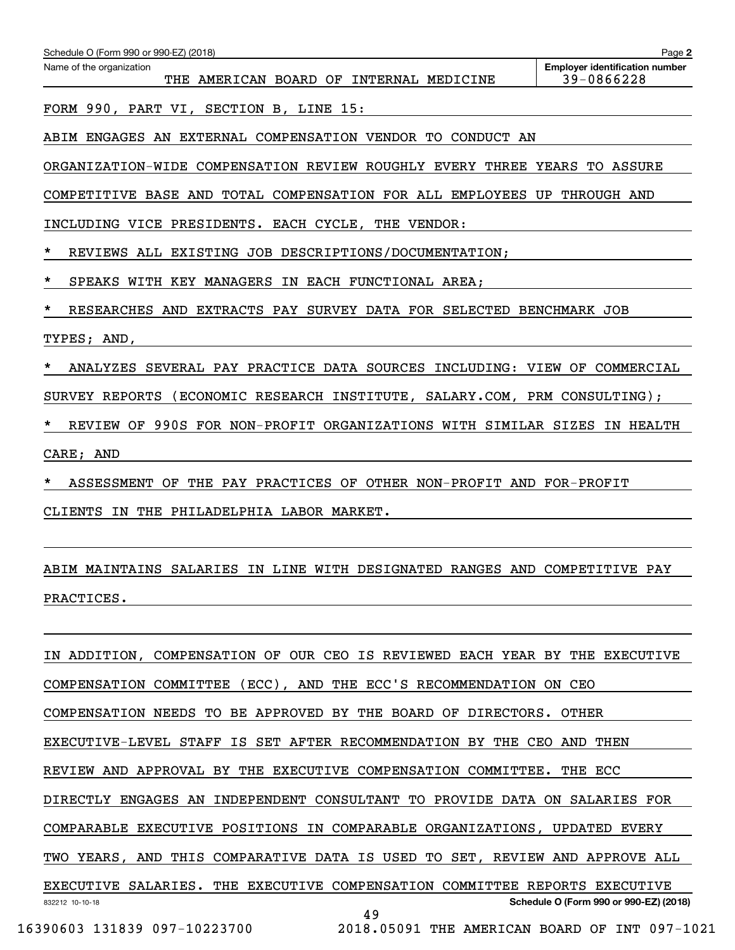| Schedule O (Form 990 or 990-EZ) (2018)                                        | Page 2                                |
|-------------------------------------------------------------------------------|---------------------------------------|
| Name of the organization                                                      | <b>Employer identification number</b> |
| THE AMERICAN BOARD OF INTERNAL MEDICINE                                       | 39-0866228                            |
| FORM 990, PART VI, SECTION B, LINE 15:                                        |                                       |
| ABIM ENGAGES AN EXTERNAL COMPENSATION VENDOR TO CONDUCT AN                    |                                       |
| ORGANIZATION-WIDE COMPENSATION REVIEW ROUGHLY EVERY THREE YEARS TO ASSURE     |                                       |
| COMPETITIVE BASE AND TOTAL COMPENSATION FOR ALL EMPLOYEES UP THROUGH AND      |                                       |
| INCLUDING VICE PRESIDENTS. EACH CYCLE, THE VENDOR:                            |                                       |
| *<br>REVIEWS ALL EXISTING JOB DESCRIPTIONS/DOCUMENTATION;                     |                                       |
| *<br>SPEAKS WITH KEY MANAGERS IN EACH FUNCTIONAL AREA;                        |                                       |
| *<br>RESEARCHES AND EXTRACTS PAY SURVEY DATA FOR SELECTED BENCHMARK JOB       |                                       |
| TYPES; AND,                                                                   |                                       |
| ANALYZES SEVERAL PAY PRACTICE DATA SOURCES INCLUDING: VIEW OF COMMERCIAL<br>* |                                       |
| SURVEY REPORTS (ECONOMIC RESEARCH INSTITUTE, SALARY.COM, PRM CONSULTING);     |                                       |
| *<br>REVIEW OF 990S FOR NON-PROFIT ORGANIZATIONS WITH SIMILAR SIZES IN HEALTH |                                       |
| CARE; AND                                                                     |                                       |
| ASSESSMENT OF THE PAY PRACTICES OF OTHER NON-PROFIT AND FOR-PROFIT            |                                       |
| CLIENTS IN THE PHILADELPHIA LABOR MARKET.                                     |                                       |

# ABIM MAINTAINS SALARIES IN LINE WITH DESIGNATED RANGES AND COMPETITIVE PAY PRACTICES.

832212 10-10-18 **Schedule O (Form 990 or 990-EZ) (2018)** IN ADDITION, COMPENSATION OF OUR CEO IS REVIEWED EACH YEAR BY THE EXECUTIVE COMPENSATION COMMITTEE (ECC), AND THE ECC'S RECOMMENDATION ON CEO COMPENSATION NEEDS TO BE APPROVED BY THE BOARD OF DIRECTORS. OTHER EXECUTIVE-LEVEL STAFF IS SET AFTER RECOMMENDATION BY THE CEO AND THEN REVIEW AND APPROVAL BY THE EXECUTIVE COMPENSATION COMMITTEE. THE ECC DIRECTLY ENGAGES AN INDEPENDENT CONSULTANT TO PROVIDE DATA ON SALARIES FOR COMPARABLE EXECUTIVE POSITIONS IN COMPARABLE ORGANIZATIONS, UPDATED EVERY TWO YEARS, AND THIS COMPARATIVE DATA IS USED TO SET, REVIEW AND APPROVE ALL EXECUTIVE SALARIES. THE EXECUTIVE COMPENSATION COMMITTEE REPORTS EXECUTIVE 49 16390603 131839 097-10223700 2018.05091 THE AMERICAN BOARD OF INT 097-1021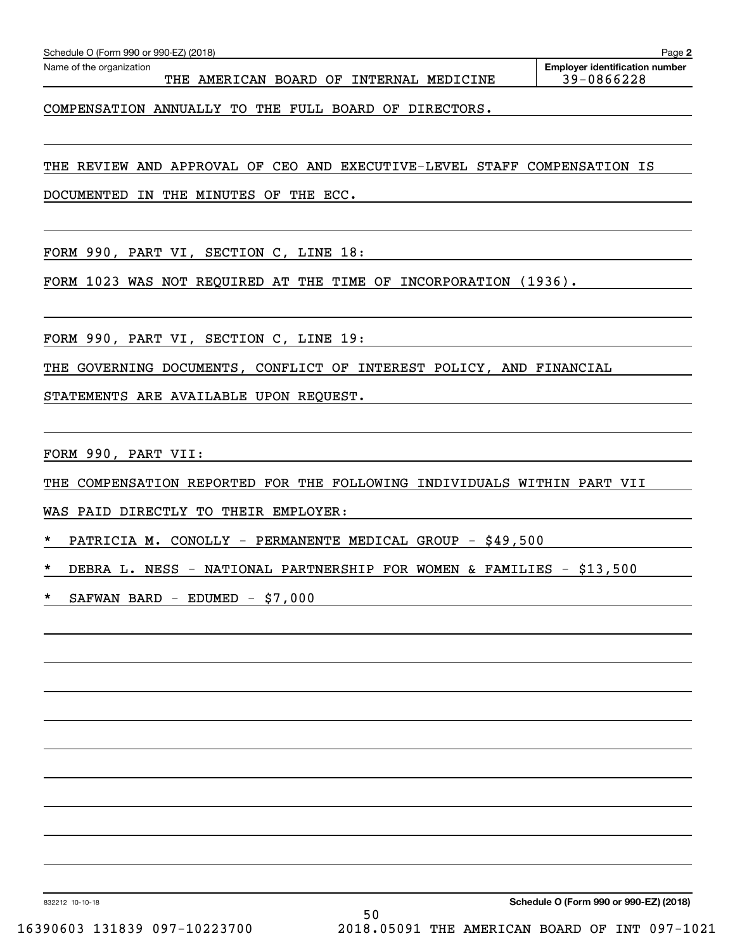|  | $FWAN$ BARD - EDUMED - \$7,000 |  |
|--|--------------------------------|--|
|  |                                |  |
|  |                                |  |
|  |                                |  |
|  |                                |  |

832212 10-10-18

THE REVIEW AND APPROVAL OF CEO AND EXECUTIVE-LEVEL STAFF COMPENSATION IS

COMPENSATION ANNUALLY TO THE FULL BOARD OF DIRECTORS.

DOCUMENTED IN THE MINUTES OF THE ECC.

FORM 990, PART VI, SECTION C, LINE 18:

FORM 1023 WAS NOT REQUIRED AT THE TIME OF INCORPORATION (1936).

FORM 990, PART VI, SECTION C, LINE 19:

THE GOVERNING DOCUMENTS, CONFLICT OF INTEREST POLICY, AND FINANCIAL

STATEMENTS ARE AVAILABLE UPON REQUEST.

FORM 990, PART VII:

THE COMPENSATION REPORTED FOR THE FOLLOWING INDIVIDUALS WITHIN PART VII

WAS PAID DIRECTLY TO THEIR EMPLOYER:

\* PATRICIA M. CONOLLY - PERMANENTE MEDICAL GROUP - \$49,500

DEBRA L. NESS - NATIONAL PARTNERSHIP FOR WOMEN & FAMILIES - \$13,500

\* SAFWAN BARD - EDUMED - \$7,000

**2**

Echedule O (Form 990 or 990-EZ) (2018)<br>Name of the organization **number** Name of the organization **page Name of the organization number** 

THE AMERICAN BOARD OF INTERNAL MEDICINE 39-0866228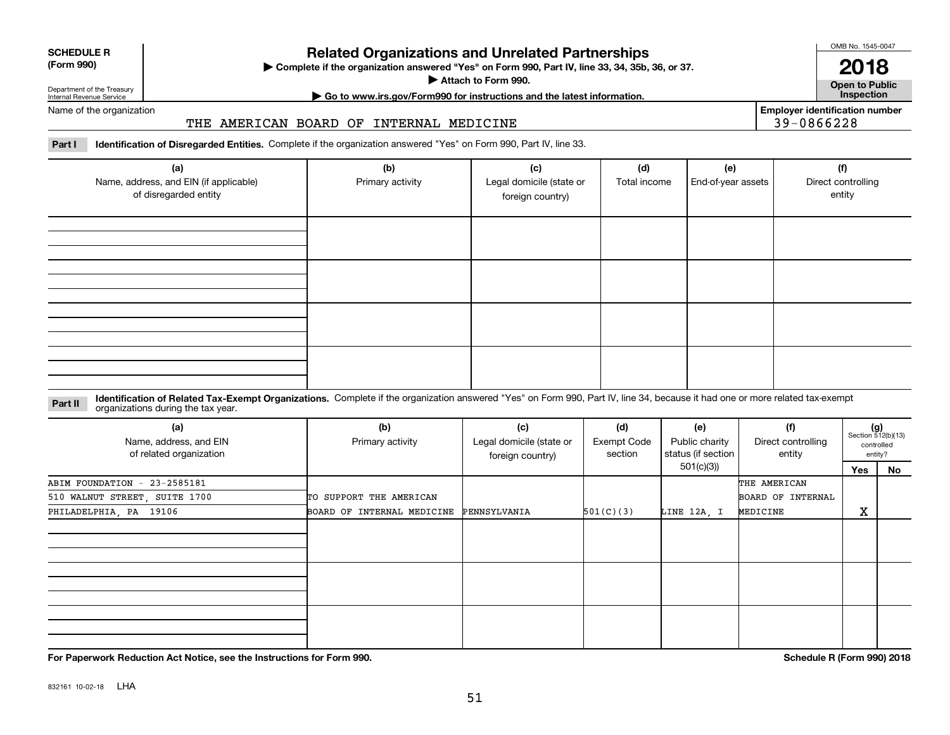Department of the Treasury Internal Revenue Service

Name of the organization

**SCHEDULE R (Form 990)**

# **Related Organizations and Unrelated Partnerships**

**Complete if the organization answered "Yes" on Form 990, Part IV, line 33, 34, 35b, 36, or 37.** |

**Attach to Form 990.**  |

**| Go to www.irs.gov/Form990 for instructions and the latest information. Inspection**

**Employer identification number** 39-0866228

**Part I Identification of Disregarded Entities.**  Complete if the organization answered "Yes" on Form 990, Part IV, line 33.

THE AMERICAN BOARD OF INTERNAL MEDICINE

| (a)<br>Name, address, and EIN (if applicable)<br>of disregarded entity | (b)<br>Primary activity | (c)<br>Legal domicile (state or<br>foreign country) | (d)<br>Total income | (e)<br>End-of-year assets | (f)<br>Direct controlling<br>entity |
|------------------------------------------------------------------------|-------------------------|-----------------------------------------------------|---------------------|---------------------------|-------------------------------------|
|                                                                        |                         |                                                     |                     |                           |                                     |
|                                                                        |                         |                                                     |                     |                           |                                     |
|                                                                        |                         |                                                     |                     |                           |                                     |
|                                                                        |                         |                                                     |                     |                           |                                     |

**Identification of Related Tax-Exempt Organizations.** Complete if the organization answered "Yes" on Form 990, Part IV, line 34, because it had one or more related tax-exempt **Part II** organizations during the tax year.

| (a)<br>Name, address, and EIN<br>of related organization | (b)<br>Primary activity                 | (c)<br>Legal domicile (state or<br>foreign country) | (d)<br>Exempt Code<br>section | (e)<br>Public charity<br>status (if section | (f)<br>Direct controlling<br>entity |     | $(g)$<br>Section 512(b)(13)<br>controlled<br>entity? |
|----------------------------------------------------------|-----------------------------------------|-----------------------------------------------------|-------------------------------|---------------------------------------------|-------------------------------------|-----|------------------------------------------------------|
|                                                          |                                         |                                                     |                               | 501(c)(3)                                   |                                     | Yes | No                                                   |
| ABIM FOUNDATION - 23-2585181                             |                                         |                                                     |                               |                                             | THE AMERICAN                        |     |                                                      |
| 510 WALNUT STREET, SUITE 1700                            | TO SUPPORT THE AMERICAN                 |                                                     |                               |                                             | BOARD OF INTERNAL                   |     |                                                      |
| PHILADELPHIA, PA 19106                                   | BOARD OF INTERNAL MEDICINE PENNSYLVANIA |                                                     | 501(C)(3)                     | LINE 12A, I                                 | MEDICINE                            | X   |                                                      |
|                                                          |                                         |                                                     |                               |                                             |                                     |     |                                                      |
|                                                          |                                         |                                                     |                               |                                             |                                     |     |                                                      |
|                                                          |                                         |                                                     |                               |                                             |                                     |     |                                                      |

**For Paperwork Reduction Act Notice, see the Instructions for Form 990. Schedule R (Form 990) 2018**

OMB No. 1545-0047

**Open to Public 2018**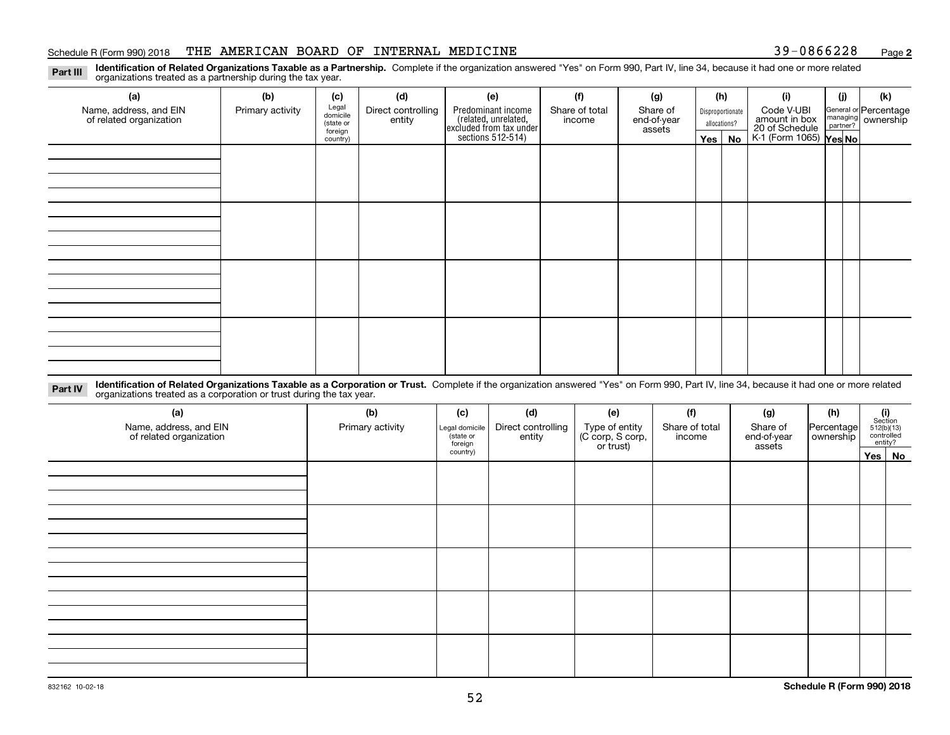### Schedule R (Form 990) 2018 THE AMERICAN BOARD OF INTERNAL MEDICINE 39-0866228 <sub>Page</sub>

**2**

**Identification of Related Organizations Taxable as a Partnership.** Complete if the organization answered "Yes" on Form 990, Part IV, line 34, because it had one or more related **Part III** organizations treated as a partnership during the tax year.

| (a)                     | (b)              | (c)                  | (d)                | (e)                                                                 | (f)            | (g)                   |              | (h)              | (i)                                               | (j) | (k)                   |  |  |  |  |
|-------------------------|------------------|----------------------|--------------------|---------------------------------------------------------------------|----------------|-----------------------|--------------|------------------|---------------------------------------------------|-----|-----------------------|--|--|--|--|
| Name, address, and EIN  | Primary activity | Legal<br>domicile    | Direct controlling | Predominant income                                                  | Share of total | Share of              |              | Disproportionate | Code V-UBI                                        |     | General or Percentage |  |  |  |  |
| of related organization |                  | (state or<br>foreign | entity             | related, unrelated,<br>excluded from tax under<br>sections 512-514) | income         | end-of-year<br>assets | allocations? |                  | amount in box                                     |     | managing ownership    |  |  |  |  |
|                         |                  | country)             |                    |                                                                     |                |                       |              | Yes   No         | 20 of Schedule Partner?<br>K-1 (Form 1065) Yes No |     |                       |  |  |  |  |
|                         |                  |                      |                    |                                                                     |                |                       |              |                  |                                                   |     |                       |  |  |  |  |
|                         |                  |                      |                    |                                                                     |                |                       |              |                  |                                                   |     |                       |  |  |  |  |
|                         |                  |                      |                    |                                                                     |                |                       |              |                  |                                                   |     |                       |  |  |  |  |
|                         |                  |                      |                    |                                                                     |                |                       |              |                  |                                                   |     |                       |  |  |  |  |
|                         |                  |                      |                    |                                                                     |                |                       |              |                  |                                                   |     |                       |  |  |  |  |
|                         |                  |                      |                    |                                                                     |                |                       |              |                  |                                                   |     |                       |  |  |  |  |
|                         |                  |                      |                    |                                                                     |                |                       |              |                  |                                                   |     |                       |  |  |  |  |
|                         |                  |                      |                    |                                                                     |                |                       |              |                  |                                                   |     |                       |  |  |  |  |
|                         |                  |                      |                    |                                                                     |                |                       |              |                  |                                                   |     |                       |  |  |  |  |
|                         |                  |                      |                    |                                                                     |                |                       |              |                  |                                                   |     |                       |  |  |  |  |
|                         |                  |                      |                    |                                                                     |                |                       |              |                  |                                                   |     |                       |  |  |  |  |
|                         |                  |                      |                    |                                                                     |                |                       |              |                  |                                                   |     |                       |  |  |  |  |
|                         |                  |                      |                    |                                                                     |                |                       |              |                  |                                                   |     |                       |  |  |  |  |
|                         |                  |                      |                    |                                                                     |                |                       |              |                  |                                                   |     |                       |  |  |  |  |
|                         |                  |                      |                    |                                                                     |                |                       |              |                  |                                                   |     |                       |  |  |  |  |
|                         |                  |                      |                    |                                                                     |                |                       |              |                  |                                                   |     |                       |  |  |  |  |
|                         |                  |                      |                    |                                                                     |                |                       |              |                  |                                                   |     |                       |  |  |  |  |

**Identification of Related Organizations Taxable as a Corporation or Trust.** Complete if the organization answered "Yes" on Form 990, Part IV, line 34, because it had one or more related **Part IV** organizations treated as a corporation or trust during the tax year.

| (a)<br>Name, address, and EIN<br>of related organization | (b)<br>Primary activity | (c)<br>Legal domicile<br>state or<br>foreign | (d)<br>Direct controlling<br>entity | (e)<br>Type of entity<br>(C corp, S corp,<br>or trust) | (f)<br>Share of total<br>income | (g)<br>Share of<br>end-of-year<br>assets | (h)<br>Percentage<br>ownership | $(i)$ Section<br>512(b)(13)<br>controlled<br>entity? |  |  |  |  |
|----------------------------------------------------------|-------------------------|----------------------------------------------|-------------------------------------|--------------------------------------------------------|---------------------------------|------------------------------------------|--------------------------------|------------------------------------------------------|--|--|--|--|
|                                                          |                         | country)                                     |                                     |                                                        |                                 |                                          |                                | Yes No                                               |  |  |  |  |
|                                                          |                         |                                              |                                     |                                                        |                                 |                                          |                                |                                                      |  |  |  |  |
|                                                          |                         |                                              |                                     |                                                        |                                 |                                          |                                |                                                      |  |  |  |  |
|                                                          |                         |                                              |                                     |                                                        |                                 |                                          |                                |                                                      |  |  |  |  |
|                                                          |                         |                                              |                                     |                                                        |                                 |                                          |                                |                                                      |  |  |  |  |
|                                                          |                         |                                              |                                     |                                                        |                                 |                                          |                                |                                                      |  |  |  |  |
|                                                          |                         |                                              |                                     |                                                        |                                 |                                          |                                |                                                      |  |  |  |  |
|                                                          |                         |                                              |                                     |                                                        |                                 |                                          |                                |                                                      |  |  |  |  |
|                                                          |                         |                                              |                                     |                                                        |                                 |                                          |                                |                                                      |  |  |  |  |
|                                                          |                         |                                              |                                     |                                                        |                                 |                                          |                                |                                                      |  |  |  |  |
|                                                          |                         |                                              |                                     |                                                        |                                 |                                          |                                |                                                      |  |  |  |  |
|                                                          |                         |                                              |                                     |                                                        |                                 |                                          |                                |                                                      |  |  |  |  |
|                                                          |                         |                                              |                                     |                                                        |                                 |                                          |                                |                                                      |  |  |  |  |
|                                                          |                         |                                              |                                     |                                                        |                                 |                                          |                                |                                                      |  |  |  |  |
|                                                          |                         |                                              |                                     |                                                        |                                 |                                          |                                |                                                      |  |  |  |  |
|                                                          |                         |                                              |                                     |                                                        |                                 |                                          |                                |                                                      |  |  |  |  |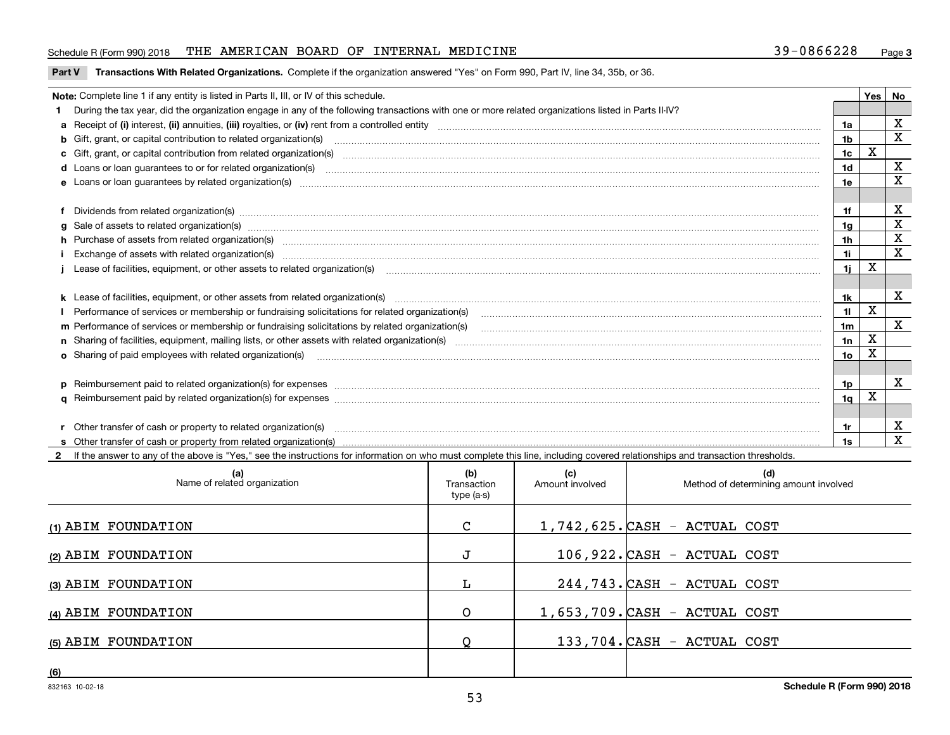## Schedule R (Form 990) 2018 THE AMERICAN BOARD OF INTERNAL MEDICINE 39-0866228 <sub>Page</sub>

#### **Part V** T**ransactions With Related Organizations.** Complete if the organization answered "Yes" on Form 990, Part IV, line 34, 35b, or 36.

| Note: Complete line 1 if any entity is listed in Parts II, III, or IV of this schedule. |                                                                                                                                                                                                                                |                |   |             |  |  |
|-----------------------------------------------------------------------------------------|--------------------------------------------------------------------------------------------------------------------------------------------------------------------------------------------------------------------------------|----------------|---|-------------|--|--|
|                                                                                         | 1 During the tax year, did the organization engage in any of the following transactions with one or more related organizations listed in Parts II-IV?                                                                          |                |   |             |  |  |
|                                                                                         |                                                                                                                                                                                                                                | 1a             |   | х           |  |  |
|                                                                                         | <b>b</b> Gift, grant, or capital contribution to related organization(s)                                                                                                                                                       | 1b             |   | X           |  |  |
|                                                                                         | c Gift, grant, or capital contribution from related organization(s) manufaction contribution from related organization(s) manufaction contribution from related organization(s) manufaction manufaction contribution from rela | 1c             | x |             |  |  |
|                                                                                         | <b>d</b> Loans or loan quarantees to or for related organization(s)                                                                                                                                                            | 1d             |   | X           |  |  |
|                                                                                         | e Loans or loan quarantees by related organization(s)                                                                                                                                                                          | 1e             |   | X           |  |  |
|                                                                                         |                                                                                                                                                                                                                                |                |   |             |  |  |
|                                                                                         | f Dividends from related organization(s) manufactured contains and contained a series of the contact of the contact of the contact of the contact of the contact of the contact of the contact of the contact of the contact o | 1f             |   | х           |  |  |
|                                                                                         | g Sale of assets to related organization(s) www.assettion.com/www.assettion.com/www.assettion.com/www.assettion.com/www.assettion.com/www.assettion.com/www.assettion.com/www.assettion.com/www.assettion.com/www.assettion.co | 1g             |   | X           |  |  |
|                                                                                         | h Purchase of assets from related organization(s) manufactured and content to the content of the content of the content of the content of the content of the content of the content of the content of the content of the conte | 1h             |   | X           |  |  |
|                                                                                         | Exchange of assets with related organization(s) www.assettion.com/www.assettion.com/www.assettion.com/www.assettion.com/www.assettion.com/www.assettion.com/www.assettion.com/www.assettion.com/www.assettion.com/www.assettio | 11             |   | X           |  |  |
|                                                                                         |                                                                                                                                                                                                                                | 1i -           | X |             |  |  |
|                                                                                         |                                                                                                                                                                                                                                |                |   |             |  |  |
|                                                                                         | k Lease of facilities, equipment, or other assets from related organization(s) manufaction content and content to the content of facilities, equipment, or other assets from related organization(s) manufaction content and c | 1k             |   | X           |  |  |
|                                                                                         | Performance of services or membership or fundraising solicitations for related organization(s)                                                                                                                                 | 11             | x |             |  |  |
|                                                                                         |                                                                                                                                                                                                                                | 1 <sub>m</sub> |   | $\mathbf x$ |  |  |
|                                                                                         |                                                                                                                                                                                                                                | 1n             | X |             |  |  |
|                                                                                         | <b>o</b> Sharing of paid employees with related organization(s)                                                                                                                                                                | 10             |   |             |  |  |
|                                                                                         |                                                                                                                                                                                                                                |                |   |             |  |  |
|                                                                                         | p Reimbursement paid to related organization(s) for expenses [1111] and the content of the content of the content of the content of the content of the content of the content of the content of the content of the content of  | 1p.            |   | X           |  |  |
|                                                                                         |                                                                                                                                                                                                                                | 1q             | x |             |  |  |
|                                                                                         |                                                                                                                                                                                                                                |                |   |             |  |  |
|                                                                                         | r Other transfer of cash or property to related organization(s)                                                                                                                                                                | 1r             |   | х           |  |  |
|                                                                                         |                                                                                                                                                                                                                                |                |   | X           |  |  |

**2**If the answer to any of the above is "Yes," see the instructions for information on who must complete this line, including covered relationships and transaction thresholds.

| (a)<br>Name of related organization | (b)<br>Transaction<br>type (a-s) | (c)<br>Amount involved | (d)<br>Method of determining amount involved |
|-------------------------------------|----------------------------------|------------------------|----------------------------------------------|
| (1) ABIM FOUNDATION                 | $\mathbf{C}$                     |                        | $1,742,625$ . CASH - ACTUAL COST             |
| (2) ABIM FOUNDATION                 |                                  |                        | 106,922. CASH - ACTUAL COST                  |
| (3) ABIM FOUNDATION                 | L.                               |                        | 244,743. CASH - ACTUAL COST                  |
| (4) ABIM FOUNDATION                 | O                                |                        | $1,653,709$ . CASH - ACTUAL COST             |
| (5) ABIM FOUNDATION                 | Q                                |                        | 133,704. CASH - ACTUAL COST                  |
| (6)                                 |                                  |                        |                                              |

 $\overline{\phantom{a}}$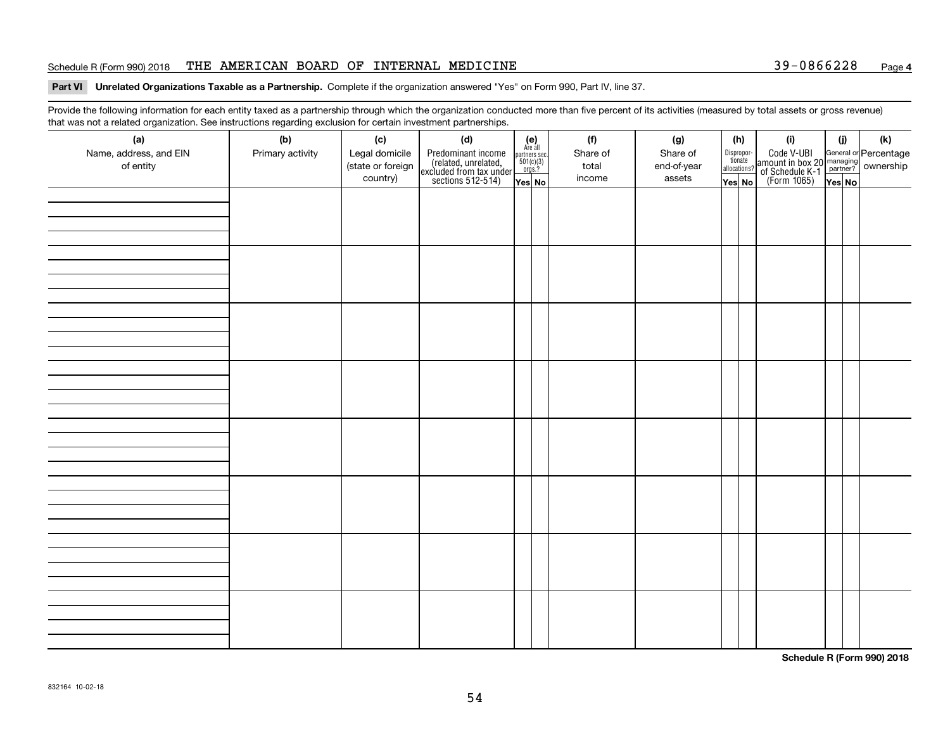### Schedule R (Form 990) 2018 THE AMERICAN BOARD OF INTERNAL MEDICINE 39-0866228 <sub>Page</sub>

#### **Part VI Unrelated Organizations Taxable as a Partnership. Complete if the organization answered "Yes" on Form 990, Part IV, line 37.**

Provide the following information for each entity taxed as a partnership through which the organization conducted more than five percent of its activities (measured by total assets or gross revenue) that was not a related organization. See instructions regarding exclusion for certain investment partnerships.

| (a)<br>Name, address, and EIN<br>of entity | $\tilde{}$<br>(b)<br>Primary activity | (c)<br>Legal domicile<br>(state or foreign<br>country) | (d)<br>Predominant income<br>(related, unrelated,<br>excluded from tax under<br>sections 512-514) | $(e)$<br>Are all<br>$\begin{array}{c}\n\text{partners} \sec.\n\\ \n501(c)(3)\n\\ \n0rgs.?\n\end{array}$<br>Yes No | (f)<br>Share of<br>total<br>income | (g)<br>Share of<br>end-of-year<br>assets | (h)<br>Dispropor-<br>tionate<br>allocations?<br>Yes No | (i)<br>Code V-UBI<br>amount in box 20 managing<br>of Schedule K-1<br>(Form 1065)<br>$\overline{Yes}$ No | (i)<br>Yes No | (k) |
|--------------------------------------------|---------------------------------------|--------------------------------------------------------|---------------------------------------------------------------------------------------------------|-------------------------------------------------------------------------------------------------------------------|------------------------------------|------------------------------------------|--------------------------------------------------------|---------------------------------------------------------------------------------------------------------|---------------|-----|
|                                            |                                       |                                                        |                                                                                                   |                                                                                                                   |                                    |                                          |                                                        |                                                                                                         |               |     |
|                                            |                                       |                                                        |                                                                                                   |                                                                                                                   |                                    |                                          |                                                        |                                                                                                         |               |     |
|                                            |                                       |                                                        |                                                                                                   |                                                                                                                   |                                    |                                          |                                                        |                                                                                                         |               |     |
|                                            |                                       |                                                        |                                                                                                   |                                                                                                                   |                                    |                                          |                                                        |                                                                                                         |               |     |
|                                            |                                       |                                                        |                                                                                                   |                                                                                                                   |                                    |                                          |                                                        |                                                                                                         |               |     |
|                                            |                                       |                                                        |                                                                                                   |                                                                                                                   |                                    |                                          |                                                        |                                                                                                         |               |     |
|                                            |                                       |                                                        |                                                                                                   |                                                                                                                   |                                    |                                          |                                                        |                                                                                                         |               |     |
|                                            |                                       |                                                        |                                                                                                   |                                                                                                                   |                                    |                                          |                                                        |                                                                                                         |               |     |

**Schedule R (Form 990) 2018**

**4**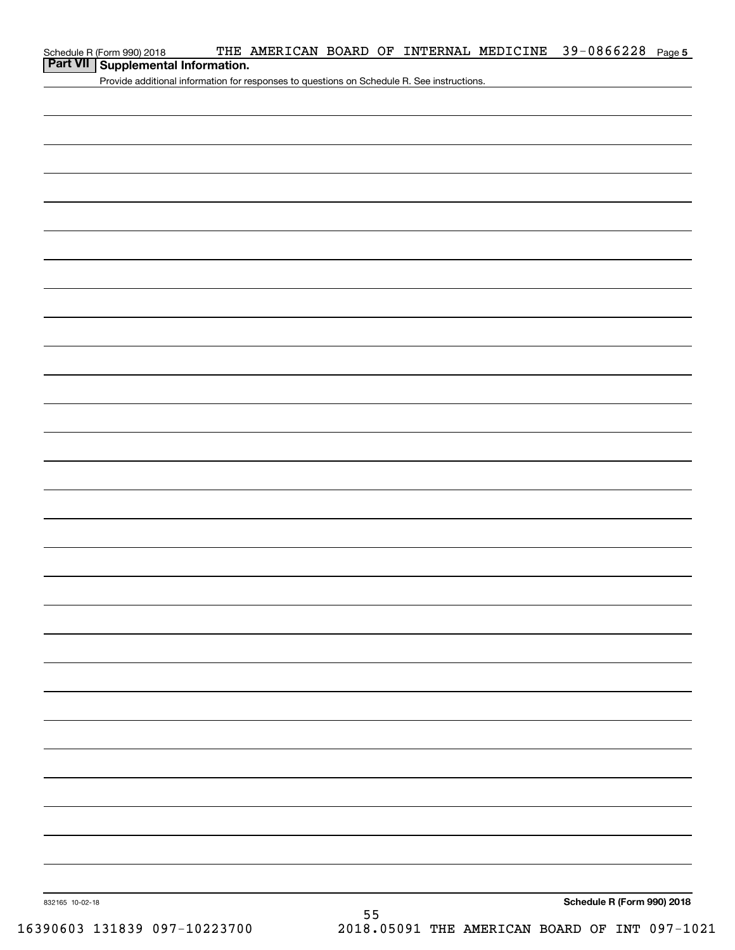| Schedule R (Form 990) 2018                                                                 |  |  |  | THE AMERICAN BOARD OF INTERNAL MEDICINE 39-0866228 Page 5 |  |
|--------------------------------------------------------------------------------------------|--|--|--|-----------------------------------------------------------|--|
| Part VII   Supplemental Information.                                                       |  |  |  |                                                           |  |
| Provide additional information for responses to questions on Schedule R. See instructions. |  |  |  |                                                           |  |
|                                                                                            |  |  |  |                                                           |  |
|                                                                                            |  |  |  |                                                           |  |
|                                                                                            |  |  |  |                                                           |  |
|                                                                                            |  |  |  |                                                           |  |
|                                                                                            |  |  |  |                                                           |  |
|                                                                                            |  |  |  |                                                           |  |
|                                                                                            |  |  |  |                                                           |  |
|                                                                                            |  |  |  |                                                           |  |
|                                                                                            |  |  |  |                                                           |  |
|                                                                                            |  |  |  |                                                           |  |
|                                                                                            |  |  |  |                                                           |  |
|                                                                                            |  |  |  |                                                           |  |
|                                                                                            |  |  |  |                                                           |  |
|                                                                                            |  |  |  |                                                           |  |
|                                                                                            |  |  |  |                                                           |  |
|                                                                                            |  |  |  |                                                           |  |

**Schedule R (Form 990) 2018**

832165 10-02-18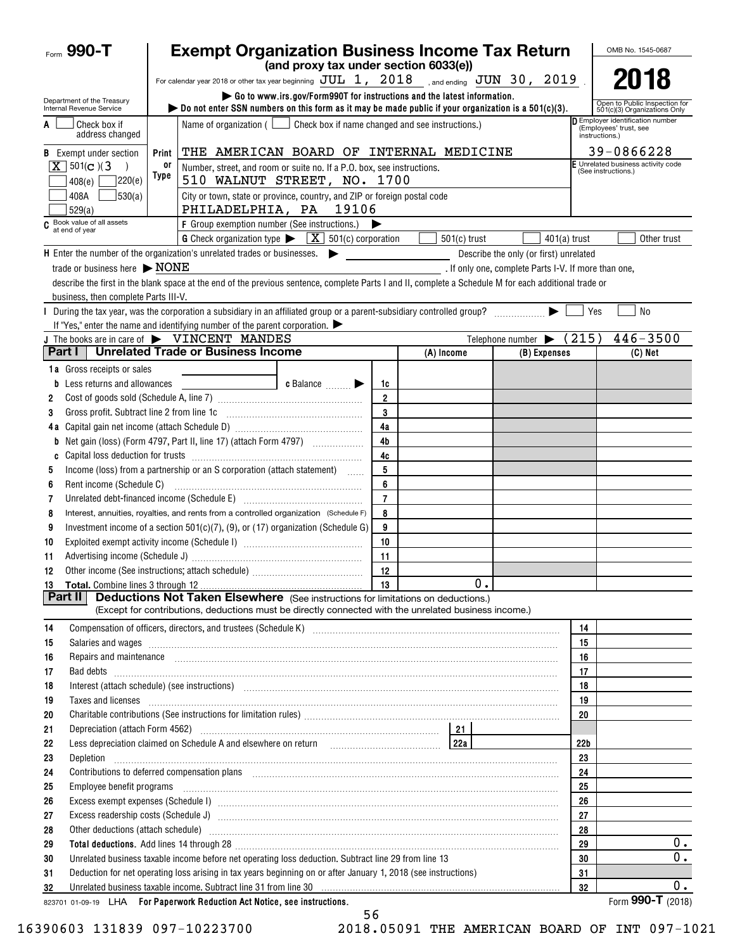| Form 990-T                                                                                                 | <b>Exempt Organization Business Income Tax Return</b><br>OMB No. 1545-0687                                                                                                                                                                                                                                                                       |                                                      |                                                                            |  |  |  |  |
|------------------------------------------------------------------------------------------------------------|--------------------------------------------------------------------------------------------------------------------------------------------------------------------------------------------------------------------------------------------------------------------------------------------------------------------------------------------------|------------------------------------------------------|----------------------------------------------------------------------------|--|--|--|--|
|                                                                                                            | (and proxy tax under section 6033(e))                                                                                                                                                                                                                                                                                                            |                                                      | 2018                                                                       |  |  |  |  |
|                                                                                                            | For calendar year 2018 or other tax year beginning $JUL$ 1, $2018$ , and ending $JUN$ 30, $2019$ .                                                                                                                                                                                                                                               |                                                      |                                                                            |  |  |  |  |
| Department of the Treasury<br>Internal Revenue Service                                                     | Go to www.irs.gov/Form990T for instructions and the latest information.<br>Open to Public Inspection for<br>bo not enter SSN numbers on this form as it may be made public if your organization is a $501(c)(3)$ .<br>501(c)(3) Organizations Only                                                                                               |                                                      |                                                                            |  |  |  |  |
| Check box if<br>A<br>address changed                                                                       | Check box if name changed and see instructions.)<br>Name of organization $($                                                                                                                                                                                                                                                                     |                                                      | Employer identification number<br>(Employees' trust, see<br>instructions.) |  |  |  |  |
| <b>B</b> Exempt under section                                                                              | THE AMERICAN BOARD OF INTERNAL MEDICINE<br>Print                                                                                                                                                                                                                                                                                                 |                                                      | 39-0866228                                                                 |  |  |  |  |
| $X$ 501(c)(3)                                                                                              | or<br>Number, street, and room or suite no. If a P.O. box, see instructions.                                                                                                                                                                                                                                                                     |                                                      | E Unrelated business activity code                                         |  |  |  |  |
| 7220(e)<br>408(e)                                                                                          | Type<br>510 WALNUT STREET, NO. 1700                                                                                                                                                                                                                                                                                                              |                                                      | (See instructions.)                                                        |  |  |  |  |
| 408A<br> 530(a) <br>529(a)                                                                                 | City or town, state or province, country, and ZIP or foreign postal code<br>PHILADELPHIA, PA<br>19106                                                                                                                                                                                                                                            |                                                      |                                                                            |  |  |  |  |
| C Book value of all assets<br>at end of year                                                               | F Group exemption number (See instructions.)                                                                                                                                                                                                                                                                                                     |                                                      |                                                                            |  |  |  |  |
|                                                                                                            | G Check organization type<br>$\boxed{\mathbf{X}}$ 501(c) corporation<br>$501(c)$ trust                                                                                                                                                                                                                                                           | $401(a)$ trust                                       | Other trust                                                                |  |  |  |  |
|                                                                                                            | H Enter the number of the organization's unrelated trades or businesses.                                                                                                                                                                                                                                                                         | Describe the only (or first) unrelated               |                                                                            |  |  |  |  |
| trade or business here $\triangleright$ NONE                                                               |                                                                                                                                                                                                                                                                                                                                                  | . If only one, complete Parts I-V. If more than one, |                                                                            |  |  |  |  |
|                                                                                                            | describe the first in the blank space at the end of the previous sentence, complete Parts I and II, complete a Schedule M for each additional trade or                                                                                                                                                                                           |                                                      |                                                                            |  |  |  |  |
| business, then complete Parts III-V.                                                                       |                                                                                                                                                                                                                                                                                                                                                  |                                                      |                                                                            |  |  |  |  |
|                                                                                                            | During the tax year, was the corporation a subsidiary in an affiliated group or a parent-subsidiary controlled group? [[[[[[[[[[[[[[[[[[[[[[[[[]]]]]]]]                                                                                                                                                                                          |                                                      | <b>No</b><br>Yes                                                           |  |  |  |  |
|                                                                                                            | If "Yes," enter the name and identifying number of the parent corporation. $\blacktriangleright$                                                                                                                                                                                                                                                 |                                                      |                                                                            |  |  |  |  |
|                                                                                                            | J The books are in care of $\blacktriangleright$ VINCENT MANDES                                                                                                                                                                                                                                                                                  | Telephone number $\blacktriangleright$               | (215)<br>$446 - 3500$                                                      |  |  |  |  |
| Part I                                                                                                     | <b>Unrelated Trade or Business Income</b><br>(A) Income                                                                                                                                                                                                                                                                                          | (B) Expenses                                         | $(C)$ Net                                                                  |  |  |  |  |
| <b>1a</b> Gross receipts or sales                                                                          |                                                                                                                                                                                                                                                                                                                                                  |                                                      |                                                                            |  |  |  |  |
| <b>b</b> Less returns and allowances                                                                       | c Balance <b>Division</b><br>1c                                                                                                                                                                                                                                                                                                                  |                                                      |                                                                            |  |  |  |  |
| 2                                                                                                          | $\overline{2}$                                                                                                                                                                                                                                                                                                                                   |                                                      |                                                                            |  |  |  |  |
| Gross profit. Subtract line 2 from line 1c<br>3                                                            | 3                                                                                                                                                                                                                                                                                                                                                |                                                      |                                                                            |  |  |  |  |
|                                                                                                            | 4a                                                                                                                                                                                                                                                                                                                                               |                                                      |                                                                            |  |  |  |  |
| b                                                                                                          | 4b<br>Net gain (loss) (Form 4797, Part II, line 17) (attach Form 4797)                                                                                                                                                                                                                                                                           |                                                      |                                                                            |  |  |  |  |
| C                                                                                                          | 4c                                                                                                                                                                                                                                                                                                                                               |                                                      |                                                                            |  |  |  |  |
| 5                                                                                                          | 5<br>Income (loss) from a partnership or an S corporation (attach statement)                                                                                                                                                                                                                                                                     |                                                      |                                                                            |  |  |  |  |
| 6                                                                                                          | 6                                                                                                                                                                                                                                                                                                                                                |                                                      |                                                                            |  |  |  |  |
| 7                                                                                                          | $\overline{7}$<br>Unrelated debt-financed income (Schedule E) [11] [2010] [2010] [2010] [2010] [2010] [2010] [2010] [2010] [2010                                                                                                                                                                                                                 |                                                      |                                                                            |  |  |  |  |
| 8                                                                                                          | 8<br>Interest, annuities, royalties, and rents from a controlled organization (Schedule F)                                                                                                                                                                                                                                                       |                                                      |                                                                            |  |  |  |  |
| 9                                                                                                          | Investment income of a section $501(c)(7)$ , (9), or (17) organization (Schedule G)<br>9                                                                                                                                                                                                                                                         |                                                      |                                                                            |  |  |  |  |
| 10                                                                                                         | 10                                                                                                                                                                                                                                                                                                                                               |                                                      |                                                                            |  |  |  |  |
| 11                                                                                                         | 11<br>12                                                                                                                                                                                                                                                                                                                                         |                                                      |                                                                            |  |  |  |  |
| 12                                                                                                         |                                                                                                                                                                                                                                                                                                                                                  | 0.                                                   |                                                                            |  |  |  |  |
| Part II                                                                                                    | - 13<br><b>Deductions Not Taken Elsewhere</b> (See instructions for limitations on deductions.)                                                                                                                                                                                                                                                  |                                                      |                                                                            |  |  |  |  |
|                                                                                                            | (Except for contributions, deductions must be directly connected with the unrelated business income.)                                                                                                                                                                                                                                            |                                                      |                                                                            |  |  |  |  |
| 14                                                                                                         |                                                                                                                                                                                                                                                                                                                                                  |                                                      | 14                                                                         |  |  |  |  |
| 15                                                                                                         |                                                                                                                                                                                                                                                                                                                                                  |                                                      | 15                                                                         |  |  |  |  |
| 16                                                                                                         | Repairs and maintenance <i>maintenance</i> and contained a series and maintenance and maintenance and maintenance and maintenance and maintenance and maintenance and maintenance and maintenance and maintenance and maintenance a                                                                                                              |                                                      | 16                                                                         |  |  |  |  |
| 17                                                                                                         |                                                                                                                                                                                                                                                                                                                                                  |                                                      | 17                                                                         |  |  |  |  |
| 18                                                                                                         |                                                                                                                                                                                                                                                                                                                                                  |                                                      | 18                                                                         |  |  |  |  |
| 19                                                                                                         | Interest (attach schedule) (see instructions) www.communications.communications are interest (attach schedule)<br>Taxes and licenses <b>construction and construction of the construction of the construction of the construction</b>                                                                                                            |                                                      |                                                                            |  |  |  |  |
| 20                                                                                                         |                                                                                                                                                                                                                                                                                                                                                  |                                                      | 20                                                                         |  |  |  |  |
| 21                                                                                                         | 21                                                                                                                                                                                                                                                                                                                                               |                                                      |                                                                            |  |  |  |  |
| 22                                                                                                         | Less depreciation claimed on Schedule A and elsewhere on return [100] [122] [224]                                                                                                                                                                                                                                                                |                                                      | 22 <sub>b</sub>                                                            |  |  |  |  |
| 23<br>Depletion                                                                                            |                                                                                                                                                                                                                                                                                                                                                  |                                                      | 23                                                                         |  |  |  |  |
| 24                                                                                                         | Contributions to deferred compensation plans [11] manufactured and produced a deferred compensation plans [11] manufactured and plans [11] manufactured and plans and plans and plans and plans are controlled and plans are c                                                                                                                   |                                                      |                                                                            |  |  |  |  |
| 25                                                                                                         | Employee benefit programs in the continuum contract of the contract of the contract of the contract of the contract of the contract of the contract of the contract of the contract of the contract of the contract of the con                                                                                                                   | 25                                                   |                                                                            |  |  |  |  |
| 26                                                                                                         |                                                                                                                                                                                                                                                                                                                                                  | 26                                                   |                                                                            |  |  |  |  |
| 27                                                                                                         |                                                                                                                                                                                                                                                                                                                                                  | 27                                                   |                                                                            |  |  |  |  |
| 28                                                                                                         | Other deductions (attach schedule) manufactured and according to the schedule of the schedule of the schedule                                                                                                                                                                                                                                    | 28                                                   |                                                                            |  |  |  |  |
| 29                                                                                                         |                                                                                                                                                                                                                                                                                                                                                  | $0$ .<br>29                                          |                                                                            |  |  |  |  |
| Unrelated business taxable income before net operating loss deduction. Subtract line 29 from line 13<br>30 |                                                                                                                                                                                                                                                                                                                                                  | $0$ .<br>30                                          |                                                                            |  |  |  |  |
| 31                                                                                                         | Deduction for net operating loss arising in tax years beginning on or after January 1, 2018 (see instructions)<br>Unrelated business taxable income. Subtract line 31 from line 30 manufactured contains and contained the state of the Unrelated business taxable income. Subtract line 31 from line 30 manufactured contains and the Unrelated |                                                      |                                                                            |  |  |  |  |
| 32                                                                                                         |                                                                                                                                                                                                                                                                                                                                                  | 0.<br>32                                             |                                                                            |  |  |  |  |
|                                                                                                            | 823701 01-09-19 LHA For Paperwork Reduction Act Notice, see instructions.                                                                                                                                                                                                                                                                        |                                                      | Form 990-T (2018)                                                          |  |  |  |  |

56 16390603 131839 097-10223700 2018.05091 THE AMERICAN BOARD OF INT 097-1021